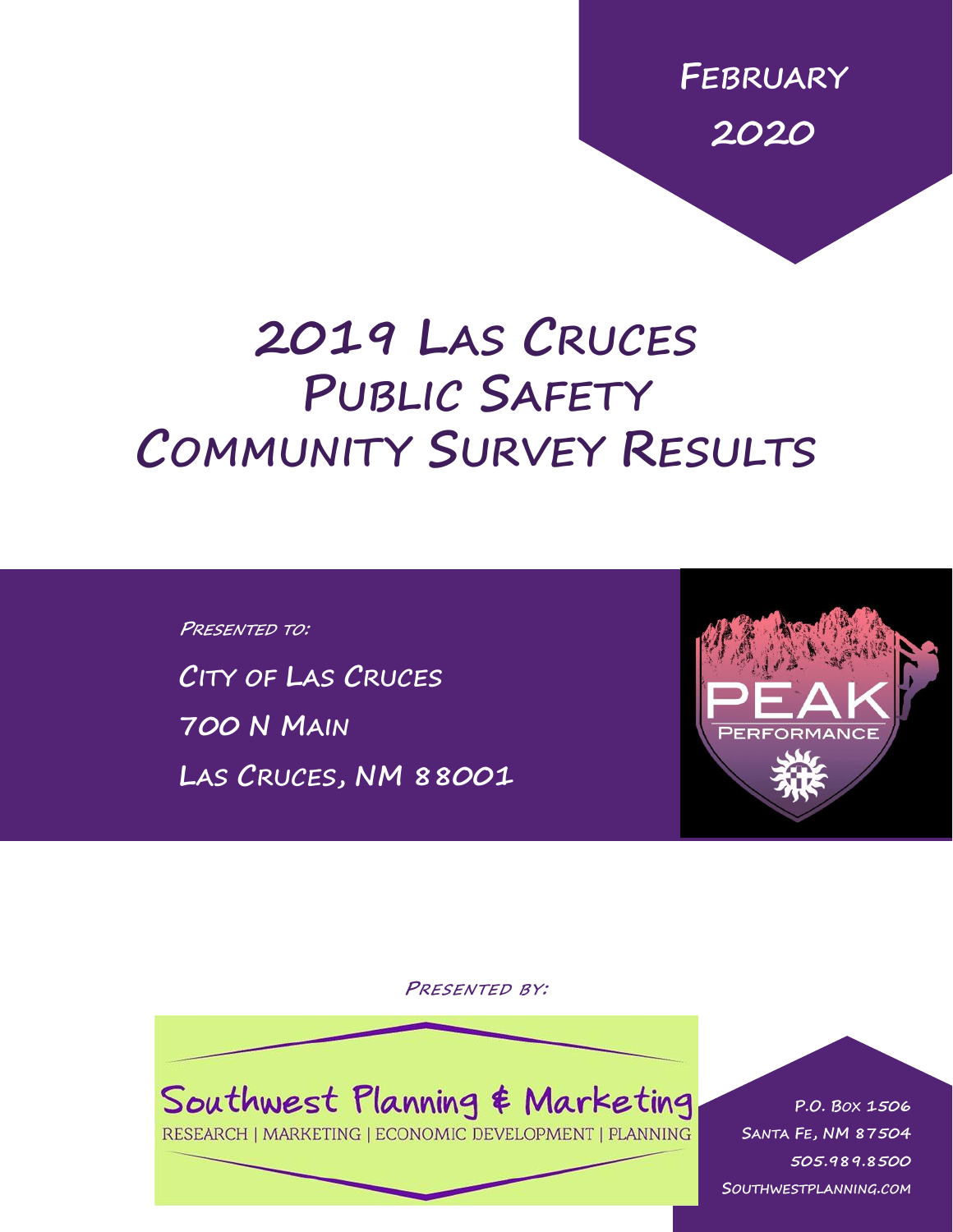**FEBRUARY 2020**

# **2019 LAS CRUCES PUBLIC SAFETY COMMUNITY SURVEY RESULTS**

**PRESENTED TO: CITY OF LAS CRUCES 700 N MAIN LAS CRUCES, NM 88001**



**PRESENTED BY:**



RESEARCH | MARKETING | ECONOMIC DEVELOPMENT | PLANNING

0 | P a g e **505.989.8500 P.O. BOX 1506 SANTA FE, NM 87504 SOUTHWESTPLANNING.COM**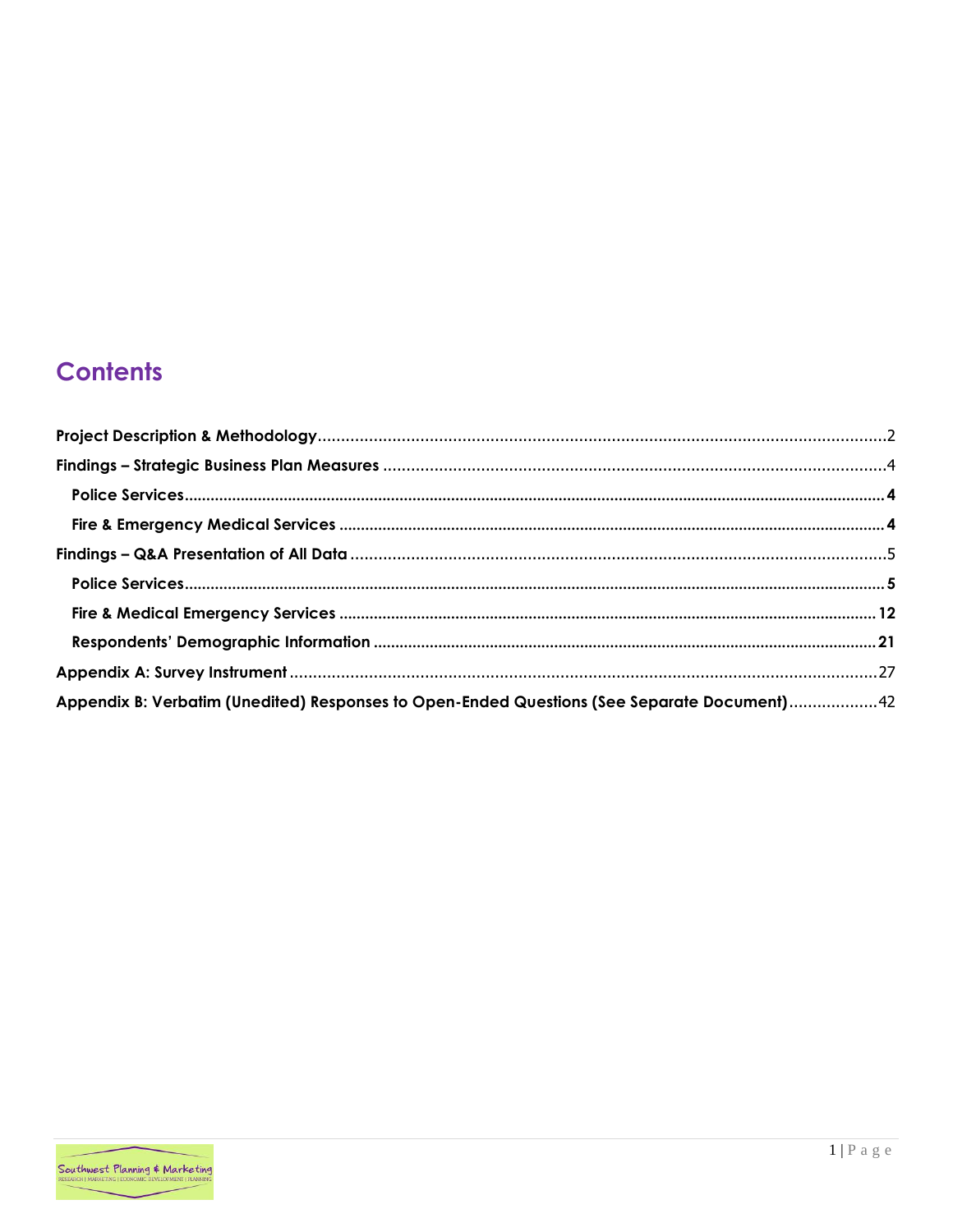# **Contents**

| Appendix B: Verbatim (Unedited) Responses to Open-Ended Questions (See Separate Document)42 |  |
|---------------------------------------------------------------------------------------------|--|

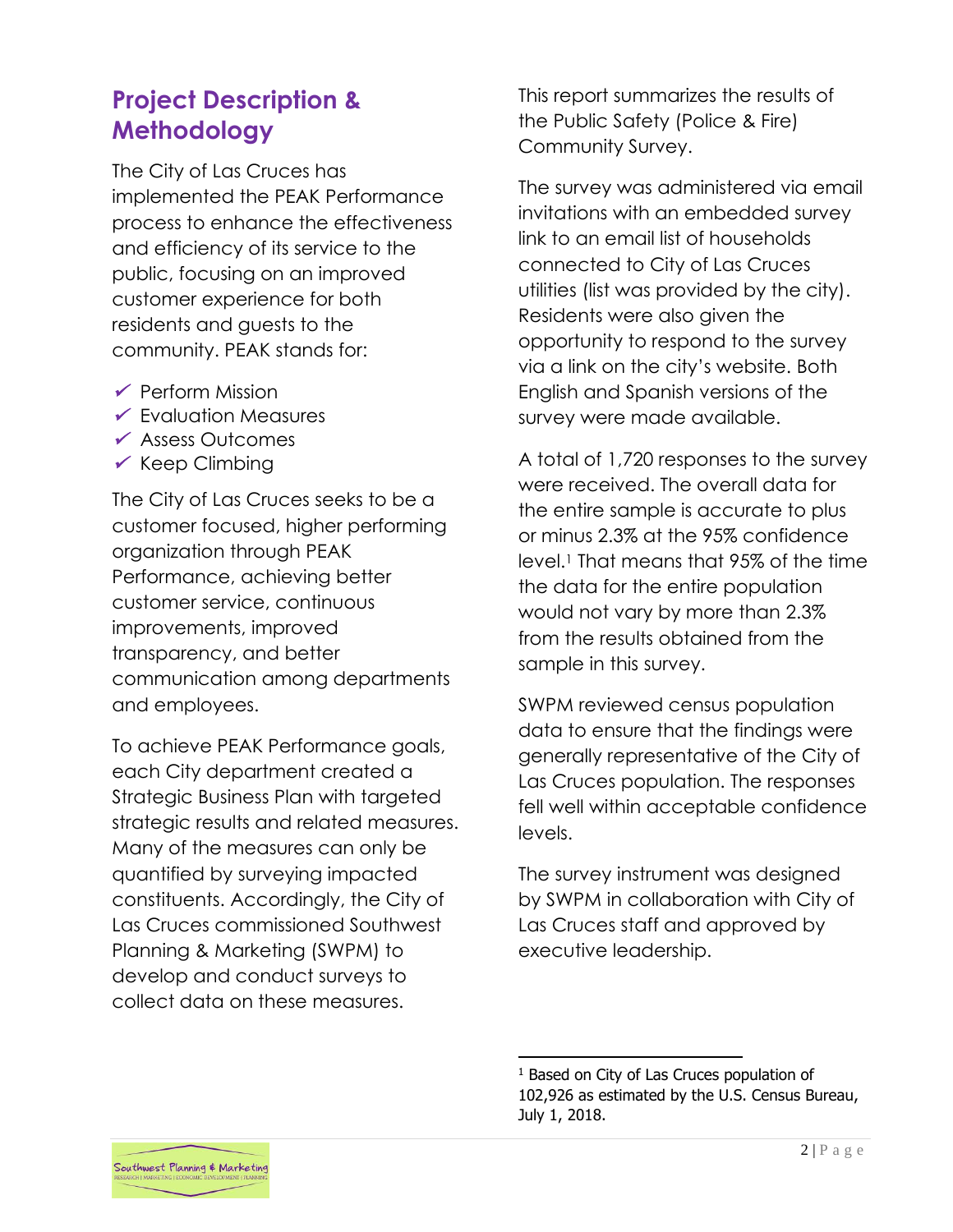# <span id="page-2-0"></span>**Project Description & Methodology**

The City of Las Cruces has implemented the PEAK Performance process to enhance the effectiveness and efficiency of its service to the public, focusing on an improved customer experience for both residents and guests to the community. PEAK stands for:

- ✓ Perform Mission
- ✓ Evaluation Measures
- ✓ Assess Outcomes
- $\checkmark$  Keep Climbing

The City of Las Cruces seeks to be a customer focused, higher performing organization through PEAK Performance, achieving better customer service, continuous improvements, improved transparency, and better communication among departments and employees.

To achieve PEAK Performance goals, each City department created a Strategic Business Plan with targeted strategic results and related measures. Many of the measures can only be quantified by surveying impacted constituents. Accordingly, the City of Las Cruces commissioned Southwest Planning & Marketing (SWPM) to develop and conduct surveys to collect data on these measures.

This report summarizes the results of the Public Safety (Police & Fire) Community Survey.

The survey was administered via email invitations with an embedded survey link to an email list of households connected to City of Las Cruces utilities (list was provided by the city). Residents were also given the opportunity to respond to the survey via a link on the city's website. Both English and Spanish versions of the survey were made available.

A total of 1,720 responses to the survey were received. The overall data for the entire sample is accurate to plus or minus 2.3% at the 95% confidence level.<sup>1</sup> That means that 95% of the time the data for the entire population would not vary by more than 2.3% from the results obtained from the sample in this survey.

SWPM reviewed census population data to ensure that the findings were generally representative of the City of Las Cruces population. The responses fell well within acceptable confidence levels.

The survey instrument was designed by SWPM in collaboration with City of Las Cruces staff and approved by executive leadership.

<sup>&</sup>lt;sup>1</sup> Based on City of Las Cruces population of 102,926 as estimated by the U.S. Census Bureau, July 1, 2018.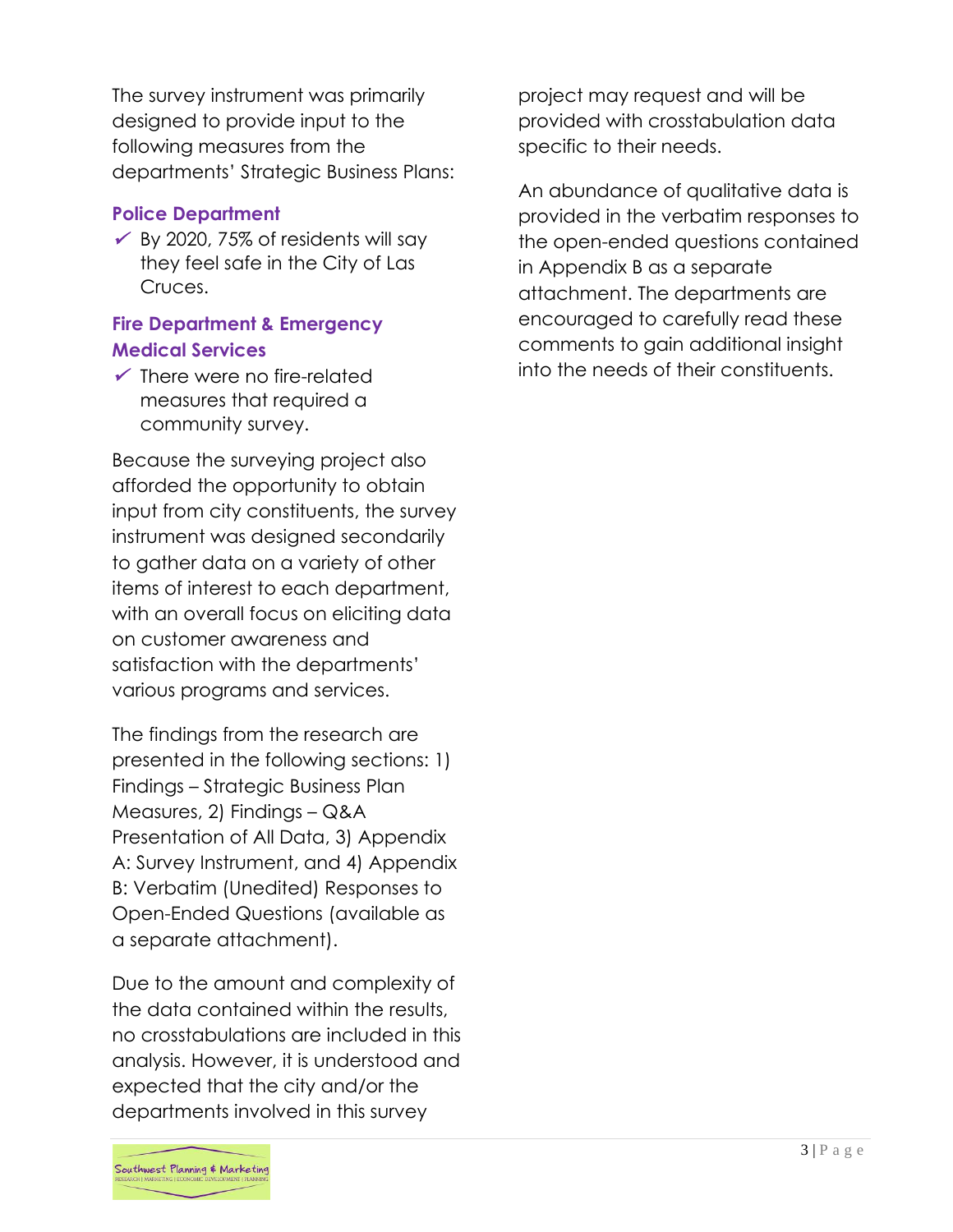The survey instrument was primarily designed to provide input to the following measures from the departments' Strategic Business Plans:

# **Police Department**

 $\checkmark$  By 2020, 75% of residents will say they feel safe in the City of Las Cruces.

# **Fire Department & Emergency Medical Services**

 $\checkmark$  There were no fire-related measures that required a community survey.

Because the surveying project also afforded the opportunity to obtain input from city constituents, the survey instrument was designed secondarily to gather data on a variety of other items of interest to each department, with an overall focus on eliciting data on customer awareness and satisfaction with the departments' various programs and services.

The findings from the research are presented in the following sections: 1) Findings – Strategic Business Plan Measures, 2) Findings – Q&A Presentation of All Data, 3) Appendix A: Survey Instrument, and 4) Appendix B: Verbatim (Unedited) Responses to Open-Ended Questions (available as a separate attachment).

Due to the amount and complexity of the data contained within the results, no crosstabulations are included in this analysis. However, it is understood and expected that the city and/or the departments involved in this survey

project may request and will be provided with crosstabulation data specific to their needs.

An abundance of qualitative data is provided in the verbatim responses to the open-ended questions contained in Appendix B as a separate attachment. The departments are encouraged to carefully read these comments to gain additional insight into the needs of their constituents.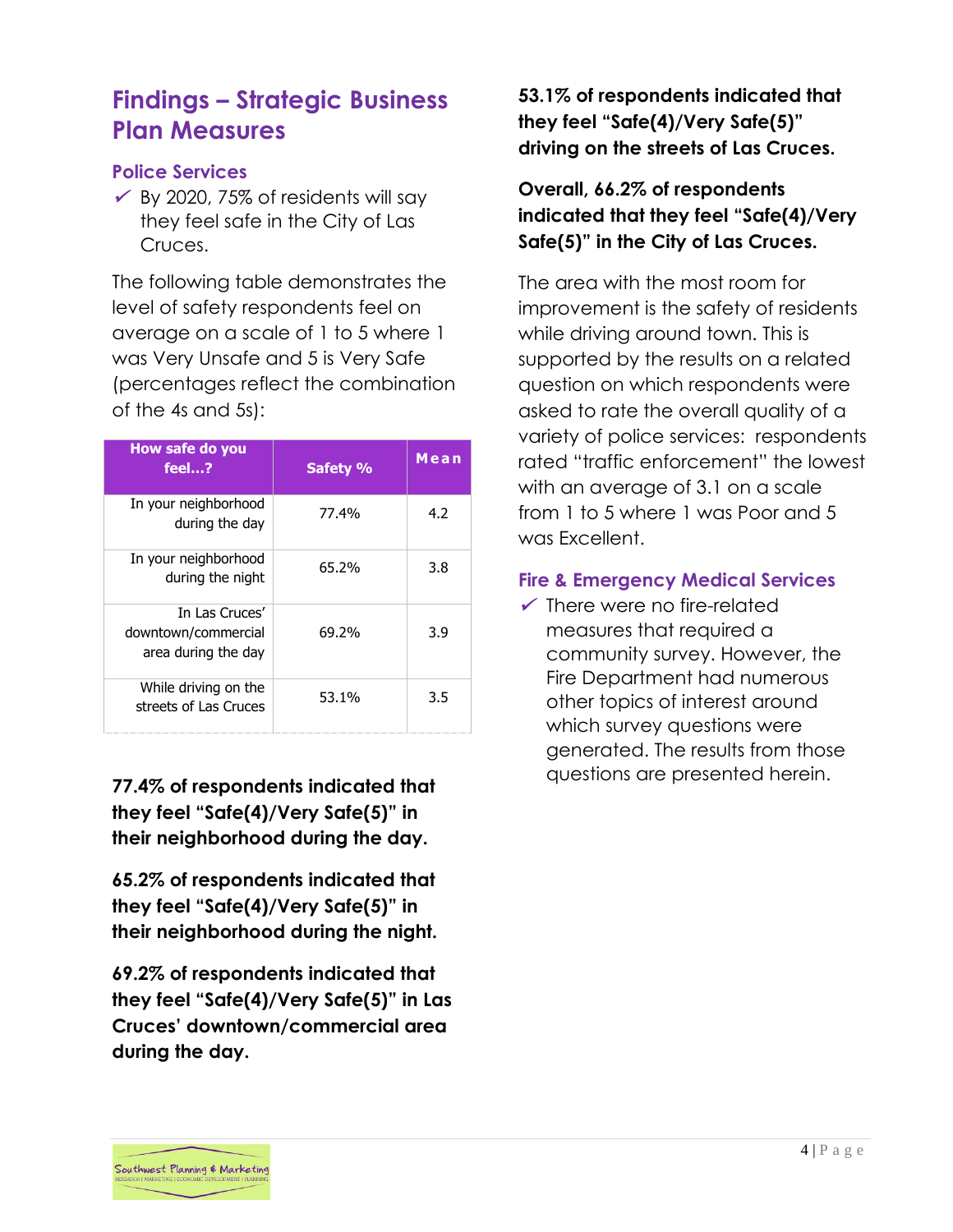# <span id="page-4-0"></span>**Findings – Strategic Business Plan Measures**

# <span id="page-4-1"></span>**Police Services**

 $\checkmark$  By 2020, 75% of residents will say they feel safe in the City of Las Cruces.

The following table demonstrates the level of safety respondents feel on average on a scale of 1 to 5 where 1 was Very Unsafe and 5 is Very Safe (percentages reflect the combination of the 4s and 5s):

| How safe do you<br>feel?                                     | Safety % | Mean |
|--------------------------------------------------------------|----------|------|
| In your neighborhood<br>during the day                       | 77.4%    | 4.2  |
| In your neighborhood<br>during the night                     | 65.2%    | 3.8  |
| In Las Cruces'<br>downtown/commercial<br>area during the day | 69.2%    | 3.9  |
| While driving on the<br>streets of Las Cruces                | 53.1%    | 3.5  |

**77.4% of respondents indicated that they feel "Safe(4)/Very Safe(5)" in their neighborhood during the day.**

**65.2% of respondents indicated that they feel "Safe(4)/Very Safe(5)" in their neighborhood during the night.**

**69.2% of respondents indicated that they feel "Safe(4)/Very Safe(5)" in Las Cruces' downtown/commercial area during the day.**

# **53.1% of respondents indicated that they feel "Safe(4)/Very Safe(5)" driving on the streets of Las Cruces.**

# **Overall, 66.2% of respondents indicated that they feel "Safe(4)/Very Safe(5)" in the City of Las Cruces.**

The area with the most room for improvement is the safety of residents while driving around town. This is supported by the results on a related question on which respondents were asked to rate the overall quality of a variety of police services: respondents rated "traffic enforcement" the lowest with an average of 3.1 on a scale from 1 to 5 where 1 was Poor and 5 was Excellent.

# <span id="page-4-2"></span>**Fire & Emergency Medical Services**

 $\checkmark$  There were no fire-related measures that required a community survey. However, the Fire Department had numerous other topics of interest around which survey questions were generated. The results from those questions are presented herein.

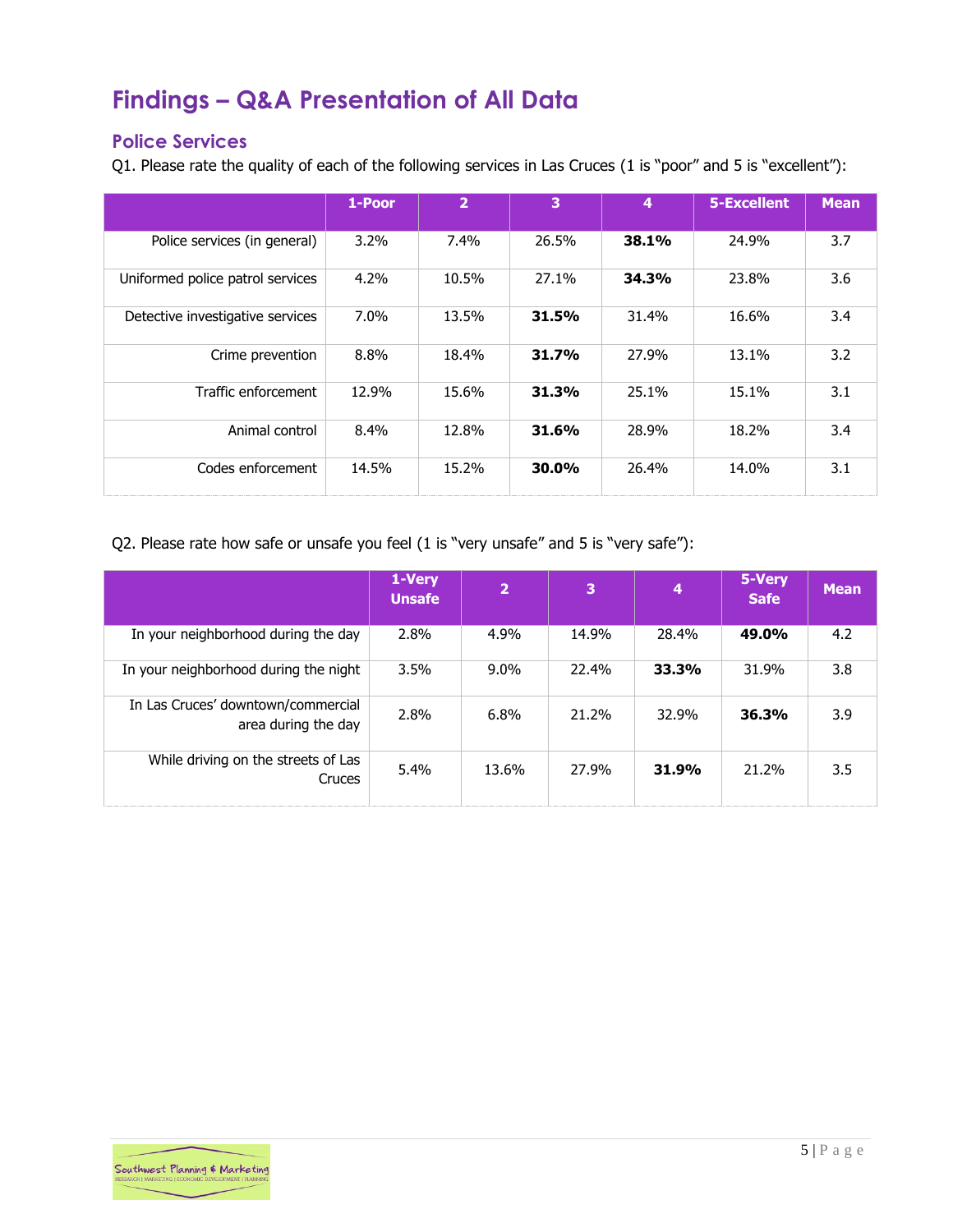# <span id="page-5-0"></span>**Findings – Q&A Presentation of All Data**

# <span id="page-5-1"></span>**Police Services**

Q1. Please rate the quality of each of the following services in Las Cruces (1 is "poor" and 5 is "excellent"):

|                                  | 1-Poor  | 2       | 3     | $\boldsymbol{4}$ | 5-Excellent | <b>Mean</b> |
|----------------------------------|---------|---------|-------|------------------|-------------|-------------|
| Police services (in general)     | $3.2\%$ | $7.4\%$ | 26.5% | 38.1%            | 24.9%       | 3.7         |
| Uniformed police patrol services | 4.2%    | 10.5%   | 27.1% | 34.3%            | 23.8%       | 3.6         |
| Detective investigative services | $7.0\%$ | 13.5%   | 31.5% | 31.4%            | 16.6%       | 3.4         |
| Crime prevention                 | 8.8%    | 18.4%   | 31.7% | 27.9%            | 13.1%       | 3.2         |
| Traffic enforcement              | 12.9%   | 15.6%   | 31.3% | 25.1%            | 15.1%       | 3.1         |
| Animal control                   | 8.4%    | 12.8%   | 31.6% | 28.9%            | 18.2%       | 3.4         |
| Codes enforcement                | 14.5%   | 15.2%   | 30.0% | 26.4%            | 14.0%       | 3.1         |

Q2. Please rate how safe or unsafe you feel (1 is "very unsafe" and 5 is "very safe"):

|                                                           | 1-Very<br><b>Unsafe</b> | $\overline{2}$ | 3     | 4     | 5-Very<br><b>Safe</b> | <b>Mean</b> |
|-----------------------------------------------------------|-------------------------|----------------|-------|-------|-----------------------|-------------|
| In your neighborhood during the day                       | 2.8%                    | 4.9%           | 14.9% | 28.4% | 49.0%                 | 4.2         |
| In your neighborhood during the night                     | 3.5%                    | $9.0\%$        | 22.4% | 33.3% | 31.9%                 | 3.8         |
| In Las Cruces' downtown/commercial<br>area during the day | 2.8%                    | 6.8%           | 21.2% | 32.9% | 36.3%                 | 3.9         |
| While driving on the streets of Las<br>Cruces             | 5.4%                    | 13.6%          | 27.9% | 31.9% | 21.2%                 | 3.5         |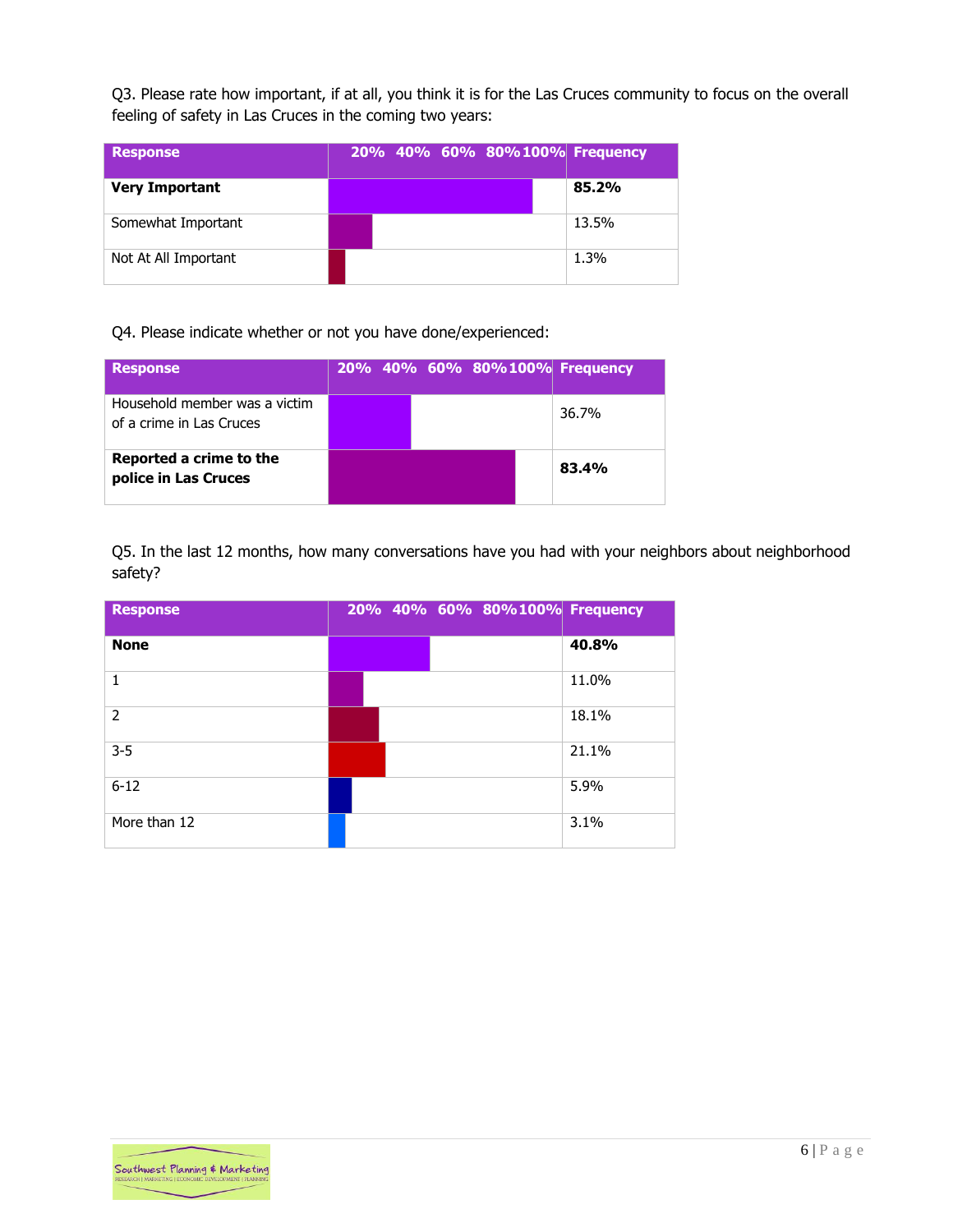Q3. Please rate how important, if at all, you think it is for the Las Cruces community to focus on the overall feeling of safety in Las Cruces in the coming two years:

| <b>Response</b>       | 20% 40% 60% 80%100% Frequency |       |
|-----------------------|-------------------------------|-------|
| <b>Very Important</b> |                               | 85.2% |
| Somewhat Important    |                               | 13.5% |
| Not At All Important  |                               | 1.3%  |

Q4. Please indicate whether or not you have done/experienced:

| <b>Response</b>                                           |  |  | 20% 40% 60% 80%100% Frequency |
|-----------------------------------------------------------|--|--|-------------------------------|
| Household member was a victim<br>of a crime in Las Cruces |  |  | 36.7%                         |
| Reported a crime to the<br>police in Las Cruces           |  |  | 83.4%                         |

Q5. In the last 12 months, how many conversations have you had with your neighbors about neighborhood safety?

| <b>Response</b> |  | 20% 40% 60% 80%100% Frequency |       |
|-----------------|--|-------------------------------|-------|
| <b>None</b>     |  |                               | 40.8% |
| 1               |  |                               | 11.0% |
| $\overline{2}$  |  |                               | 18.1% |
| $3 - 5$         |  |                               | 21.1% |
| $6 - 12$        |  |                               | 5.9%  |
| More than 12    |  |                               | 3.1%  |

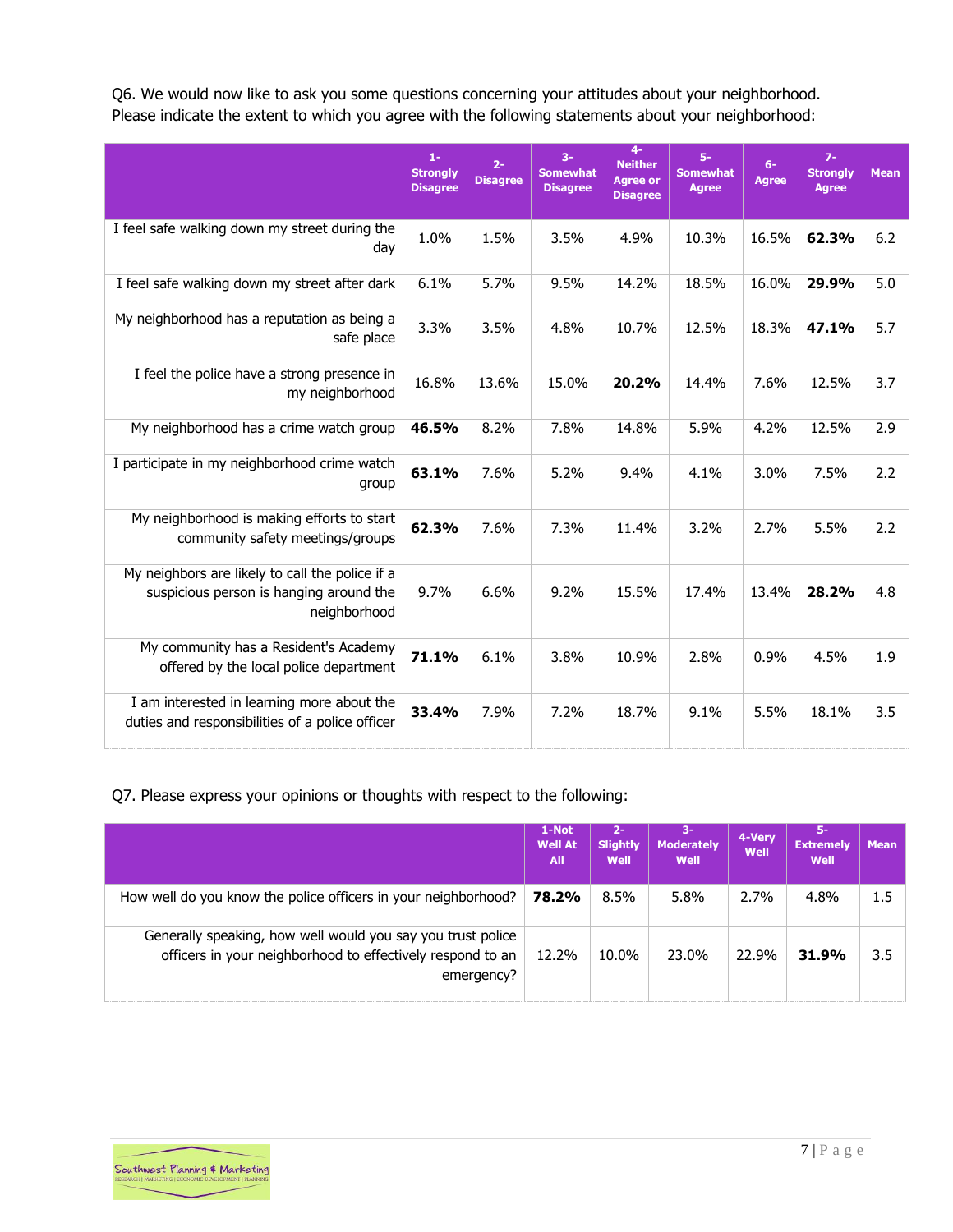Q6. We would now like to ask you some questions concerning your attitudes about your neighborhood. Please indicate the extent to which you agree with the following statements about your neighborhood:

|                                                                                                            | $1 -$<br><b>Strongly</b><br><b>Disagree</b> | $2 -$<br><b>Disagree</b> | $3-$<br><b>Somewhat</b><br><b>Disagree</b> | $4-$<br><b>Neither</b><br><b>Agree or</b><br><b>Disagree</b> | $5-$<br><b>Somewhat</b><br><b>Agree</b> | $6-$<br><b>Agree</b> | $7-$<br><b>Strongly</b><br><b>Agree</b> | <b>Mean</b> |
|------------------------------------------------------------------------------------------------------------|---------------------------------------------|--------------------------|--------------------------------------------|--------------------------------------------------------------|-----------------------------------------|----------------------|-----------------------------------------|-------------|
| I feel safe walking down my street during the<br>day                                                       | 1.0%                                        | 1.5%                     | 3.5%                                       | 4.9%                                                         | 10.3%                                   | 16.5%                | 62.3%                                   | 6.2         |
| I feel safe walking down my street after dark                                                              | 6.1%                                        | 5.7%                     | 9.5%                                       | 14.2%                                                        | 18.5%                                   | 16.0%                | 29.9%                                   | 5.0         |
| My neighborhood has a reputation as being a<br>safe place                                                  | 3.3%                                        | 3.5%                     | 4.8%                                       | 10.7%                                                        | 12.5%                                   | 18.3%                | 47.1%                                   | 5.7         |
| I feel the police have a strong presence in<br>my neighborhood                                             | 16.8%                                       | 13.6%                    | 15.0%                                      | 20.2%                                                        | 14.4%                                   | 7.6%                 | 12.5%                                   | 3.7         |
| My neighborhood has a crime watch group                                                                    | 46.5%                                       | 8.2%                     | 7.8%                                       | 14.8%                                                        | 5.9%                                    | 4.2%                 | 12.5%                                   | 2.9         |
| I participate in my neighborhood crime watch<br>group                                                      | 63.1%                                       | 7.6%                     | 5.2%                                       | 9.4%                                                         | 4.1%                                    | 3.0%                 | 7.5%                                    | 2.2         |
| My neighborhood is making efforts to start<br>community safety meetings/groups                             | 62.3%                                       | 7.6%                     | 7.3%                                       | 11.4%                                                        | 3.2%                                    | 2.7%                 | 5.5%                                    | 2.2         |
| My neighbors are likely to call the police if a<br>suspicious person is hanging around the<br>neighborhood | 9.7%                                        | 6.6%                     | 9.2%                                       | 15.5%                                                        | 17.4%                                   | 13.4%                | 28.2%                                   | 4.8         |
| My community has a Resident's Academy<br>offered by the local police department                            | 71.1%                                       | 6.1%                     | 3.8%                                       | 10.9%                                                        | 2.8%                                    | 0.9%                 | 4.5%                                    | 1.9         |
| I am interested in learning more about the<br>duties and responsibilities of a police officer              | 33.4%                                       | 7.9%                     | 7.2%                                       | 18.7%                                                        | 9.1%                                    | 5.5%                 | 18.1%                                   | 3.5         |

# Q7. Please express your opinions or thoughts with respect to the following:

|                                                                                                                                         | 1-Not<br><b>Well At</b><br>All | $2 -$<br><b>Slightly</b><br>Well | $3-$<br><b>Moderately</b><br>Well | 4-Very<br>Well | 5-<br><b>Extremely</b><br>Well | <b>Mean</b> |
|-----------------------------------------------------------------------------------------------------------------------------------------|--------------------------------|----------------------------------|-----------------------------------|----------------|--------------------------------|-------------|
| How well do you know the police officers in your neighborhood?                                                                          | 78.2%                          | 8.5%                             | 5.8%                              | 2.7%           | 4.8%                           | 1.5         |
| Generally speaking, how well would you say you trust police<br>officers in your neighborhood to effectively respond to an<br>emergency? | 12.2%                          | 10.0%                            | 23.0%                             | 22.9%          | 31.9%                          | 3.5         |

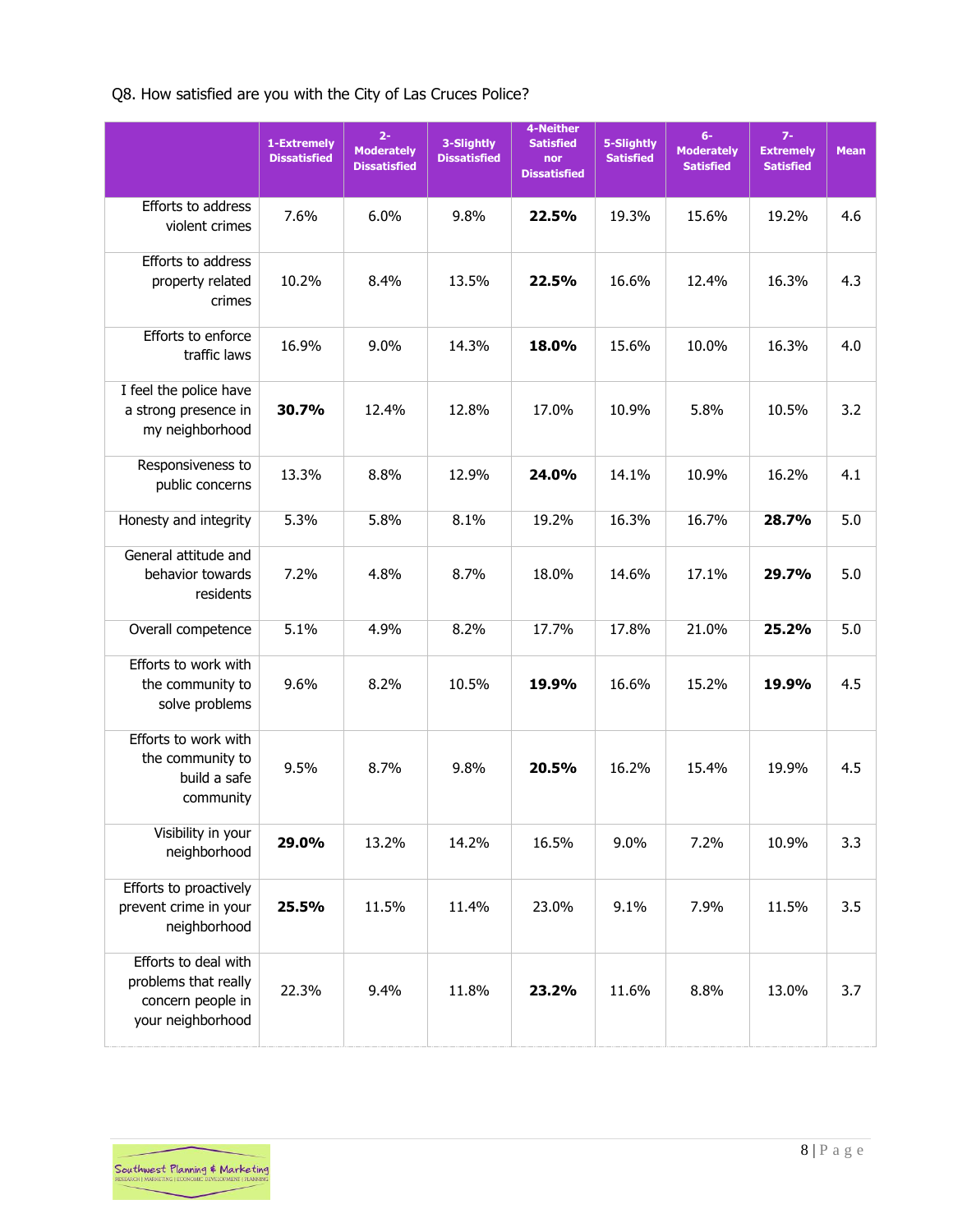# Q8. How satisfied are you with the City of Las Cruces Police?

|                                                                                        | 1-Extremely<br><b>Dissatisfied</b> | $2 -$<br><b>Moderately</b><br><b>Dissatisfied</b> | 3-Slightly<br><b>Dissatisfied</b> | 4-Neither<br><b>Satisfied</b><br>nor<br><b>Dissatisfied</b> | 5-Slightly<br><b>Satisfied</b> | $6-$<br><b>Moderately</b><br><b>Satisfied</b> | $7-$<br><b>Extremely</b><br><b>Satisfied</b> | <b>Mean</b> |
|----------------------------------------------------------------------------------------|------------------------------------|---------------------------------------------------|-----------------------------------|-------------------------------------------------------------|--------------------------------|-----------------------------------------------|----------------------------------------------|-------------|
| Efforts to address<br>violent crimes                                                   | 7.6%                               | 6.0%                                              | 9.8%                              | 22.5%                                                       | 19.3%                          | 15.6%                                         | 19.2%                                        | 4.6         |
| Efforts to address<br>property related<br>crimes                                       | 10.2%                              | 8.4%                                              | 13.5%                             | 22.5%                                                       | 16.6%                          | 12.4%                                         | 16.3%                                        | 4.3         |
| Efforts to enforce<br>traffic laws                                                     | 16.9%                              | 9.0%                                              | 14.3%                             | 18.0%                                                       | 15.6%                          | 10.0%                                         | 16.3%                                        | 4.0         |
| I feel the police have<br>a strong presence in<br>my neighborhood                      | 30.7%                              | 12.4%                                             | 12.8%                             | 17.0%                                                       | 10.9%                          | 5.8%                                          | 10.5%                                        | 3.2         |
| Responsiveness to<br>public concerns                                                   | 13.3%                              | 8.8%                                              | 12.9%                             | 24.0%                                                       | 14.1%                          | 10.9%                                         | 16.2%                                        | 4.1         |
| Honesty and integrity                                                                  | 5.3%                               | 5.8%                                              | 8.1%                              | 19.2%                                                       | 16.3%                          | 16.7%                                         | 28.7%                                        | 5.0         |
| General attitude and<br>behavior towards<br>residents                                  | 7.2%                               | 4.8%                                              | 8.7%                              | 18.0%                                                       | 14.6%                          | 17.1%                                         | 29.7%                                        | 5.0         |
| Overall competence                                                                     | 5.1%                               | 4.9%                                              | 8.2%                              | 17.7%                                                       | 17.8%                          | 21.0%                                         | 25.2%                                        | 5.0         |
| Efforts to work with<br>the community to<br>solve problems                             | 9.6%                               | 8.2%                                              | 10.5%                             | 19.9%                                                       | 16.6%                          | 15.2%                                         | 19.9%                                        | 4.5         |
| Efforts to work with<br>the community to<br>build a safe<br>community                  | 9.5%                               | 8.7%                                              | 9.8%                              | 20.5%                                                       | 16.2%                          | 15.4%                                         | 19.9%                                        | 4.5         |
| Visibility in your<br>neighborhood                                                     | 29.0%                              | 13.2%                                             | 14.2%                             | 16.5%                                                       | 9.0%                           | 7.2%                                          | 10.9%                                        | 3.3         |
| Efforts to proactively<br>prevent crime in your<br>neighborhood                        | 25.5%                              | 11.5%                                             | 11.4%                             | 23.0%                                                       | 9.1%                           | 7.9%                                          | 11.5%                                        | 3.5         |
| Efforts to deal with<br>problems that really<br>concern people in<br>your neighborhood | 22.3%                              | 9.4%                                              | 11.8%                             | 23.2%                                                       | 11.6%                          | 8.8%                                          | 13.0%                                        | 3.7         |

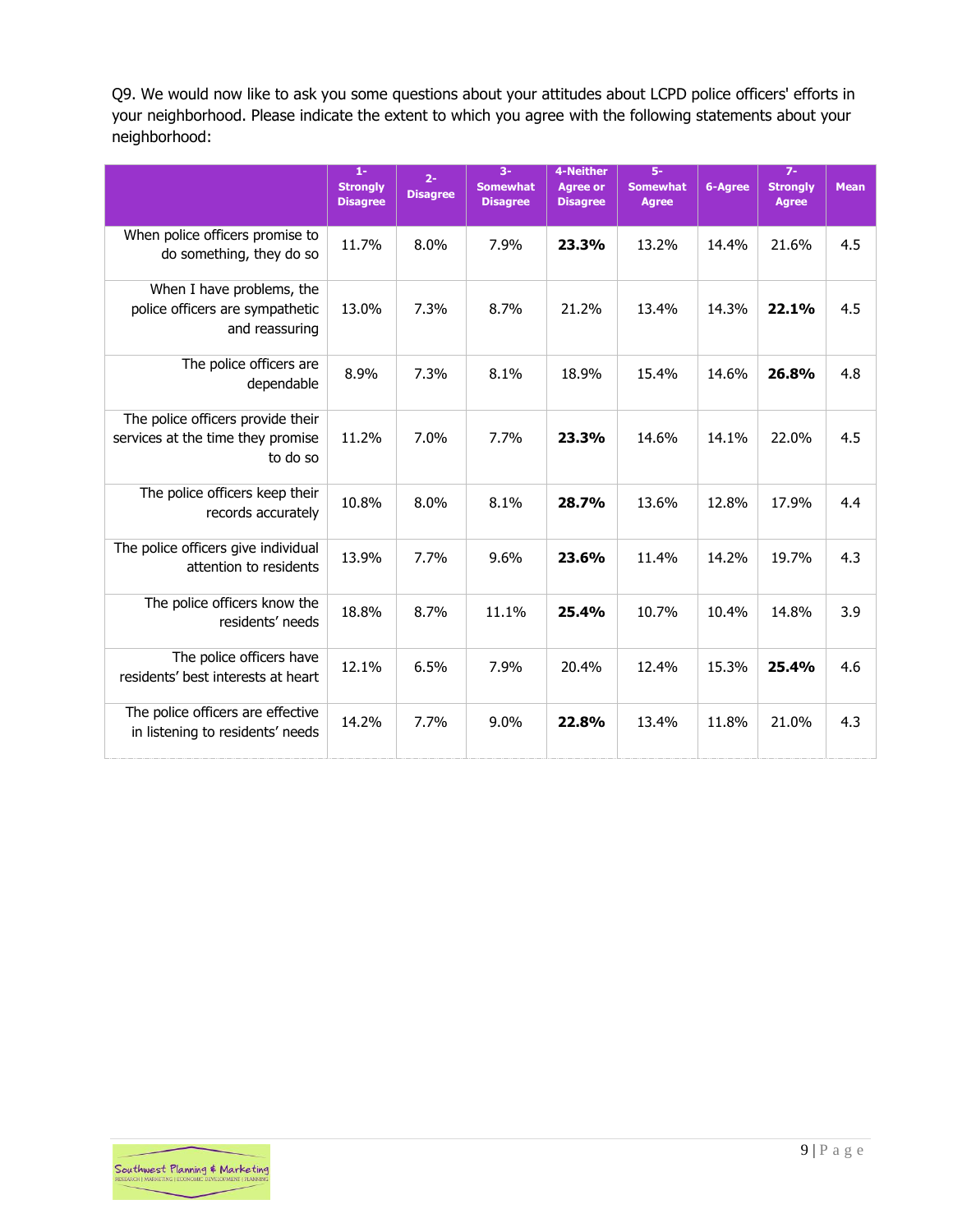Q9. We would now like to ask you some questions about your attitudes about LCPD police officers' efforts in your neighborhood. Please indicate the extent to which you agree with the following statements about your neighborhood:

|                                                                                    | $1-$<br><b>Strongly</b><br><b>Disagree</b> | $2 -$<br><b>Disagree</b> | $3-$<br><b>Somewhat</b><br><b>Disagree</b> | 4-Neither<br><b>Agree or</b><br><b>Disagree</b> | $\overline{5}$ -<br><b>Somewhat</b><br><b>Agree</b> | 6-Agree | $7 -$<br><b>Strongly</b><br><b>Agree</b> | <b>Mean</b> |
|------------------------------------------------------------------------------------|--------------------------------------------|--------------------------|--------------------------------------------|-------------------------------------------------|-----------------------------------------------------|---------|------------------------------------------|-------------|
| When police officers promise to<br>do something, they do so                        | 11.7%                                      | 8.0%                     | 7.9%                                       | 23.3%                                           | 13.2%                                               | 14.4%   | 21.6%                                    | 4.5         |
| When I have problems, the<br>police officers are sympathetic<br>and reassuring     | 13.0%                                      | 7.3%                     | 8.7%                                       | 21.2%                                           | 13.4%                                               | 14.3%   | 22.1%                                    | 4.5         |
| The police officers are<br>dependable                                              | 8.9%                                       | 7.3%                     | 8.1%                                       | 18.9%                                           | 15.4%                                               | 14.6%   | 26.8%                                    | 4.8         |
| The police officers provide their<br>services at the time they promise<br>to do so | 11.2%                                      | $7.0\%$                  | 7.7%                                       | 23.3%                                           | 14.6%                                               | 14.1%   | 22.0%                                    | 4.5         |
| The police officers keep their<br>records accurately                               | 10.8%                                      | 8.0%                     | 8.1%                                       | 28.7%                                           | 13.6%                                               | 12.8%   | 17.9%                                    | 4.4         |
| The police officers give individual<br>attention to residents                      | 13.9%                                      | 7.7%                     | 9.6%                                       | 23.6%                                           | 11.4%                                               | 14.2%   | 19.7%                                    | 4.3         |
| The police officers know the<br>residents' needs                                   | 18.8%                                      | 8.7%                     | 11.1%                                      | 25.4%                                           | 10.7%                                               | 10.4%   | 14.8%                                    | 3.9         |
| The police officers have<br>residents' best interests at heart                     | 12.1%                                      | 6.5%                     | 7.9%                                       | 20.4%                                           | 12.4%                                               | 15.3%   | 25.4%                                    | 4.6         |
| The police officers are effective<br>in listening to residents' needs              | 14.2%                                      | 7.7%                     | $9.0\%$                                    | 22.8%                                           | 13.4%                                               | 11.8%   | 21.0%                                    | 4.3         |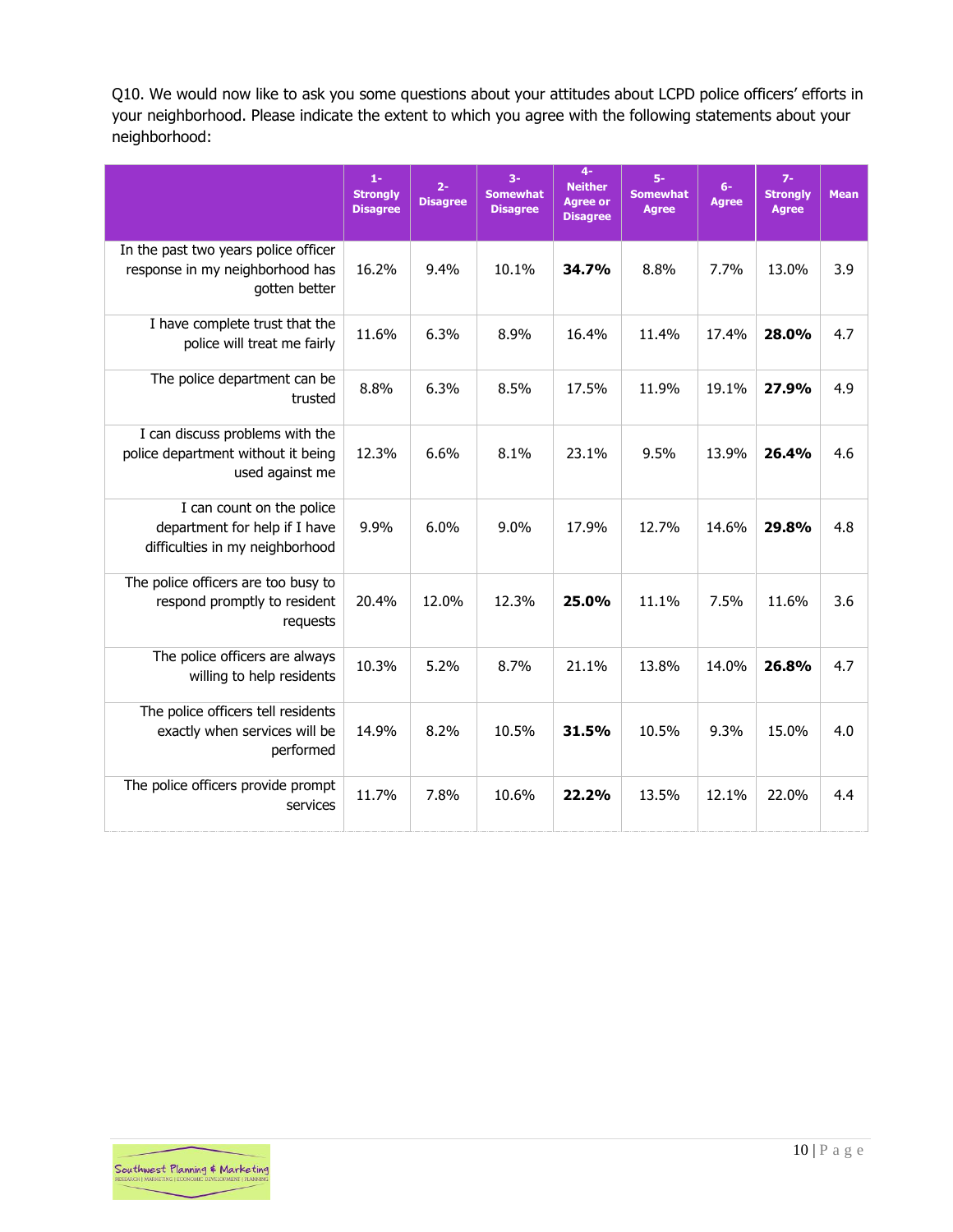Q10. We would now like to ask you some questions about your attitudes about LCPD police officers' efforts in your neighborhood. Please indicate the extent to which you agree with the following statements about your neighborhood:

|                                                                                               | $1-$<br><b>Strongly</b><br><b>Disagree</b> | $2 -$<br><b>Disagree</b> | $3-$<br><b>Somewhat</b><br><b>Disagree</b> | $\overline{4}$<br><b>Neither</b><br><b>Agree or</b><br><b>Disagree</b> | 5-<br><b>Somewhat</b><br><b>Agree</b> | $6-$<br><b>Agree</b> | $7-$<br><b>Strongly</b><br><b>Agree</b> | <b>Mean</b> |
|-----------------------------------------------------------------------------------------------|--------------------------------------------|--------------------------|--------------------------------------------|------------------------------------------------------------------------|---------------------------------------|----------------------|-----------------------------------------|-------------|
| In the past two years police officer<br>response in my neighborhood has<br>gotten better      | 16.2%                                      | 9.4%                     | 10.1%                                      | 34.7%                                                                  | 8.8%                                  | 7.7%                 | 13.0%                                   | 3.9         |
| I have complete trust that the<br>police will treat me fairly                                 | 11.6%                                      | 6.3%                     | 8.9%                                       | 16.4%                                                                  | 11.4%                                 | 17.4%                | 28.0%                                   | 4.7         |
| The police department can be<br>trusted                                                       | 8.8%                                       | 6.3%                     | 8.5%                                       | 17.5%                                                                  | 11.9%                                 | 19.1%                | 27.9%                                   | 4.9         |
| I can discuss problems with the<br>police department without it being<br>used against me      | 12.3%                                      | 6.6%                     | 8.1%                                       | 23.1%                                                                  | 9.5%                                  | 13.9%                | 26.4%                                   | 4.6         |
| I can count on the police<br>department for help if I have<br>difficulties in my neighborhood | 9.9%                                       | 6.0%                     | 9.0%                                       | 17.9%                                                                  | 12.7%                                 | 14.6%                | 29.8%                                   | 4.8         |
| The police officers are too busy to<br>respond promptly to resident<br>requests               | 20.4%                                      | 12.0%                    | 12.3%                                      | 25.0%                                                                  | 11.1%                                 | 7.5%                 | 11.6%                                   | 3.6         |
| The police officers are always<br>willing to help residents                                   | 10.3%                                      | 5.2%                     | 8.7%                                       | 21.1%                                                                  | 13.8%                                 | 14.0%                | 26.8%                                   | 4.7         |
| The police officers tell residents<br>exactly when services will be<br>performed              | 14.9%                                      | 8.2%                     | 10.5%                                      | 31.5%                                                                  | 10.5%                                 | 9.3%                 | 15.0%                                   | 4.0         |
| The police officers provide prompt<br>services                                                | 11.7%                                      | 7.8%                     | 10.6%                                      | 22.2%                                                                  | 13.5%                                 | 12.1%                | 22.0%                                   | 4.4         |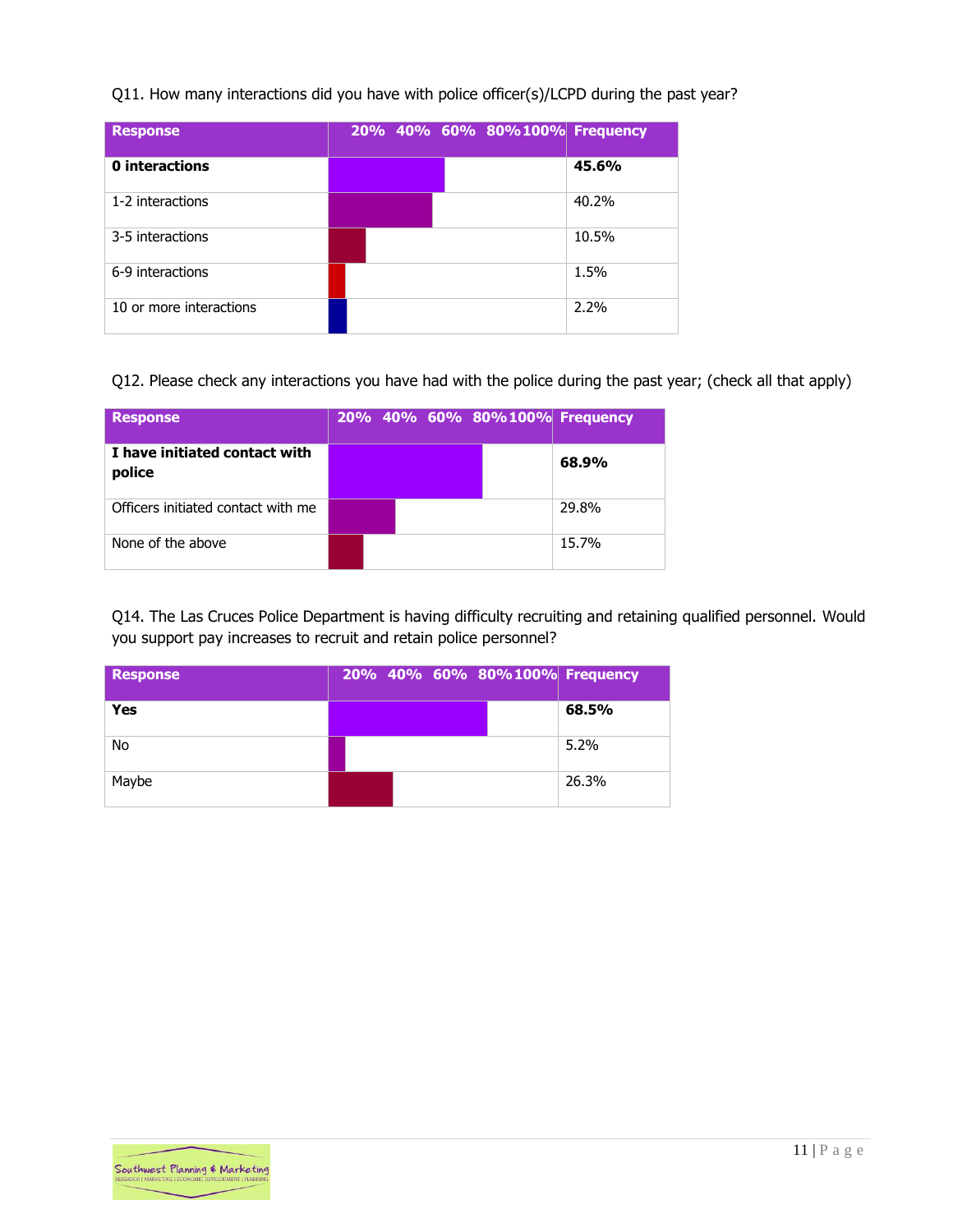#### Q11. How many interactions did you have with police officer(s)/LCPD during the past year?

| <b>Response</b>         |  | 20% 40% 60% 80%100% Frequency |         |
|-------------------------|--|-------------------------------|---------|
| 0 interactions          |  |                               | 45.6%   |
| 1-2 interactions        |  |                               | 40.2%   |
| 3-5 interactions        |  |                               | 10.5%   |
| 6-9 interactions        |  |                               | 1.5%    |
| 10 or more interactions |  |                               | $2.2\%$ |

Q12. Please check any interactions you have had with the police during the past year; (check all that apply)

| <b>Response</b>                         |  | 20% 40% 60% 80%100% Frequency |       |
|-----------------------------------------|--|-------------------------------|-------|
| I have initiated contact with<br>police |  |                               | 68.9% |
| Officers initiated contact with me      |  |                               | 29.8% |
| None of the above                       |  |                               | 15.7% |

Q14. The Las Cruces Police Department is having difficulty recruiting and retaining qualified personnel. Would you support pay increases to recruit and retain police personnel?

| <b>Response</b> | 20% 40% 60% 80%100% Frequency |       |
|-----------------|-------------------------------|-------|
| Yes             |                               | 68.5% |
| No              |                               | 5.2%  |
| Maybe           |                               | 26.3% |

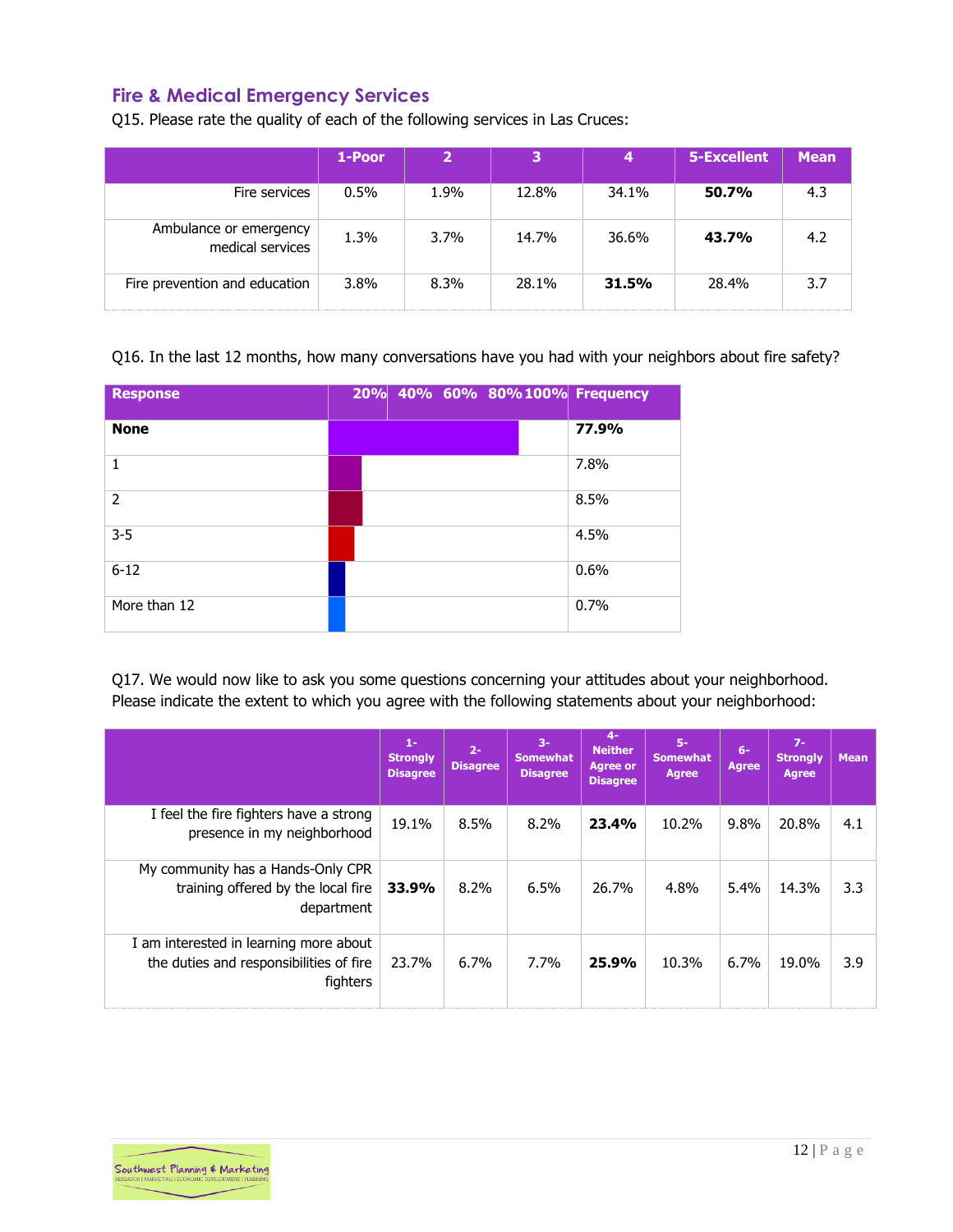# <span id="page-12-0"></span>**Fire & Medical Emergency Services**

Q15. Please rate the quality of each of the following services in Las Cruces:

|                                            | 1-Poor  | $\overline{\mathbf{2}}$ | 3     | 4     | 5-Excellent | <b>Mean</b> |
|--------------------------------------------|---------|-------------------------|-------|-------|-------------|-------------|
| Fire services                              | $0.5\%$ | 1.9%                    | 12.8% | 34.1% | 50.7%       | 4.3         |
| Ambulance or emergency<br>medical services | 1.3%    | $3.7\%$                 | 14.7% | 36.6% | 43.7%       | 4.2         |
| Fire prevention and education              | 3.8%    | 8.3%                    | 28.1% | 31.5% | 28.4%       | 3.7         |

Q16. In the last 12 months, how many conversations have you had with your neighbors about fire safety?

| <b>Response</b> | 20% 40% 60% 80%100% Frequency |       |
|-----------------|-------------------------------|-------|
| <b>None</b>     |                               | 77.9% |
| 1               |                               | 7.8%  |
| $\mathcal{P}$   |                               | 8.5%  |
| $3 - 5$         |                               | 4.5%  |
| $6 - 12$        |                               | 0.6%  |
| More than 12    |                               | 0.7%  |

Q17. We would now like to ask you some questions concerning your attitudes about your neighborhood. Please indicate the extent to which you agree with the following statements about your neighborhood:

|                                                                                               | $1-$<br><b>Strongly</b><br><b>Disagree</b> | $2 -$<br><b>Disagree</b> | $3-$<br><b>Somewhat</b><br><b>Disagree</b> | $4-$<br><b>Neither</b><br><b>Agree or</b><br><b>Disagree</b> | $5-$<br><b>Somewhat</b><br><b>Agree</b> | $6-$<br><b>Agree</b> | $7-$<br><b>Strongly</b><br><b>Agree</b> | <b>Mean</b> |
|-----------------------------------------------------------------------------------------------|--------------------------------------------|--------------------------|--------------------------------------------|--------------------------------------------------------------|-----------------------------------------|----------------------|-----------------------------------------|-------------|
| I feel the fire fighters have a strong<br>presence in my neighborhood                         | 19.1%                                      | 8.5%                     | 8.2%                                       | 23.4%                                                        | 10.2%                                   | $9.8\%$              | 20.8%                                   | 4.1         |
| My community has a Hands-Only CPR<br>training offered by the local fire<br>department         | 33.9%                                      | 8.2%                     | 6.5%                                       | 26.7%                                                        | 4.8%                                    | 5.4%                 | 14.3%                                   | 3.3         |
| I am interested in learning more about<br>the duties and responsibilities of fire<br>fighters | 23.7%                                      | 6.7%                     | 7.7%                                       | 25.9%                                                        | 10.3%                                   | 6.7%                 | 19.0%                                   | 3.9         |

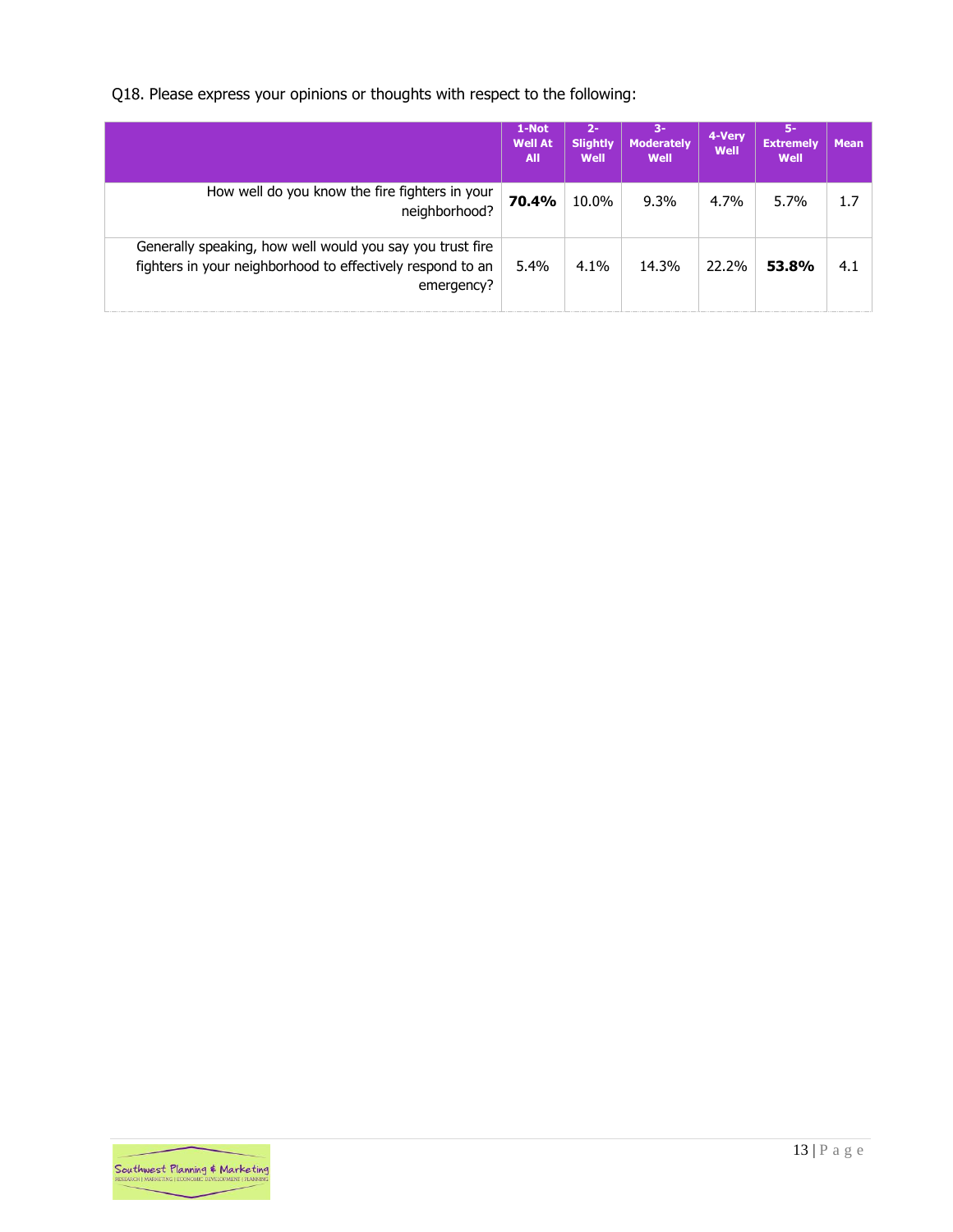Q18. Please express your opinions or thoughts with respect to the following:

|                                                                                                                                       | 1-Not<br><b>Well At</b><br><b>All</b> | $2 -$<br><b>Slightly</b><br>Well | $3-$<br><b>Moderately</b><br>Well | 4-Very<br>Well | -5<br><b>Extremely</b><br>Well | <b>Mean</b> |
|---------------------------------------------------------------------------------------------------------------------------------------|---------------------------------------|----------------------------------|-----------------------------------|----------------|--------------------------------|-------------|
| How well do you know the fire fighters in your<br>neighborhood?                                                                       | 70.4%                                 | 10.0%                            | 9.3%                              | 4.7%           | $5.7\%$                        | 1.7         |
| Generally speaking, how well would you say you trust fire<br>fighters in your neighborhood to effectively respond to an<br>emergency? | 5.4%                                  | 4.1%                             | 14.3%                             | 22.2%          | 53.8%                          | 4.1         |

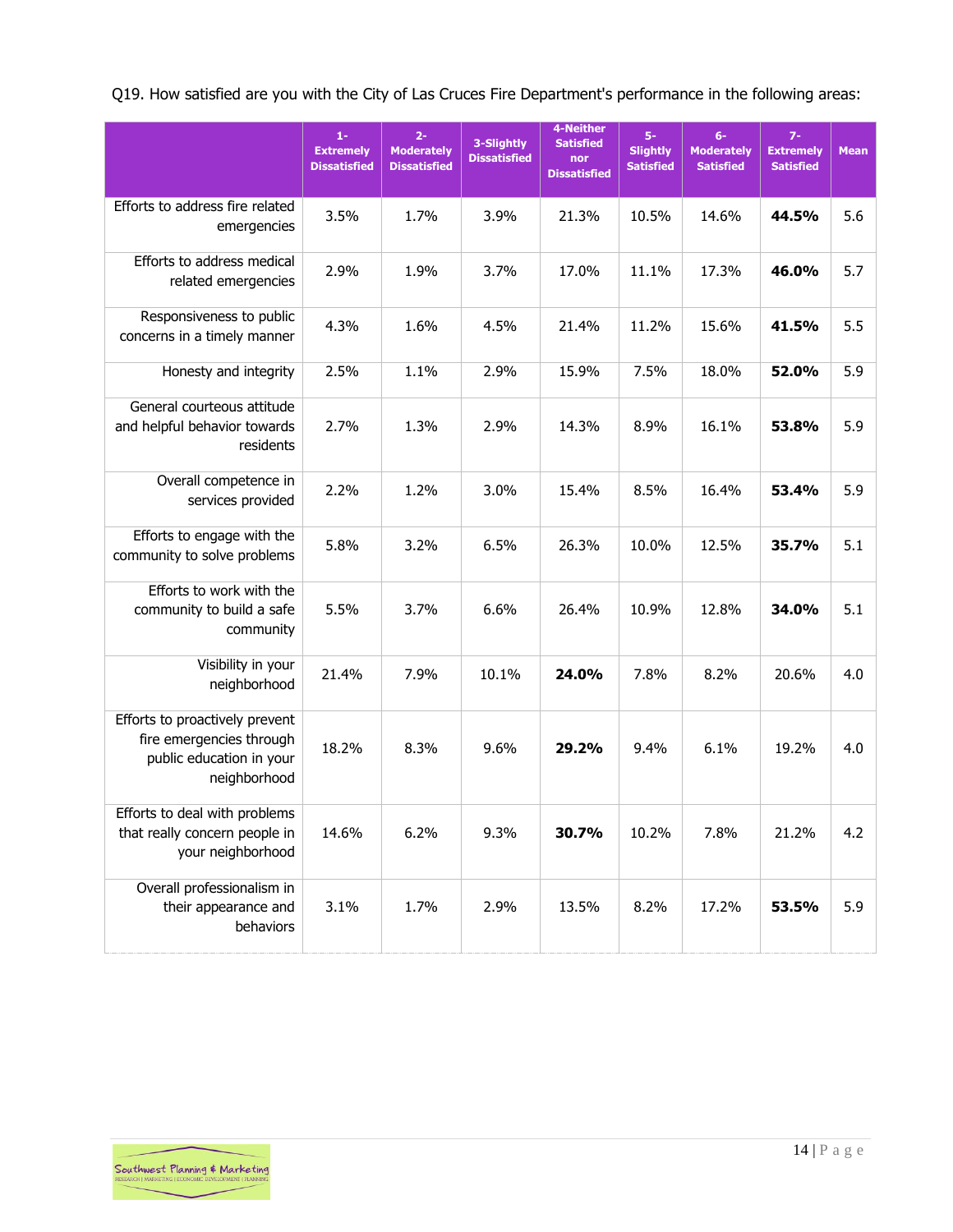Q19. How satisfied are you with the City of Las Cruces Fire Department's performance in the following areas:

|                                                                                                        | $1 -$<br><b>Extremely</b><br><b>Dissatisfied</b> | $2 -$<br><b>Moderately</b><br><b>Dissatisfied</b> | 3-Slightly<br><b>Dissatisfied</b> | 4-Neither<br><b>Satisfied</b><br>nor<br><b>Dissatisfied</b> | $5-$<br><b>Slightly</b><br><b>Satisfied</b> | $6-$<br><b>Moderately</b><br><b>Satisfied</b> | $7-$<br><b>Extremely</b><br><b>Satisfied</b> | <b>Mean</b> |
|--------------------------------------------------------------------------------------------------------|--------------------------------------------------|---------------------------------------------------|-----------------------------------|-------------------------------------------------------------|---------------------------------------------|-----------------------------------------------|----------------------------------------------|-------------|
| Efforts to address fire related<br>emergencies                                                         | 3.5%                                             | 1.7%                                              | 3.9%                              | 21.3%                                                       | 10.5%                                       | 14.6%                                         | 44.5%                                        | 5.6         |
| Efforts to address medical<br>related emergencies                                                      | 2.9%                                             | 1.9%                                              | 3.7%                              | 17.0%                                                       | 11.1%                                       | 17.3%                                         | 46.0%                                        | 5.7         |
| Responsiveness to public<br>concerns in a timely manner                                                | 4.3%                                             | 1.6%                                              | 4.5%                              | 21.4%                                                       | 11.2%                                       | 15.6%                                         | 41.5%                                        | 5.5         |
| Honesty and integrity                                                                                  | 2.5%                                             | 1.1%                                              | 2.9%                              | 15.9%                                                       | 7.5%                                        | 18.0%                                         | 52.0%                                        | 5.9         |
| General courteous attitude<br>and helpful behavior towards<br>residents                                | 2.7%                                             | 1.3%                                              | 2.9%                              | 14.3%                                                       | 8.9%                                        | 16.1%                                         | 53.8%                                        | 5.9         |
| Overall competence in<br>services provided                                                             | 2.2%                                             | 1.2%                                              | 3.0%                              | 15.4%                                                       | 8.5%                                        | 16.4%                                         | 53.4%                                        | 5.9         |
| Efforts to engage with the<br>community to solve problems                                              | 5.8%                                             | 3.2%                                              | 6.5%                              | 26.3%                                                       | 10.0%                                       | 12.5%                                         | 35.7%                                        | 5.1         |
| Efforts to work with the<br>community to build a safe<br>community                                     | 5.5%                                             | 3.7%                                              | 6.6%                              | 26.4%                                                       | 10.9%                                       | 12.8%                                         | 34.0%                                        | 5.1         |
| Visibility in your<br>neighborhood                                                                     | 21.4%                                            | 7.9%                                              | 10.1%                             | 24.0%                                                       | 7.8%                                        | 8.2%                                          | 20.6%                                        | 4.0         |
| Efforts to proactively prevent<br>fire emergencies through<br>public education in your<br>neighborhood | 18.2%                                            | 8.3%                                              | 9.6%                              | 29.2%                                                       | 9.4%                                        | 6.1%                                          | 19.2%                                        | 4.0         |
| Efforts to deal with problems<br>that really concern people in<br>your neighborhood                    | 14.6%                                            | 6.2%                                              | 9.3%                              | 30.7%                                                       | 10.2%                                       | 7.8%                                          | 21.2%                                        | 4.2         |
| Overall professionalism in<br>their appearance and<br>behaviors                                        | 3.1%                                             | 1.7%                                              | 2.9%                              | 13.5%                                                       | 8.2%                                        | 17.2%                                         | 53.5%                                        | 5.9         |

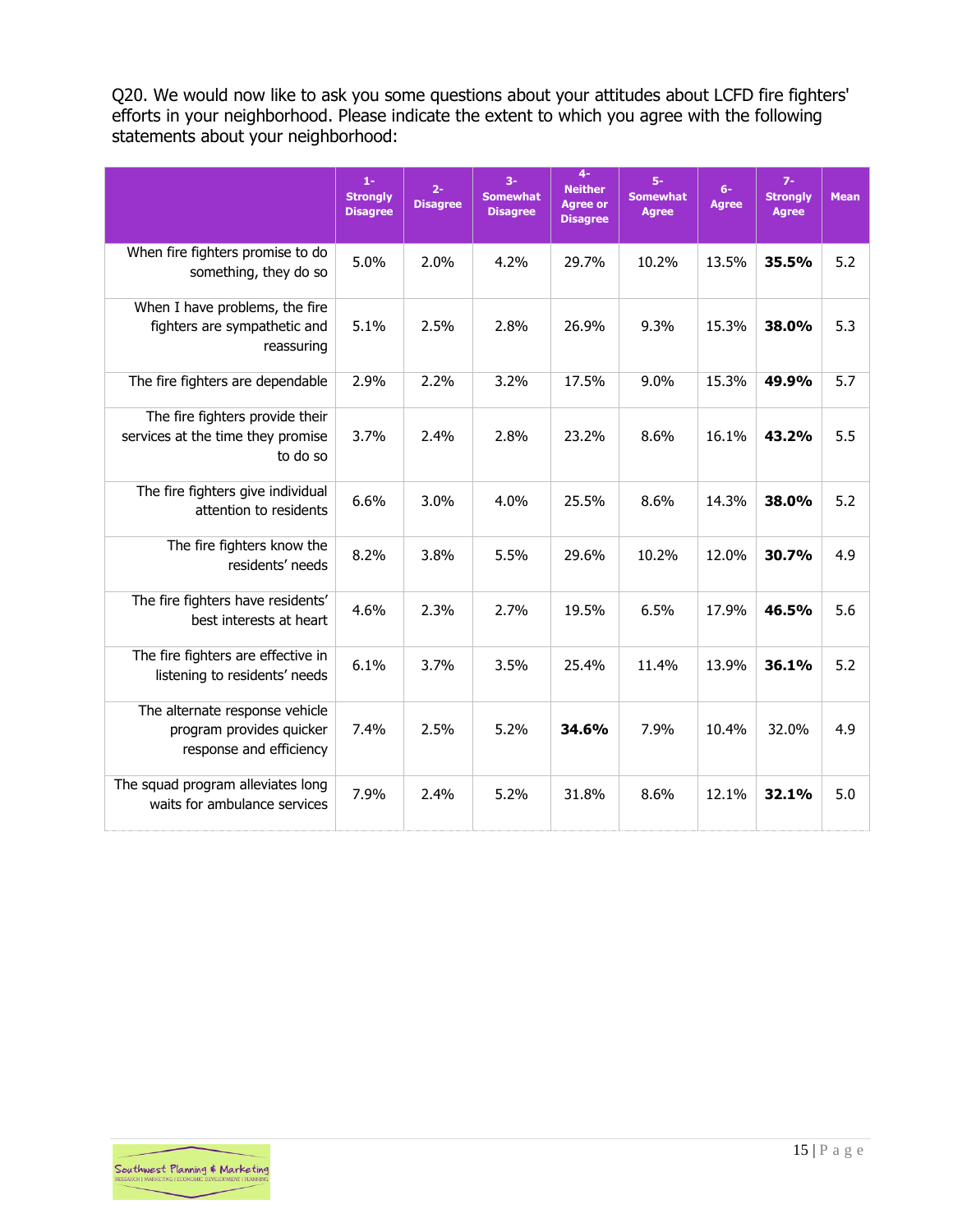Q20. We would now like to ask you some questions about your attitudes about LCFD fire fighters' efforts in your neighborhood. Please indicate the extent to which you agree with the following statements about your neighborhood:

|                                                                                       | $1-$<br><b>Strongly</b><br><b>Disagree</b> | $2 -$<br><b>Disagree</b> | $3-$<br><b>Somewhat</b><br><b>Disagree</b> | $4-$<br><b>Neither</b><br><b>Agree or</b><br><b>Disagree</b> | $5-$<br><b>Somewhat</b><br><b>Agree</b> | $6-$<br><b>Agree</b> | $7-$<br><b>Strongly</b><br><b>Agree</b> | <b>Mean</b> |
|---------------------------------------------------------------------------------------|--------------------------------------------|--------------------------|--------------------------------------------|--------------------------------------------------------------|-----------------------------------------|----------------------|-----------------------------------------|-------------|
| When fire fighters promise to do<br>something, they do so                             | 5.0%                                       | 2.0%                     | 4.2%                                       | 29.7%                                                        | 10.2%                                   | 13.5%                | 35.5%                                   | 5.2         |
| When I have problems, the fire<br>fighters are sympathetic and<br>reassuring          | 5.1%                                       | 2.5%                     | 2.8%                                       | 26.9%                                                        | 9.3%                                    | 15.3%                | 38.0%                                   | 5.3         |
| The fire fighters are dependable                                                      | 2.9%                                       | 2.2%                     | 3.2%                                       | 17.5%                                                        | 9.0%                                    | 15.3%                | 49.9%                                   | 5.7         |
| The fire fighters provide their<br>services at the time they promise<br>to do so      | 3.7%                                       | 2.4%                     | 2.8%                                       | 23.2%                                                        | 8.6%                                    | 16.1%                | 43.2%                                   | 5.5         |
| The fire fighters give individual<br>attention to residents                           | 6.6%                                       | 3.0%                     | 4.0%                                       | 25.5%                                                        | 8.6%                                    | 14.3%                | 38.0%                                   | 5.2         |
| The fire fighters know the<br>residents' needs                                        | 8.2%                                       | 3.8%                     | 5.5%                                       | 29.6%                                                        | 10.2%                                   | 12.0%                | 30.7%                                   | 4.9         |
| The fire fighters have residents'<br>best interests at heart                          | 4.6%                                       | 2.3%                     | 2.7%                                       | 19.5%                                                        | 6.5%                                    | 17.9%                | 46.5%                                   | 5.6         |
| The fire fighters are effective in<br>listening to residents' needs                   | 6.1%                                       | 3.7%                     | 3.5%                                       | 25.4%                                                        | 11.4%                                   | 13.9%                | 36.1%                                   | 5.2         |
| The alternate response vehicle<br>program provides quicker<br>response and efficiency | 7.4%                                       | 2.5%                     | 5.2%                                       | 34.6%                                                        | 7.9%                                    | 10.4%                | 32.0%                                   | 4.9         |
| The squad program alleviates long<br>waits for ambulance services                     | 7.9%                                       | 2.4%                     | 5.2%                                       | 31.8%                                                        | 8.6%                                    | 12.1%                | 32.1%                                   | 5.0         |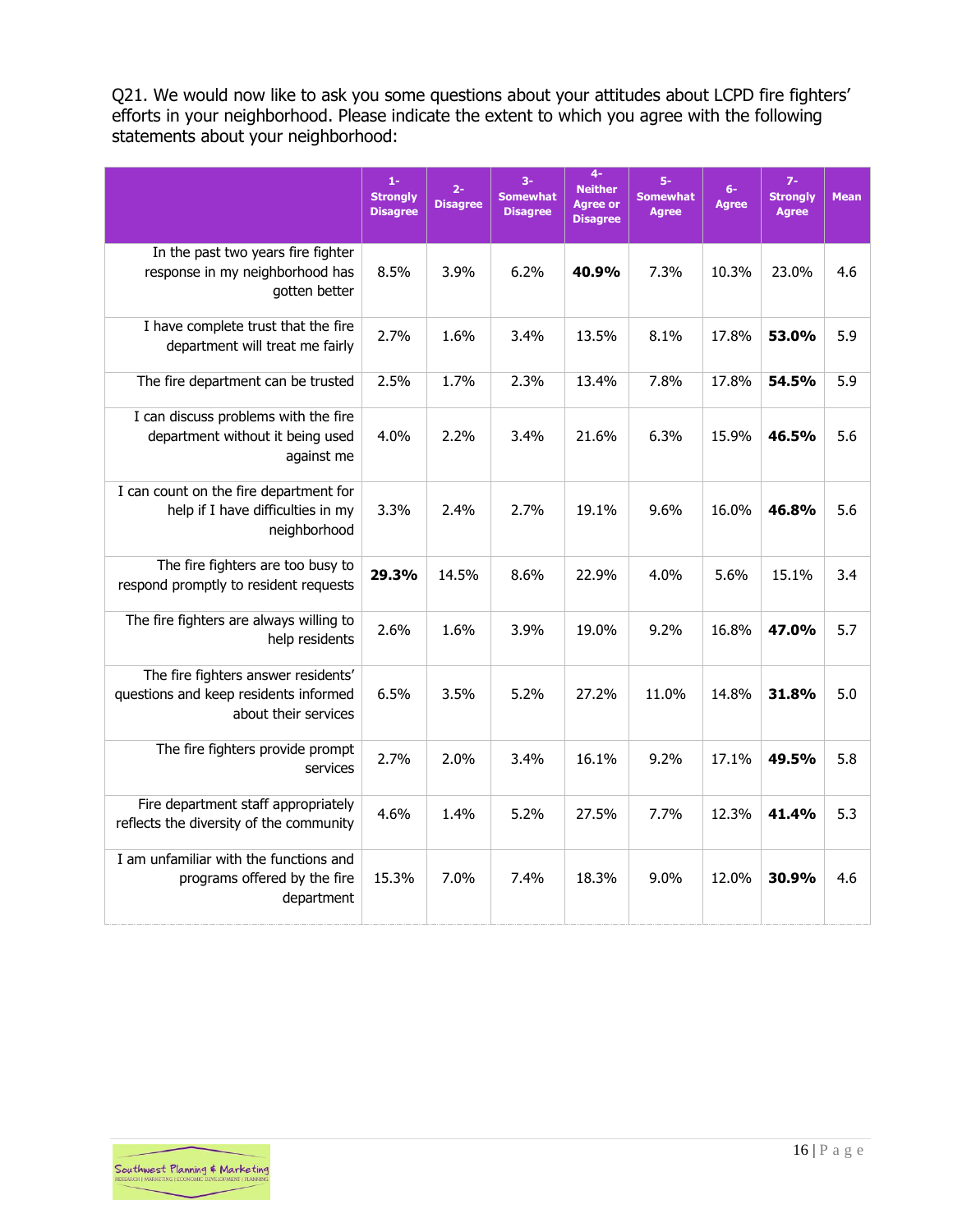Q21. We would now like to ask you some questions about your attitudes about LCPD fire fighters' efforts in your neighborhood. Please indicate the extent to which you agree with the following statements about your neighborhood:

|                                                                                                      | $1-$<br><b>Strongly</b><br><b>Disagree</b> | $2 -$<br><b>Disagree</b> | $3-$<br><b>Somewhat</b><br><b>Disagree</b> | $4-$<br><b>Neither</b><br><b>Agree or</b><br><b>Disagree</b> | $5-$<br><b>Somewhat</b><br><b>Agree</b> | $6-$<br><b>Agree</b> | $7-$<br><b>Strongly</b><br><b>Agree</b> | <b>Mean</b> |
|------------------------------------------------------------------------------------------------------|--------------------------------------------|--------------------------|--------------------------------------------|--------------------------------------------------------------|-----------------------------------------|----------------------|-----------------------------------------|-------------|
| In the past two years fire fighter<br>response in my neighborhood has<br>gotten better               | 8.5%                                       | 3.9%                     | 6.2%                                       | 40.9%                                                        | 7.3%                                    | 10.3%                | 23.0%                                   | 4.6         |
| I have complete trust that the fire<br>department will treat me fairly                               | 2.7%                                       | 1.6%                     | 3.4%                                       | 13.5%                                                        | 8.1%                                    | 17.8%                | 53.0%                                   | 5.9         |
| The fire department can be trusted                                                                   | 2.5%                                       | 1.7%                     | 2.3%                                       | 13.4%                                                        | 7.8%                                    | 17.8%                | 54.5%                                   | 5.9         |
| I can discuss problems with the fire<br>department without it being used<br>against me               | 4.0%                                       | 2.2%                     | 3.4%                                       | 21.6%                                                        | 6.3%                                    | 15.9%                | 46.5%                                   | 5.6         |
| I can count on the fire department for<br>help if I have difficulties in my<br>neighborhood          | 3.3%                                       | 2.4%                     | 2.7%                                       | 19.1%                                                        | 9.6%                                    | 16.0%                | 46.8%                                   | 5.6         |
| The fire fighters are too busy to<br>respond promptly to resident requests                           | 29.3%                                      | 14.5%                    | 8.6%                                       | 22.9%                                                        | 4.0%                                    | 5.6%                 | 15.1%                                   | 3.4         |
| The fire fighters are always willing to<br>help residents                                            | 2.6%                                       | 1.6%                     | 3.9%                                       | 19.0%                                                        | 9.2%                                    | 16.8%                | 47.0%                                   | 5.7         |
| The fire fighters answer residents'<br>questions and keep residents informed<br>about their services | 6.5%                                       | 3.5%                     | 5.2%                                       | 27.2%                                                        | 11.0%                                   | 14.8%                | 31.8%                                   | 5.0         |
| The fire fighters provide prompt<br>services                                                         | 2.7%                                       | 2.0%                     | 3.4%                                       | 16.1%                                                        | 9.2%                                    | 17.1%                | 49.5%                                   | 5.8         |
| Fire department staff appropriately<br>reflects the diversity of the community                       | 4.6%                                       | 1.4%                     | 5.2%                                       | 27.5%                                                        | 7.7%                                    | 12.3%                | 41.4%                                   | 5.3         |
| I am unfamiliar with the functions and<br>programs offered by the fire<br>department                 | 15.3%                                      | 7.0%                     | 7.4%                                       | 18.3%                                                        | 9.0%                                    | 12.0%                | 30.9%                                   | 4.6         |

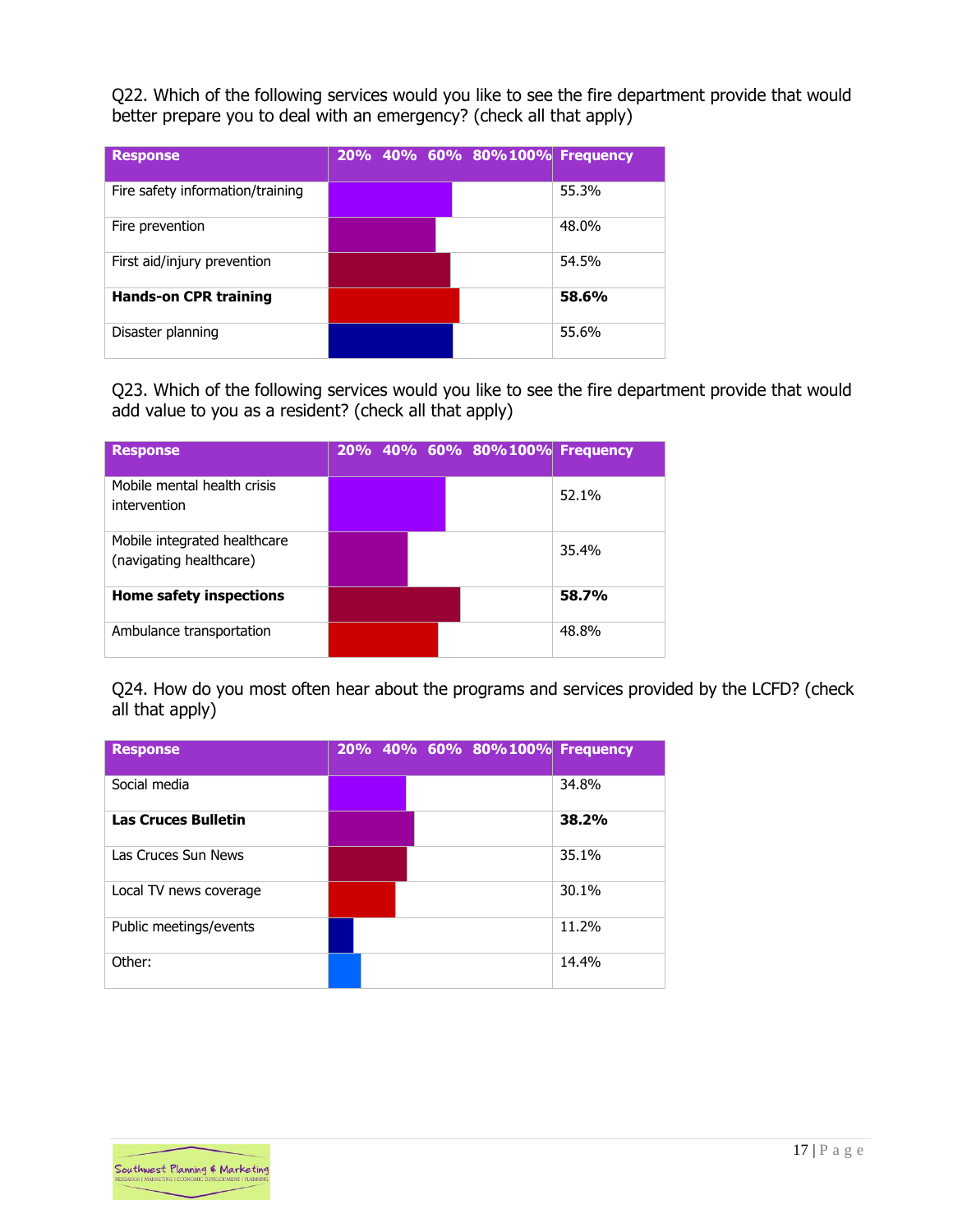Q22. Which of the following services would you like to see the fire department provide that would better prepare you to deal with an emergency? (check all that apply)

| <b>Response</b>                  |  | 20% 40% 60% 80%100% Frequency |       |
|----------------------------------|--|-------------------------------|-------|
| Fire safety information/training |  |                               | 55.3% |
| Fire prevention                  |  |                               | 48.0% |
| First aid/injury prevention      |  |                               | 54.5% |
| <b>Hands-on CPR training</b>     |  |                               | 58.6% |
| Disaster planning                |  |                               | 55.6% |

Q23. Which of the following services would you like to see the fire department provide that would add value to you as a resident? (check all that apply)

| <b>Response</b>                                         |  |  | 20% 40% 60% 80%100% Frequency |       |
|---------------------------------------------------------|--|--|-------------------------------|-------|
| Mobile mental health crisis<br>intervention             |  |  |                               | 52.1% |
| Mobile integrated healthcare<br>(navigating healthcare) |  |  |                               | 35.4% |
| Home safety inspections                                 |  |  |                               | 58.7% |
| Ambulance transportation                                |  |  |                               | 48.8% |

Q24. How do you most often hear about the programs and services provided by the LCFD? (check all that apply)

| <b>Response</b>            |  | 20% 40% 60% 80%100% Frequency |       |
|----------------------------|--|-------------------------------|-------|
| Social media               |  |                               | 34.8% |
| <b>Las Cruces Bulletin</b> |  |                               | 38.2% |
| Las Cruces Sun News        |  |                               | 35.1% |
| Local TV news coverage     |  |                               | 30.1% |
| Public meetings/events     |  |                               | 11.2% |
| Other:                     |  |                               | 14.4% |

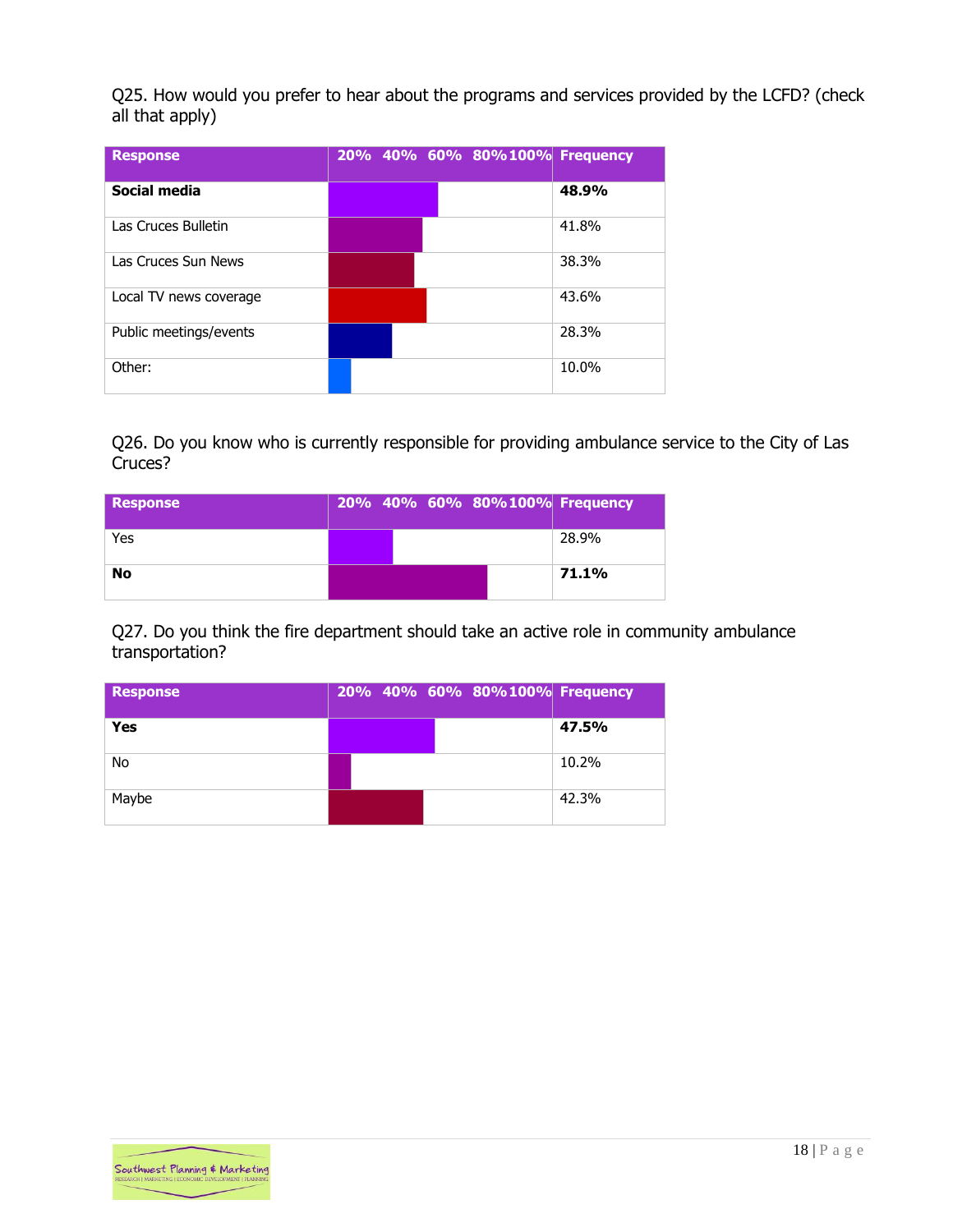Q25. How would you prefer to hear about the programs and services provided by the LCFD? (check all that apply)

| <b>Response</b>        |  | 20% 40% 60% 80%100% Frequency |       |
|------------------------|--|-------------------------------|-------|
| Social media           |  |                               | 48.9% |
| Las Cruces Bulletin    |  |                               | 41.8% |
| Las Cruces Sun News    |  |                               | 38.3% |
| Local TV news coverage |  |                               | 43.6% |
| Public meetings/events |  |                               | 28.3% |
| Other:                 |  |                               | 10.0% |

Q26. Do you know who is currently responsible for providing ambulance service to the City of Las Cruces?

| <b>Response</b> |  | 20% 40% 60% 80%100% Frequency |       |
|-----------------|--|-------------------------------|-------|
| Yes             |  |                               | 28.9% |
| <b>No</b>       |  |                               | 71.1% |

Q27. Do you think the fire department should take an active role in community ambulance transportation?

| <b>Response</b> |  | 20% 40% 60% 80%100% Frequency |       |
|-----------------|--|-------------------------------|-------|
| Yes             |  |                               | 47.5% |
| <b>No</b>       |  |                               | 10.2% |
| Maybe           |  |                               | 42.3% |

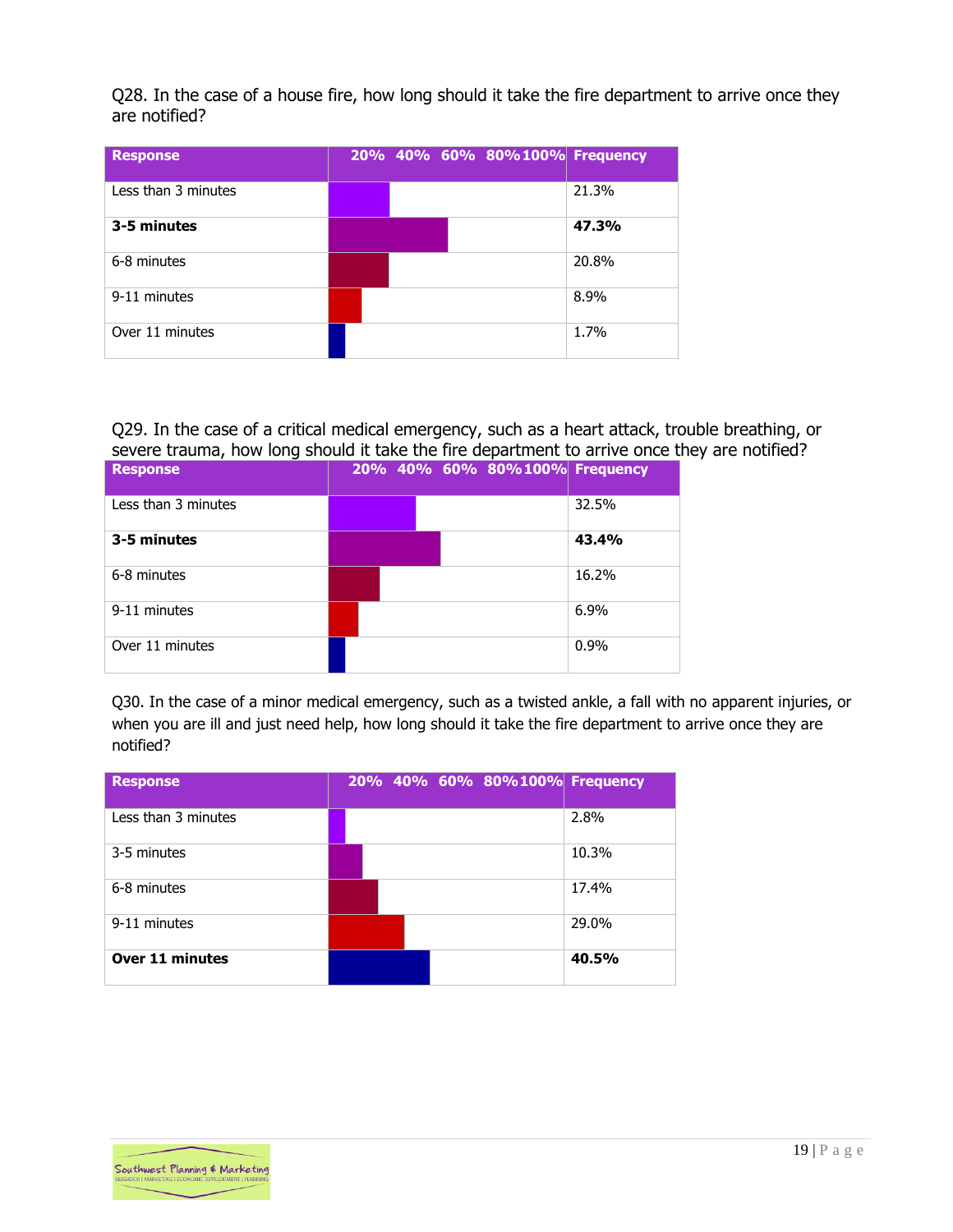Q28. In the case of a house fire, how long should it take the fire department to arrive once they are notified?

| <b>Response</b>     |  | 20% 40% 60% 80%100% Frequency |       |
|---------------------|--|-------------------------------|-------|
| Less than 3 minutes |  |                               | 21.3% |
| 3-5 minutes         |  |                               | 47.3% |
| 6-8 minutes         |  |                               | 20.8% |
| 9-11 minutes        |  |                               | 8.9%  |
| Over 11 minutes     |  |                               | 1.7%  |

Q29. In the case of a critical medical emergency, such as a heart attack, trouble breathing, or severe trauma, how long should it take the fire department to arrive once they are notified?

| <b>Response</b>     |  |  | 20% 40% 60% 80%100% Frequency |       |
|---------------------|--|--|-------------------------------|-------|
| Less than 3 minutes |  |  |                               | 32.5% |
| 3-5 minutes         |  |  |                               | 43.4% |
| 6-8 minutes         |  |  |                               | 16.2% |
| 9-11 minutes        |  |  |                               | 6.9%  |
| Over 11 minutes     |  |  |                               | 0.9%  |

Q30. In the case of a minor medical emergency, such as a twisted ankle, a fall with no apparent injuries, or when you are ill and just need help, how long should it take the fire department to arrive once they are notified?

| <b>Response</b>        |  |  |  | 20% 40% 60% 80%100% Frequency |
|------------------------|--|--|--|-------------------------------|
| Less than 3 minutes    |  |  |  | 2.8%                          |
| 3-5 minutes            |  |  |  | 10.3%                         |
| 6-8 minutes            |  |  |  | 17.4%                         |
| 9-11 minutes           |  |  |  | 29.0%                         |
| <b>Over 11 minutes</b> |  |  |  | 40.5%                         |

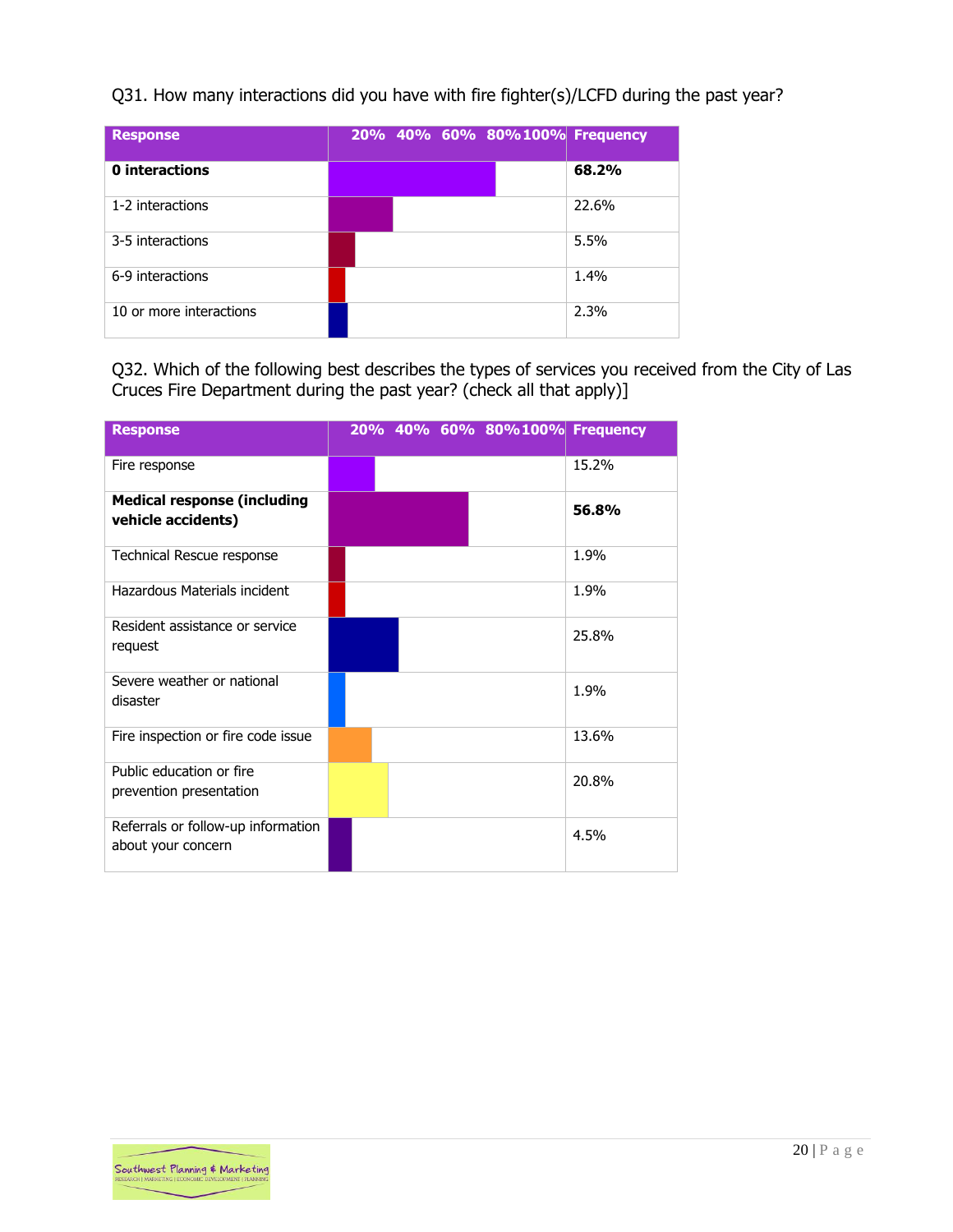Q31. How many interactions did you have with fire fighter(s)/LCFD during the past year?

| <b>Response</b>         | 20% 40% 60% 80%100% Frequency |       |
|-------------------------|-------------------------------|-------|
| 0 interactions          |                               | 68.2% |
| 1-2 interactions        |                               | 22.6% |
| 3-5 interactions        |                               | 5.5%  |
| 6-9 interactions        |                               | 1.4%  |
| 10 or more interactions |                               | 2.3%  |

Q32. Which of the following best describes the types of services you received from the City of Las Cruces Fire Department during the past year? (check all that apply)]

| <b>Response</b>                                          |  | 20% 40% 60% 80%100% Frequency |       |
|----------------------------------------------------------|--|-------------------------------|-------|
| Fire response                                            |  |                               | 15.2% |
| <b>Medical response (including</b><br>vehicle accidents) |  |                               | 56.8% |
| Technical Rescue response                                |  |                               | 1.9%  |
| Hazardous Materials incident                             |  |                               | 1.9%  |
| Resident assistance or service<br>request                |  |                               | 25.8% |
| Severe weather or national<br>disaster                   |  |                               | 1.9%  |
| Fire inspection or fire code issue                       |  |                               | 13.6% |
| Public education or fire<br>prevention presentation      |  |                               | 20.8% |
| Referrals or follow-up information<br>about your concern |  |                               | 4.5%  |

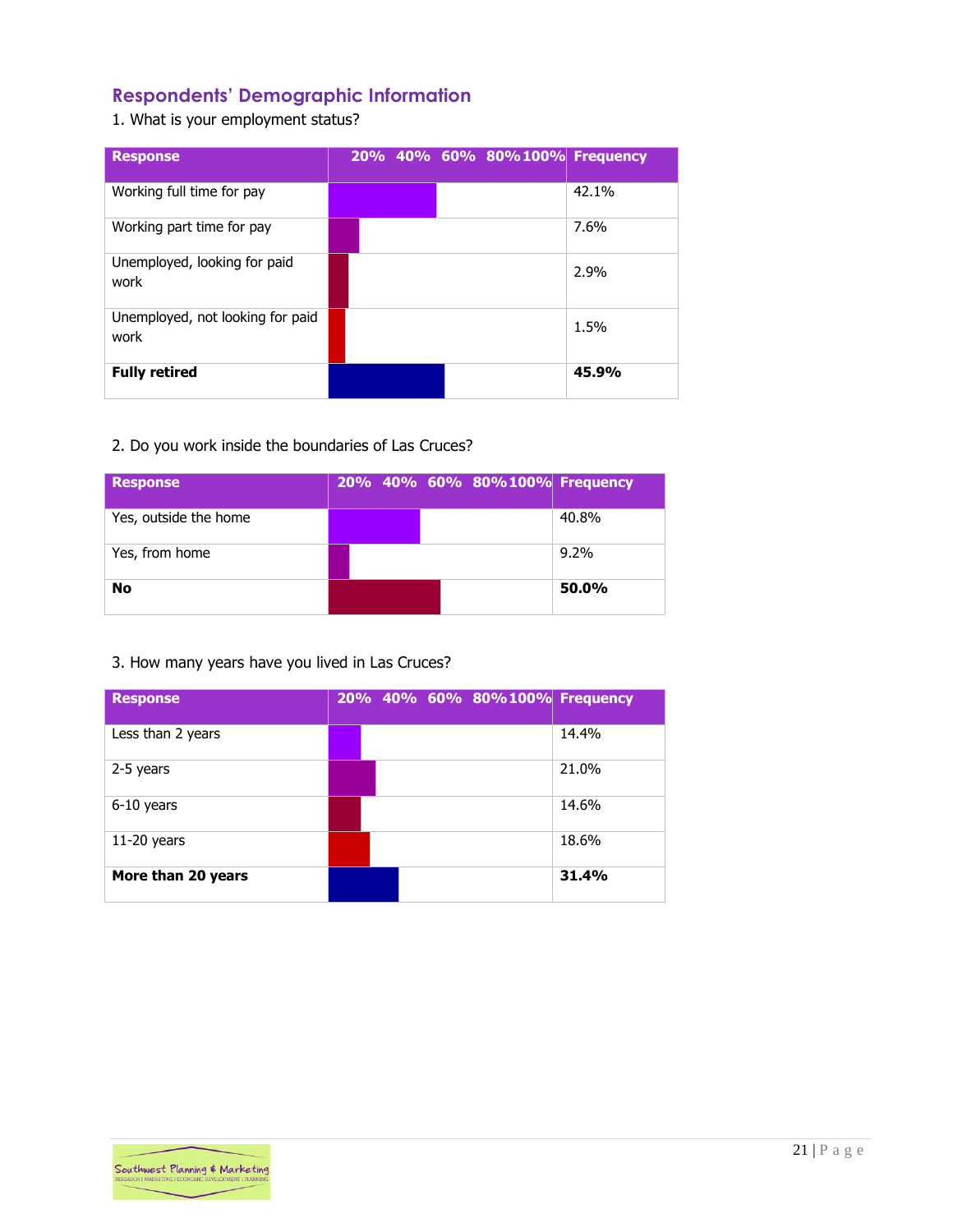# <span id="page-21-0"></span>**Respondents' Demographic Information**

1. What is your employment status?

| <b>Response</b>                          |  |  | 20% 40% 60% 80%100% Frequency |       |
|------------------------------------------|--|--|-------------------------------|-------|
| Working full time for pay                |  |  |                               | 42.1% |
| Working part time for pay                |  |  |                               | 7.6%  |
| Unemployed, looking for paid<br>work     |  |  |                               | 2.9%  |
| Unemployed, not looking for paid<br>work |  |  |                               | 1.5%  |
| <b>Fully retired</b>                     |  |  |                               | 45.9% |

# 2. Do you work inside the boundaries of Las Cruces?

| <b>Response</b>       |  | 20% 40% 60% 80%100% Frequency |         |
|-----------------------|--|-------------------------------|---------|
| Yes, outside the home |  |                               | 40.8%   |
| Yes, from home        |  |                               | $9.2\%$ |
| <b>No</b>             |  |                               | 50.0%   |

# 3. How many years have you lived in Las Cruces?

| <b>Response</b>    |  |  | 20% 40% 60% 80%100% Frequency |
|--------------------|--|--|-------------------------------|
| Less than 2 years  |  |  | 14.4%                         |
| 2-5 years          |  |  | 21.0%                         |
| 6-10 years         |  |  | 14.6%                         |
| $11-20$ years      |  |  | 18.6%                         |
| More than 20 years |  |  | 31.4%                         |

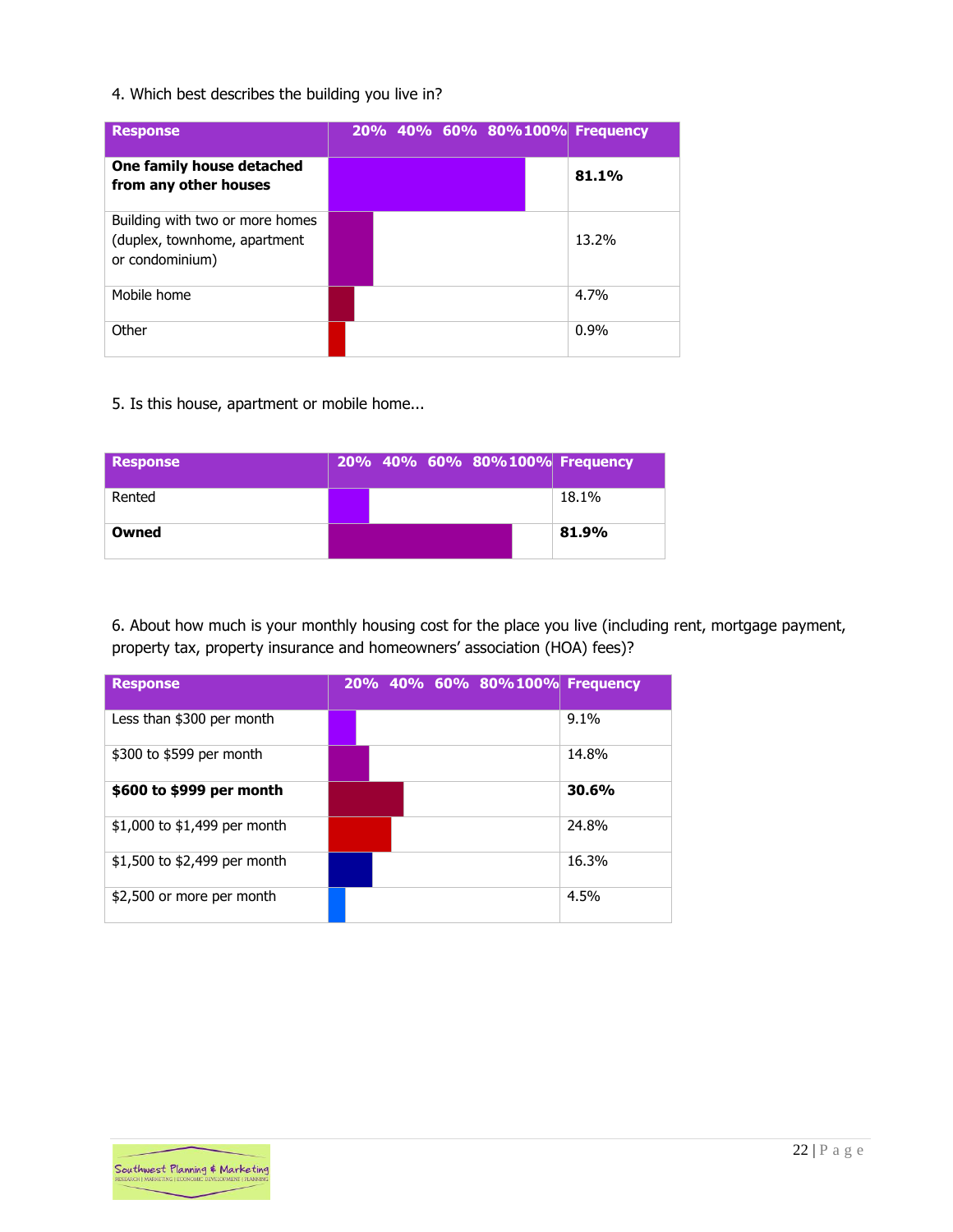## 4. Which best describes the building you live in?

| <b>Response</b>                                                                    |  |  |  | 20% 40% 60% 80%100% Frequency |
|------------------------------------------------------------------------------------|--|--|--|-------------------------------|
| One family house detached<br>from any other houses                                 |  |  |  | 81.1%                         |
| Building with two or more homes<br>(duplex, townhome, apartment<br>or condominium) |  |  |  | 13.2%                         |
| Mobile home                                                                        |  |  |  | 4.7%                          |
| Other                                                                              |  |  |  | $0.9\%$                       |

5. Is this house, apartment or mobile home...

| <b>Response</b> |  | 20% 40% 60% 80%100% Frequency |       |
|-----------------|--|-------------------------------|-------|
| Rented          |  |                               | 18.1% |
| Owned           |  |                               | 81.9% |

6. About how much is your monthly housing cost for the place you live (including rent, mortgage payment, property tax, property insurance and homeowners' association (HOA) fees)?

| <b>Response</b>              |  | 20% 40% 60% 80%100% Frequency |       |
|------------------------------|--|-------------------------------|-------|
| Less than \$300 per month    |  |                               | 9.1%  |
| \$300 to \$599 per month     |  |                               | 14.8% |
| \$600 to \$999 per month     |  |                               | 30.6% |
| \$1,000 to \$1,499 per month |  |                               | 24.8% |
| \$1,500 to \$2,499 per month |  |                               | 16.3% |
| \$2,500 or more per month    |  |                               | 4.5%  |

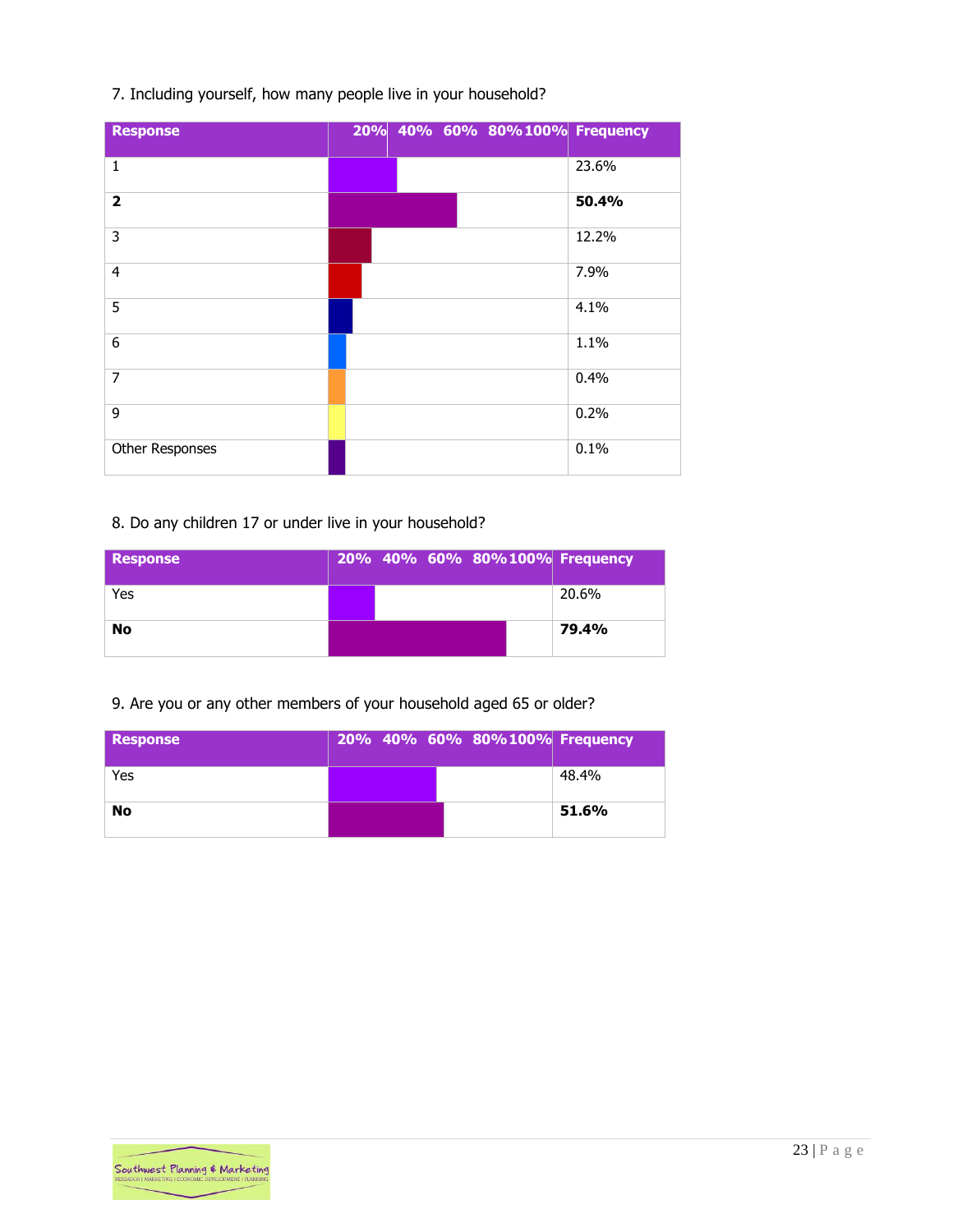## 7. Including yourself, how many people live in your household?

| <b>Response</b>         | 20% 40% 60% 80%100% Frequency |       |
|-------------------------|-------------------------------|-------|
| $\mathbf{1}$            |                               | 23.6% |
| $\overline{\mathbf{2}}$ |                               | 50.4% |
| 3                       |                               | 12.2% |
| $\overline{4}$          |                               | 7.9%  |
| 5                       |                               | 4.1%  |
| 6                       |                               | 1.1%  |
| $\overline{7}$          |                               | 0.4%  |
| 9                       |                               | 0.2%  |
| Other Responses         |                               | 0.1%  |

## 8. Do any children 17 or under live in your household?

| <b>Response</b> |  | 20% 40% 60% 80%100% Frequency |       |
|-----------------|--|-------------------------------|-------|
| Yes             |  |                               | 20.6% |
| No              |  |                               | 79.4% |

# 9. Are you or any other members of your household aged 65 or older?

| <b>Response</b> |  | 20% 40% 60% 80%100% Frequency |       |
|-----------------|--|-------------------------------|-------|
| Yes             |  |                               | 48.4% |
| <b>No</b>       |  |                               | 51.6% |

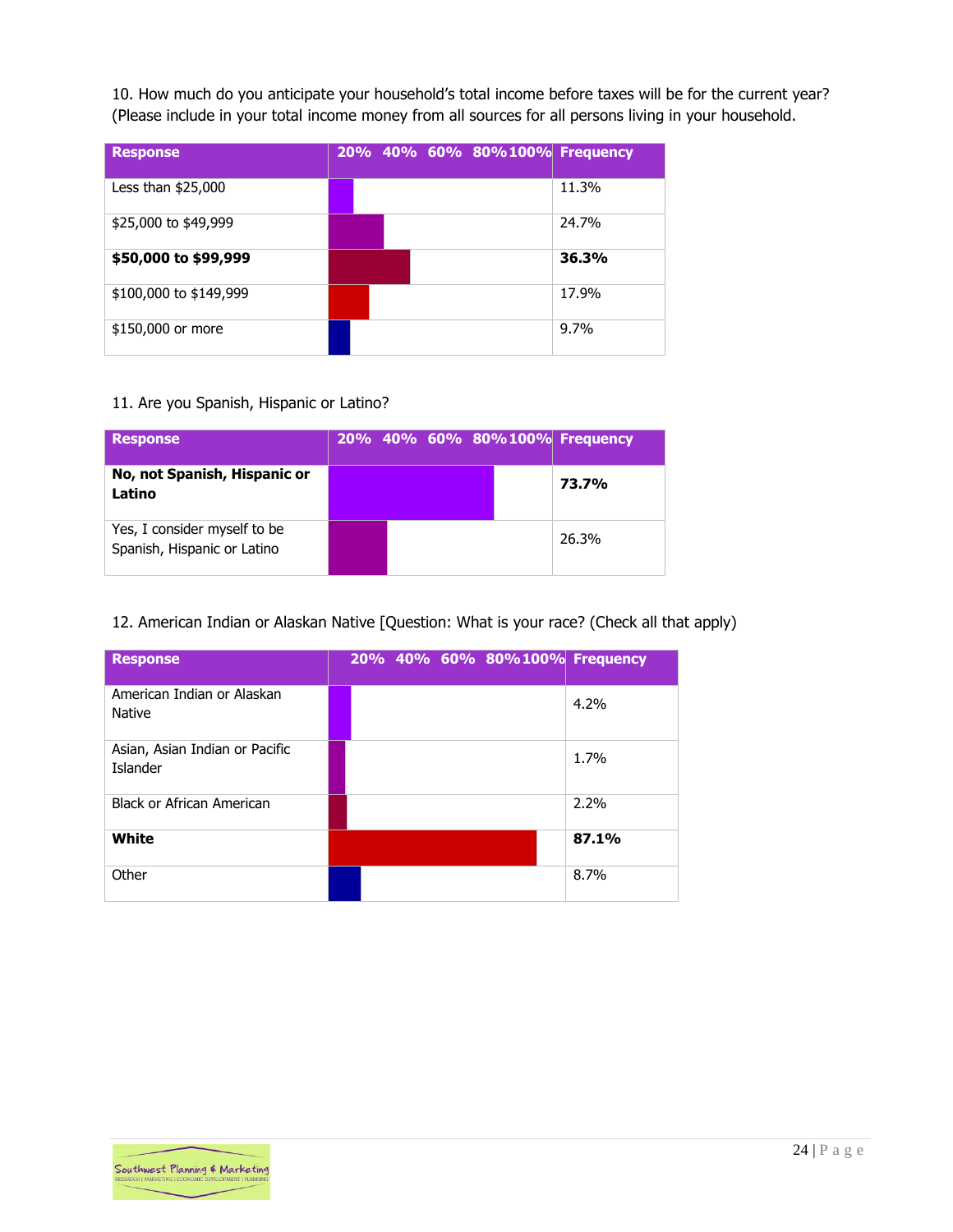10. How much do you anticipate your household's total income before taxes will be for the current year? (Please include in your total income money from all sources for all persons living in your household.

| <b>Response</b>        |  |  | 20% 40% 60% 80%100% Frequency |         |
|------------------------|--|--|-------------------------------|---------|
| Less than \$25,000     |  |  |                               | 11.3%   |
| \$25,000 to \$49,999   |  |  |                               | 24.7%   |
| \$50,000 to \$99,999   |  |  |                               | 36.3%   |
| \$100,000 to \$149,999 |  |  |                               | 17.9%   |
| \$150,000 or more      |  |  |                               | $9.7\%$ |

#### 11. Are you Spanish, Hispanic or Latino?

| <b>Response</b>                                             |  |  | 20% 40% 60% 80%100% Frequency |
|-------------------------------------------------------------|--|--|-------------------------------|
| No, not Spanish, Hispanic or<br>Latino                      |  |  | 73.7%                         |
| Yes, I consider myself to be<br>Spanish, Hispanic or Latino |  |  | 26.3%                         |

#### 12. American Indian or Alaskan Native [Question: What is your race? (Check all that apply)

| <b>Response</b>                                   |  |  | 20% 40% 60% 80%100% Frequency |       |
|---------------------------------------------------|--|--|-------------------------------|-------|
| American Indian or Alaskan<br><b>Native</b>       |  |  |                               | 4.2%  |
| Asian, Asian Indian or Pacific<br><b>Islander</b> |  |  |                               | 1.7%  |
| <b>Black or African American</b>                  |  |  |                               | 2.2%  |
| White                                             |  |  |                               | 87.1% |
| Other                                             |  |  |                               | 8.7%  |

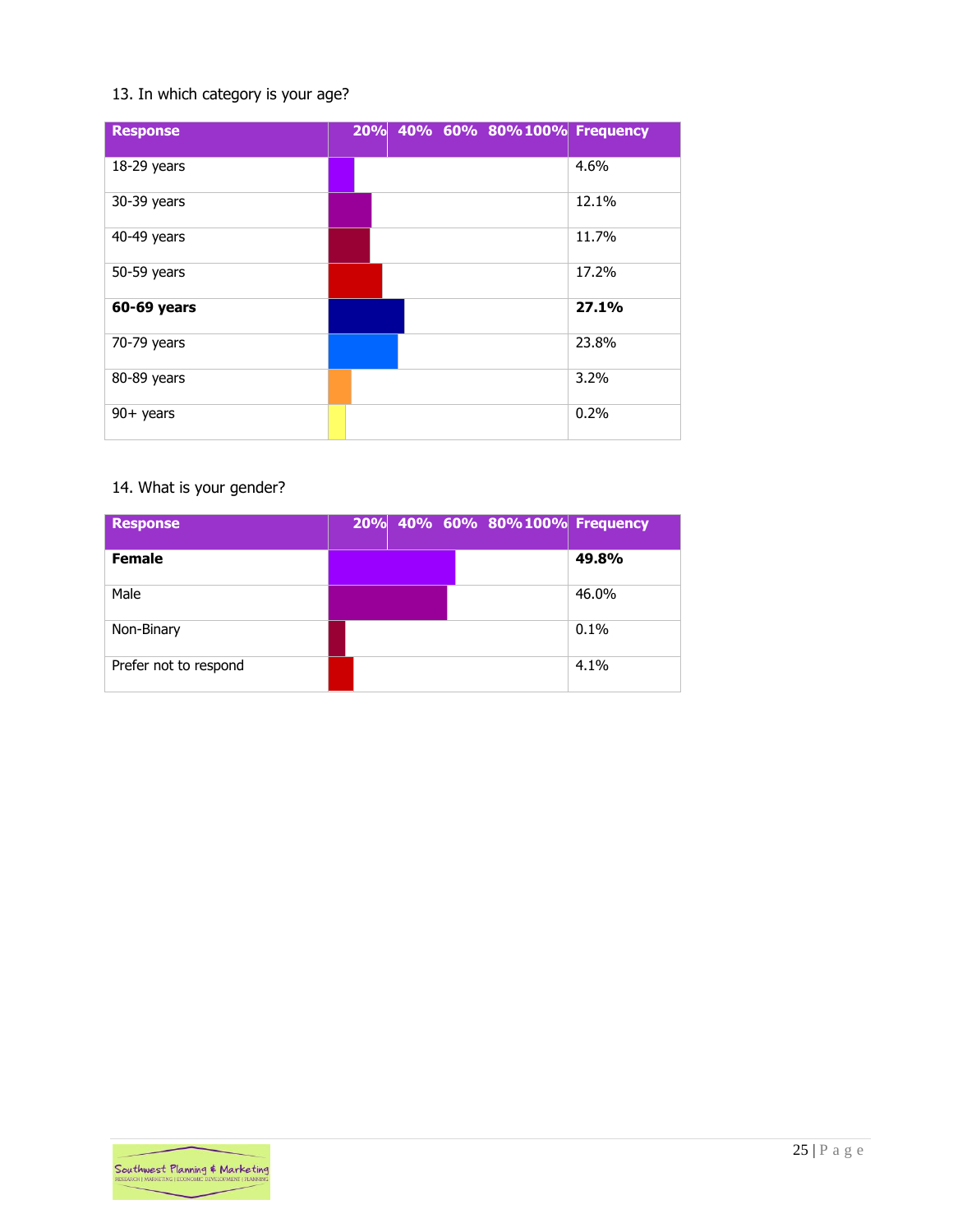## 13. In which category is your age?

| <b>Response</b> | 20% 40% 60% 80%100% Frequency |         |
|-----------------|-------------------------------|---------|
| $18-29$ years   |                               | 4.6%    |
| 30-39 years     |                               | 12.1%   |
| 40-49 years     |                               | 11.7%   |
| 50-59 years     |                               | 17.2%   |
| 60-69 years     |                               | 27.1%   |
| 70-79 years     |                               | 23.8%   |
| 80-89 years     |                               | $3.2\%$ |
| $90+$ years     |                               | 0.2%    |

# 14. What is your gender?

| <b>Response</b>       | 20% 40% 60% 80%100% Frequency |       |
|-----------------------|-------------------------------|-------|
| <b>Female</b>         |                               | 49.8% |
| Male                  |                               | 46.0% |
| Non-Binary            |                               | 0.1%  |
| Prefer not to respond |                               | 4.1%  |

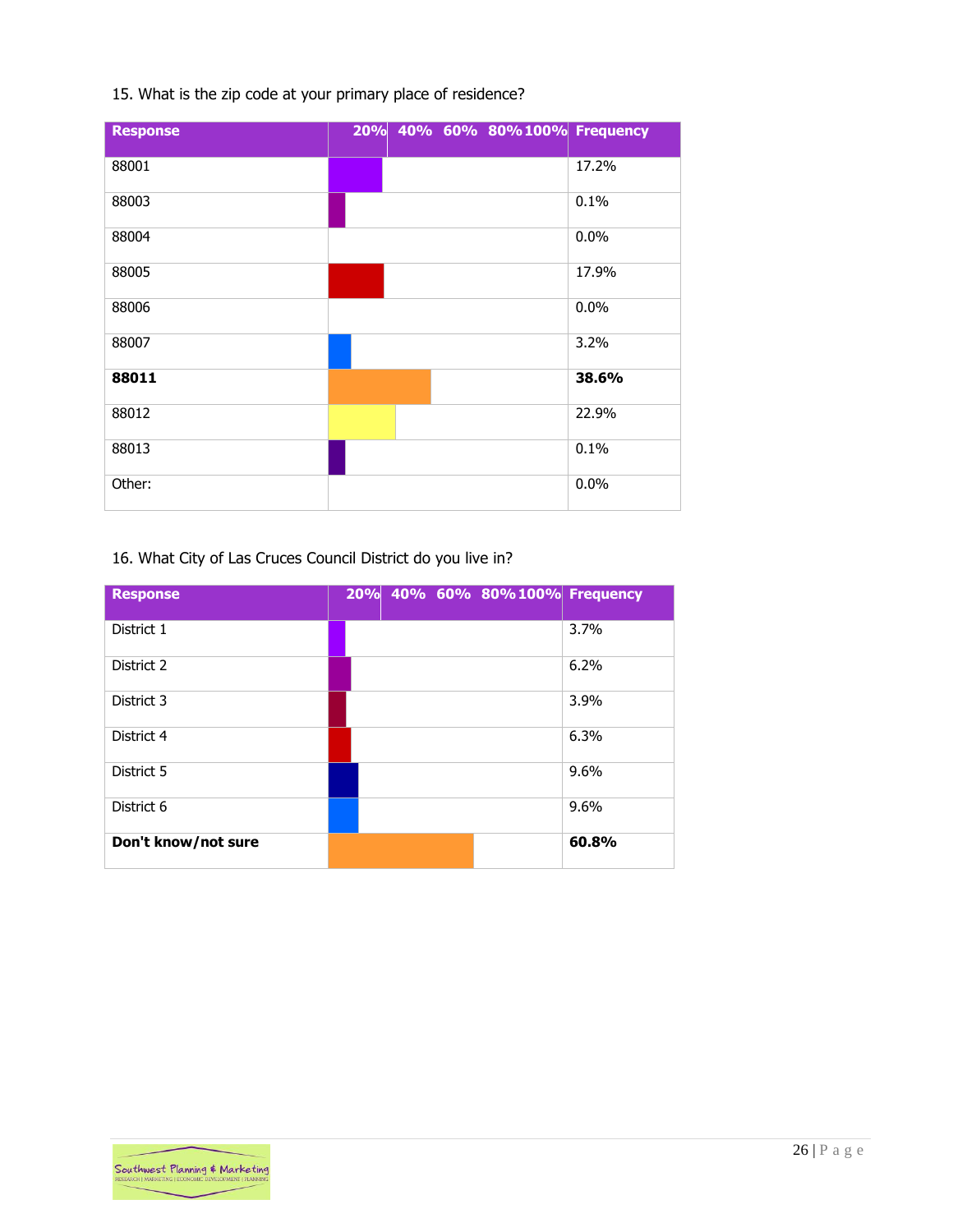|  | 15. What is the zip code at your primary place of residence? |  |  |  |
|--|--------------------------------------------------------------|--|--|--|
|  |                                                              |  |  |  |

| <b>Response</b> | 20% 40% 60% 80%100% Frequency |       |
|-----------------|-------------------------------|-------|
| 88001           |                               | 17.2% |
| 88003           |                               | 0.1%  |
| 88004           |                               | 0.0%  |
| 88005           |                               | 17.9% |
| 88006           |                               | 0.0%  |
| 88007           |                               | 3.2%  |
| 88011           |                               | 38.6% |
| 88012           |                               | 22.9% |
| 88013           |                               | 0.1%  |
| Other:          |                               | 0.0%  |

# 16. What City of Las Cruces Council District do you live in?

| <b>Response</b>     | 20% 40% 60% 80% 100% Frequency |       |
|---------------------|--------------------------------|-------|
| District 1          |                                | 3.7%  |
| District 2          |                                | 6.2%  |
| District 3          |                                | 3.9%  |
| District 4          |                                | 6.3%  |
| District 5          |                                | 9.6%  |
| District 6          |                                | 9.6%  |
| Don't know/not sure |                                | 60.8% |

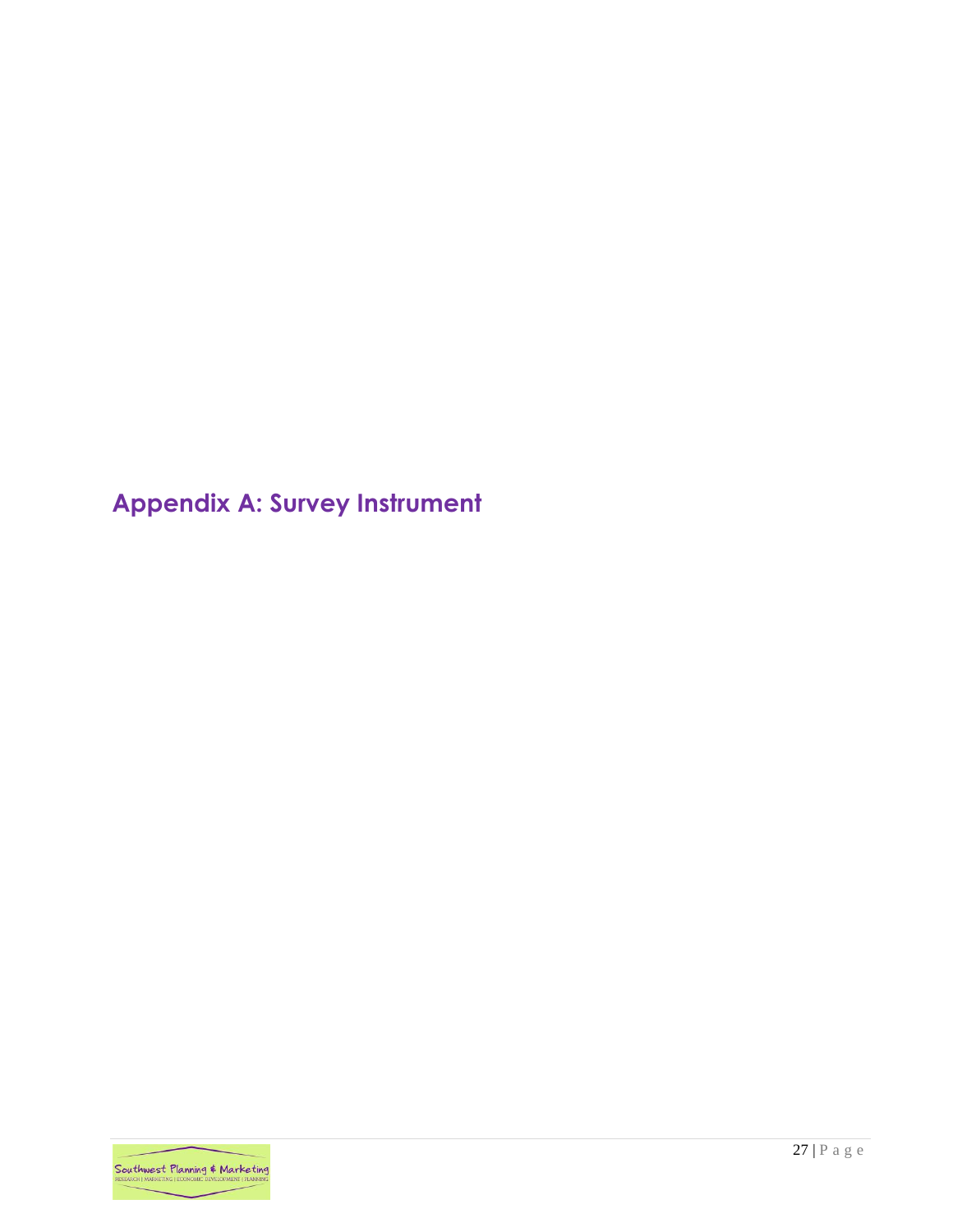<span id="page-27-0"></span>**Appendix A: Survey Instrument**

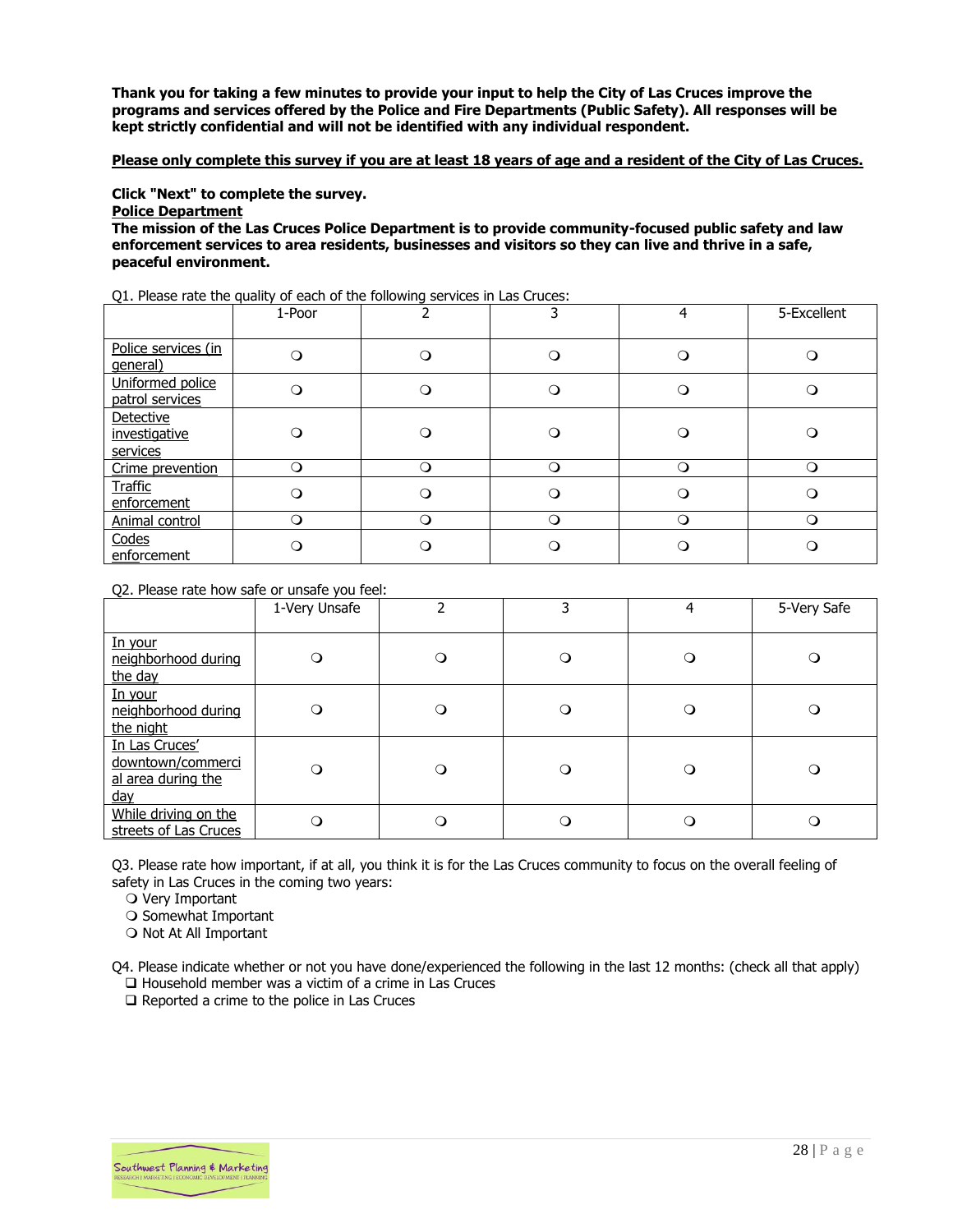**Thank you for taking a few minutes to provide your input to help the City of Las Cruces improve the programs and services offered by the Police and Fire Departments (Public Safety). All responses will be kept strictly confidential and will not be identified with any individual respondent.** 

#### **Please only complete this survey if you are at least 18 years of age and a resident of the City of Las Cruces.**

**Click "Next" to complete the survey.**

**Police Department**

**The mission of the Las Cruces Police Department is to provide community-focused public safety and law enforcement services to area residents, businesses and visitors so they can live and thrive in a safe, peaceful environment.**

|  | Q1. Please rate the quality of each of the following services in Las Cruces: |  |  |  |  |  |
|--|------------------------------------------------------------------------------|--|--|--|--|--|
|--|------------------------------------------------------------------------------|--|--|--|--|--|

|                                        | 1-Poor   |          |           |   | 5-Excellent |
|----------------------------------------|----------|----------|-----------|---|-------------|
| Police services (in<br>general)        | $\Omega$ | $\Omega$ | ∩         |   |             |
| Uniformed police<br>patrol services    | $\Omega$ |          |           |   |             |
| Detective<br>investigative<br>services | $\Omega$ |          |           |   |             |
| Crime prevention                       | $\circ$  | ∩        | ∩         |   | Q           |
| <b>Traffic</b><br>enforcement          | ∩        |          |           |   |             |
| Animal control                         | $\circ$  | ∩        | $\bigcap$ | ∩ | Ω           |
| Codes<br>enforcement                   | ∩        |          |           |   |             |

Q2. Please rate how safe or unsafe you feel:

|                                                                         | 1-Very Unsafe | ำ       | 3        | 4        | 5-Very Safe |
|-------------------------------------------------------------------------|---------------|---------|----------|----------|-------------|
| In your<br>neighborhood during<br>the day                               | $\circ$       | $\circ$ | $\circ$  | $\circ$  | $\Omega$    |
| In your<br>neighborhood during<br>the night                             | $\circ$       | $\circ$ | $\circ$  | $\circ$  | $\Omega$    |
| In Las Cruces'<br>downtown/commerci<br>al area during the<br><u>day</u> | $\circ$       | $\circ$ | $\circ$  | $\circ$  | $\Omega$    |
| While driving on the<br>streets of Las Cruces                           | $\Omega$      | $\circ$ | $\Omega$ | $\Omega$ |             |

Q3. Please rate how important, if at all, you think it is for the Las Cruces community to focus on the overall feeling of safety in Las Cruces in the coming two years:

O Very Important

O Somewhat Important

O Not At All Important

Q4. Please indicate whether or not you have done/experienced the following in the last 12 months: (check all that apply) ❑ Household member was a victim of a crime in Las Cruces

❑ Reported a crime to the police in Las Cruces

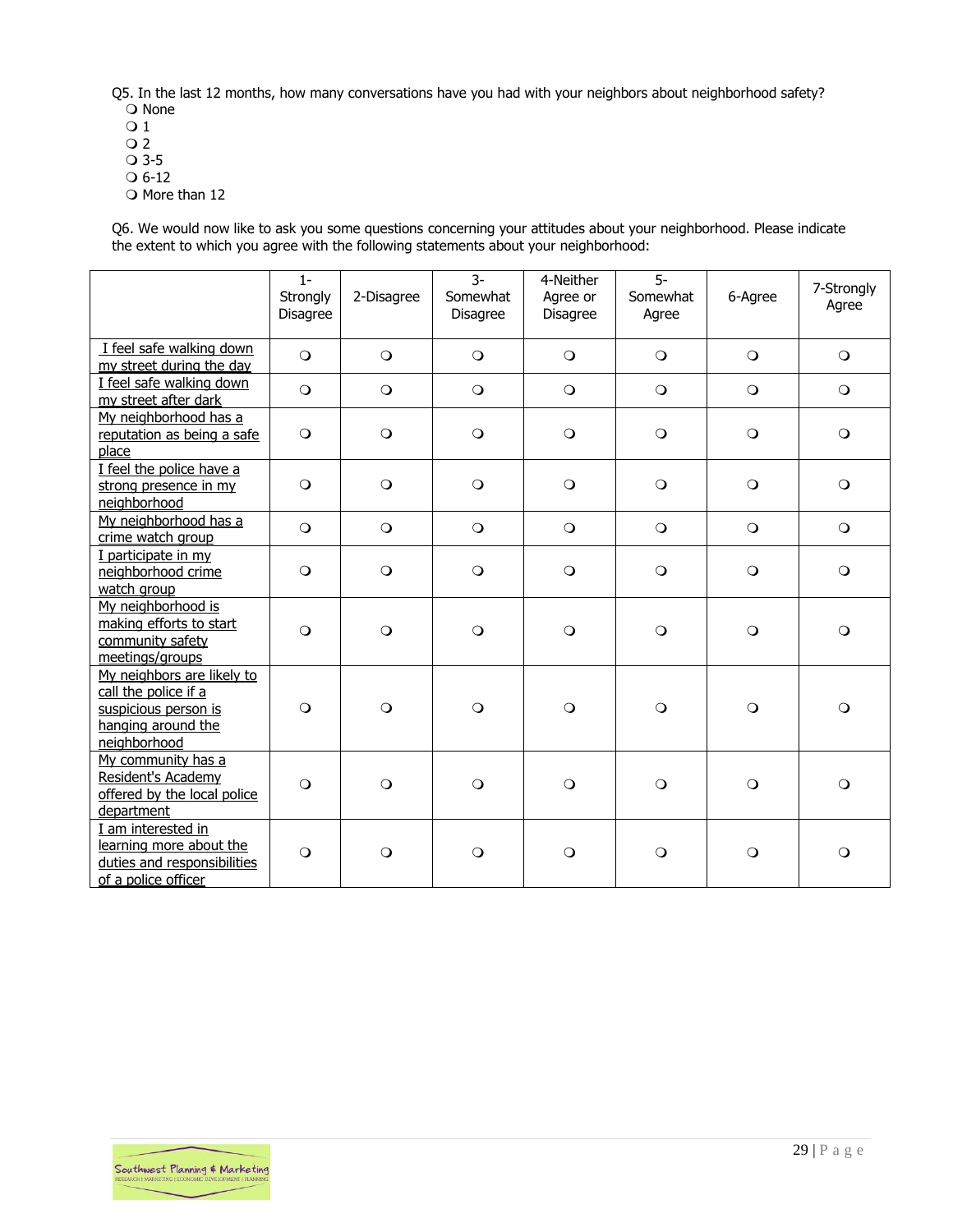Q5. In the last 12 months, how many conversations have you had with your neighbors about neighborhood safety? O None

- $\overline{O}1$
- $Q<sub>2</sub>$
- 3-5
- $O 6-12$
- O More than 12

Q6. We would now like to ask you some questions concerning your attitudes about your neighborhood. Please indicate the extent to which you agree with the following statements about your neighborhood:

|                                                                                                                  | $1 -$<br>Strongly<br>Disagree | 2-Disagree | $3-$<br>Somewhat<br>Disagree | 4-Neither<br>Agree or<br>Disagree | $\overline{5}$<br>Somewhat<br>Agree | 6-Agree    | 7-Strongly<br>Agree |
|------------------------------------------------------------------------------------------------------------------|-------------------------------|------------|------------------------------|-----------------------------------|-------------------------------------|------------|---------------------|
| I feel safe walking down<br>my street during the day                                                             | $\circ$                       | $\circ$    | $\circ$                      | $\circ$                           | $\circ$                             | $\circ$    | $\bigcirc$          |
| I feel safe walking down<br>my street after dark                                                                 | $\circ$                       | $\circ$    | $\circ$                      | $\bigcirc$                        | $\bigcirc$                          | $\circ$    | $\bigcirc$          |
| My neighborhood has a<br>reputation as being a safe<br>place                                                     | $\circ$                       | $\circ$    | $\circ$                      | $\circ$                           | $\circ$                             | $\circ$    | $\bigcirc$          |
| I feel the police have a<br>strong presence in my<br>neighborhood                                                | $\circ$                       | $\circ$    | $\circ$                      | $\circ$                           | $\bigcirc$                          | $\circ$    | $\bigcirc$          |
| My neighborhood has a<br>crime watch group                                                                       | $\Omega$                      | $\circ$    | $\circ$                      | $\bigcirc$                        | $\bigcirc$                          | $\bigcirc$ | $\bigcirc$          |
| I participate in my<br>neighborhood crime<br>watch group                                                         | $\circ$                       | $\circ$    | $\circ$                      | $\circ$                           | $\circ$                             | $\circ$    | $\bigcirc$          |
| My neighborhood is<br>making efforts to start<br>community safety<br>meetings/groups                             | $\circ$                       | $\circ$    | $\circ$                      | $\circ$                           | $\circ$                             | $\circ$    | $\circ$             |
| My neighbors are likely to<br>call the police if a<br>suspicious person is<br>hanging around the<br>neighborhood | $\circ$                       | $\circ$    | $\circ$                      | $\circ$                           | $\circ$                             | $\circ$    | $\circ$             |
| My community has a<br>Resident's Academy<br>offered by the local police<br>department                            | $\circ$                       | $\circ$    | $\circ$                      | $\circ$                           | $\Omega$                            | $\circ$    | $\bigcirc$          |
| I am interested in<br>learning more about the<br>duties and responsibilities<br>of a police officer              | $\circ$                       | $\circ$    | $\circ$                      | $\circ$                           | $\circ$                             | $\circ$    | $\circ$             |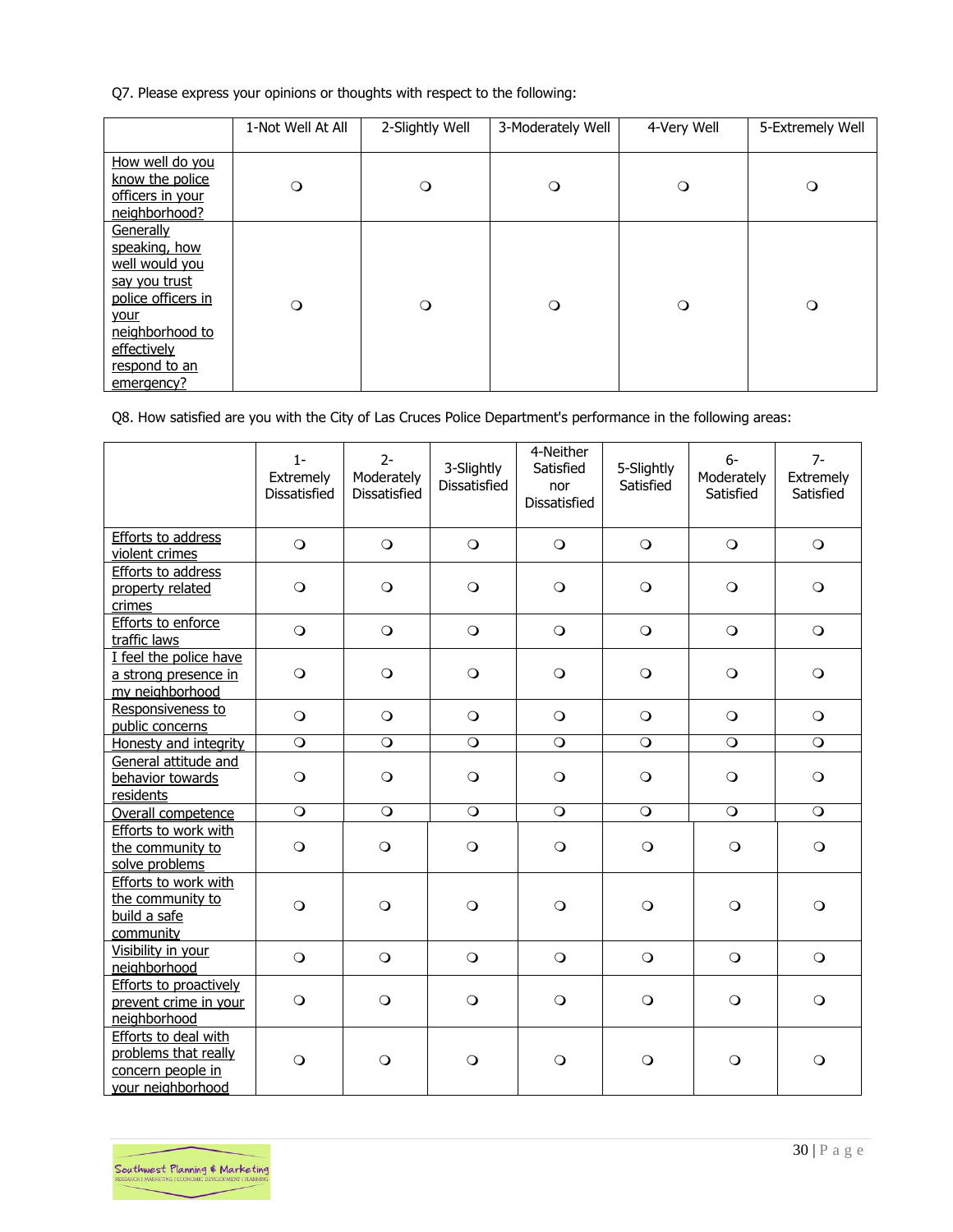Q7. Please express your opinions or thoughts with respect to the following:

|                                                                                                                                                              | 1-Not Well At All | 2-Slightly Well | 3-Moderately Well | 4-Very Well | 5-Extremely Well |
|--------------------------------------------------------------------------------------------------------------------------------------------------------------|-------------------|-----------------|-------------------|-------------|------------------|
| How well do you<br>know the police<br>officers in your<br>neighborhood?                                                                                      | $\circ$           | $\circ$         | $\circ$           | $\circ$     | $\circ$          |
| Generally<br>speaking, how<br>well would you<br>say you trust<br>police officers in<br>your<br>neighborhood to<br>effectively<br>respond to an<br>emergency? | $\circ$           | $\circ$         | $\circ$           | $\circ$     | $\circ$          |

Q8. How satisfied are you with the City of Las Cruces Police Department's performance in the following areas:

|                                                                                        | $1 -$<br>Extremely<br>Dissatisfied | $2-$<br>Moderately<br>Dissatisfied | 3-Slightly<br><b>Dissatisfied</b> | 4-Neither<br>Satisfied<br>nor<br>Dissatisfied | 5-Slightly<br>Satisfied | $6-$<br>Moderately<br>Satisfied | $7-$<br>Extremely<br>Satisfied |
|----------------------------------------------------------------------------------------|------------------------------------|------------------------------------|-----------------------------------|-----------------------------------------------|-------------------------|---------------------------------|--------------------------------|
| Efforts to address<br>violent crimes                                                   | $\circ$                            | $\bigcirc$                         | $\circ$                           | $\bigcirc$                                    | $\bigcirc$              | $\bigcirc$                      | $\circ$                        |
| <b>Efforts to address</b><br>property related<br>crimes                                | $\circ$                            | $\bigcirc$                         | $\circ$                           | $\circ$                                       | $\circ$                 | $\circ$                         | $\circ$                        |
| Efforts to enforce<br>traffic laws                                                     | $\circ$                            | $\bigcirc$                         | $\circ$                           | $\bigcirc$                                    | $\circ$                 | $\circ$                         | $\circ$                        |
| I feel the police have<br>a strong presence in<br>my neighborhood                      | $\circ$                            | $\bigcirc$                         | $\circ$                           | $\bigcirc$                                    | $\bigcirc$              | $\circ$                         | $\circ$                        |
| Responsiveness to<br>public concerns                                                   | $\circ$                            | $\bigcirc$                         | $\circ$                           | $\circ$                                       | $\circ$                 | $\circ$                         | $\circ$                        |
| Honesty and integrity                                                                  | $\circ$                            | $\circ$                            | $\overline{O}$                    | $\overline{O}$                                | $\circ$                 | $\overline{O}$                  | $\circ$                        |
| General attitude and<br>behavior towards<br>residents                                  | $\circ$                            | $\circ$                            | $\circ$                           | $\circ$                                       | $\bigcirc$              | $\circ$                         | $\circ$                        |
| Overall competence                                                                     | $\bigcirc$                         | $\bigcirc$                         | $\circ$                           | $\bigcirc$                                    | $\circ$                 | $\circ$                         | $\circ$                        |
| Efforts to work with<br>the community to<br>solve problems                             | $\circ$                            | $\circ$                            | $\circ$                           | $\circ$                                       | $\circ$                 | $\circ$                         | $\circ$                        |
| Efforts to work with<br>the community to<br>build a safe<br>community                  | $\circ$                            | $\circ$                            | $\circ$                           | $\circ$                                       | $\circ$                 | $\circ$                         | $\circ$                        |
| Visibility in your<br>neighborhood                                                     | $\circ$                            | $\bigcirc$                         | $\circ$                           | $\bigcirc$                                    | $\circ$                 | $\circ$                         | $\circ$                        |
| Efforts to proactively<br>prevent crime in your<br>neighborhood                        | $\circ$                            | $\bigcirc$                         | $\bigcirc$                        | $\circ$                                       | $\circ$                 | $\circ$                         | $\circ$                        |
| Efforts to deal with<br>problems that really<br>concern people in<br>your neighborhood | $\circ$                            | $\bigcirc$                         | $\circ$                           | $\circ$                                       | $\circ$                 | $\circ$                         | $\circ$                        |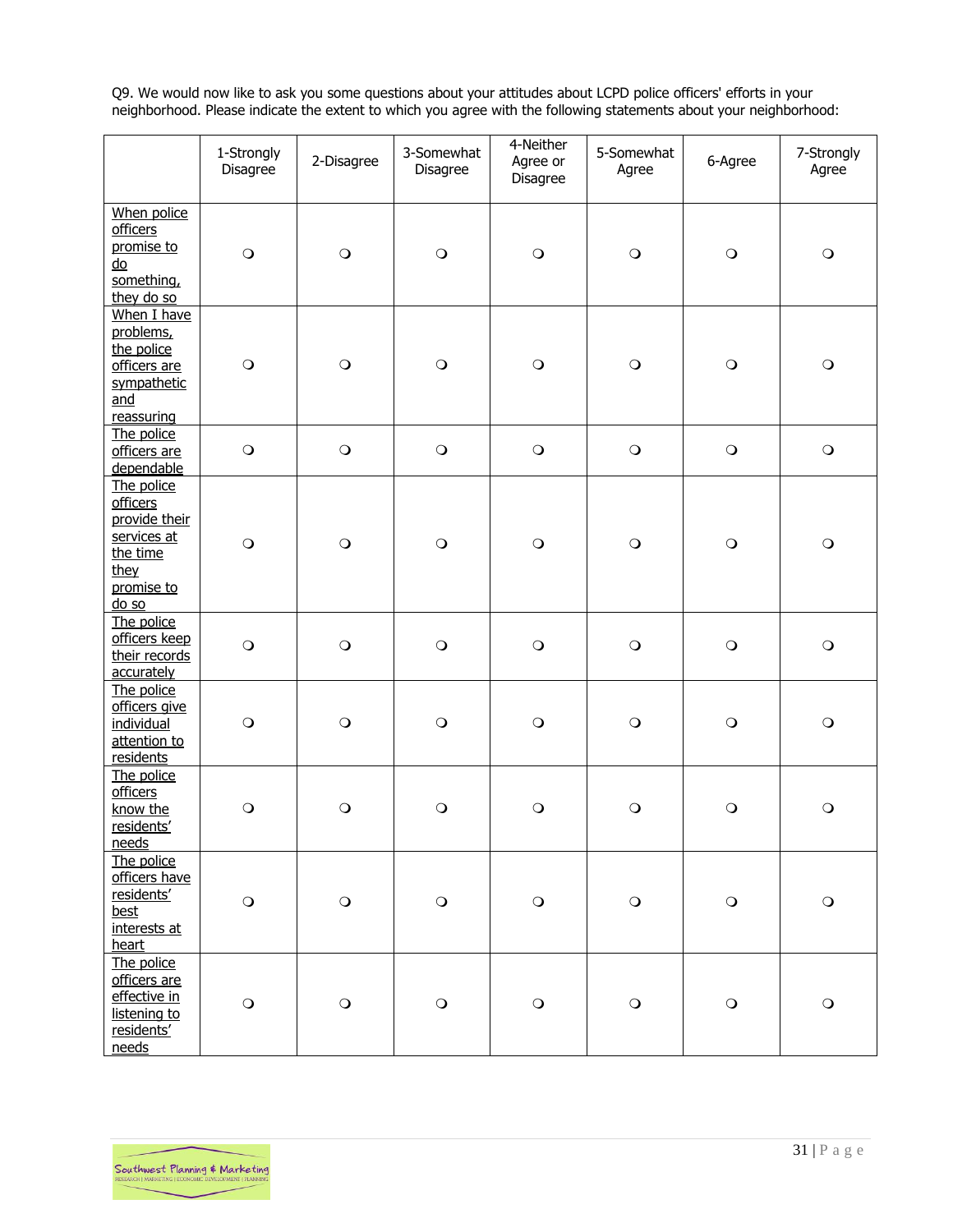Q9. We would now like to ask you some questions about your attitudes about LCPD police officers' efforts in your neighborhood. Please indicate the extent to which you agree with the following statements about your neighborhood:

|                                                                                                          | 1-Strongly<br>Disagree | 2-Disagree  | 3-Somewhat<br>Disagree | 4-Neither<br>Agree or<br>Disagree | 5-Somewhat<br>Agree | 6-Agree    | 7-Strongly<br>Agree |
|----------------------------------------------------------------------------------------------------------|------------------------|-------------|------------------------|-----------------------------------|---------------------|------------|---------------------|
| When police<br><b>officers</b><br>promise to<br>$\underline{do}$<br>something,<br>they do so             | $\bigcirc$             | $\bigcirc$  | $\bigcirc$             | $\bigcirc$                        | $\circ$             | $\bigcirc$ | $\bigcirc$          |
| When I have<br>problems,<br>the police<br>officers are<br>sympathetic<br>and<br>reassuring               | $\bigcirc$             | $\circ$     | $\circ$                | $\bigcirc$                        | $\bigcirc$          | $\bigcirc$ | $\bigcirc$          |
| The police<br>officers are<br>dependable                                                                 | $\bigcirc$             | $\bigcirc$  | $\mathsf{O}$           | $\bigcirc$                        | $\bigcirc$          | $\bigcirc$ | $\mathsf{O}$        |
| The police<br><b>officers</b><br>provide their<br>services at<br>the time<br>they<br>promise to<br>do so | $\bigcirc$             | $\circ$     | $\mathsf{O}$           | $\mathbf O$                       | $\bigcirc$          | $\bigcirc$ | $\bigcirc$          |
| The police<br>officers keep<br>their records<br>accurately                                               | $\bigcirc$             | $\bigcirc$  | $\bigcirc$             | $\bigcirc$                        | $\circ$             | $\bigcirc$ | $\bigcirc$          |
| The police<br>officers give<br>individual<br>attention to<br>residents                                   | $\bigcirc$             | $\circ$     | $\circ$                | $\bigcirc$                        | $\circ$             | $\circ$    | $\bigcirc$          |
| The police<br><b>officers</b><br>know the<br>residents'<br>needs                                         | $\circ$                | $\circ$     | $\circ$                | $\circ$                           | $\circ$             | $\circ$    | $\circ$             |
| The police<br>officers have<br>residents'<br>best<br>interests at<br>heart                               | $\bigcirc$             | $\bigcirc$  | $\bigcirc$             | $\bigcirc$                        | $\bigcirc$          | $\bigcirc$ | $\bigcirc$          |
| The police<br>officers are<br>effective in<br>listening to<br>residents'<br>needs                        | $\bigcirc$             | $\mathbf O$ | $\bigcirc$             | $\mathbf O$                       | $\bigcirc$          | $\bigcirc$ | $\bigcirc$          |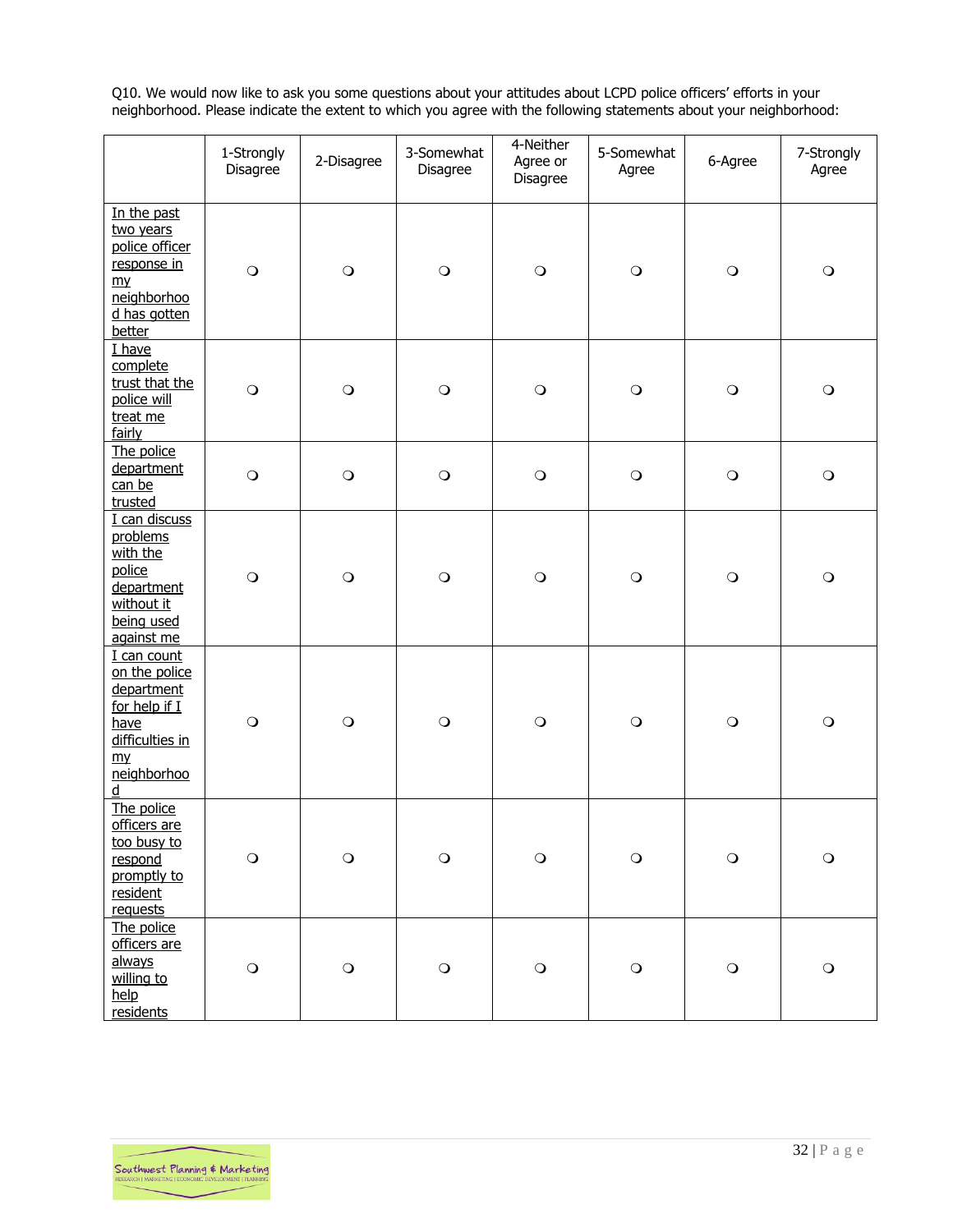Q10. We would now like to ask you some questions about your attitudes about LCPD police officers' efforts in your neighborhood. Please indicate the extent to which you agree with the following statements about your neighborhood:

|                                                                                                                      | 1-Strongly<br>Disagree | 2-Disagree   | 3-Somewhat<br>Disagree | 4-Neither<br>Agree or<br>Disagree | 5-Somewhat<br>Agree | 6-Agree      | 7-Strongly<br>Agree |
|----------------------------------------------------------------------------------------------------------------------|------------------------|--------------|------------------------|-----------------------------------|---------------------|--------------|---------------------|
| In the past<br>two years<br>police officer<br>response in<br>m <sub>Y</sub><br>neighborhoo<br>d has gotten<br>better | $\bigcirc$             | $\bigcirc$   | $\bigcirc$             | $\bigcirc$                        | $\bigcirc$          | $\bigcirc$   | $\bigcirc$          |
| I have<br>complete<br>trust that the<br>police will<br>treat me<br>fairly                                            | $\circ$                | $\bigcirc$   | $\bigcirc$             | $\bigcirc$                        | $\bigcirc$          | $\bigcirc$   | $\bigcirc$          |
| The police<br>department<br>can be<br>trusted                                                                        | $\bigcirc$             | $\bigcirc$   | $\circ$                | $\bigcirc$                        | $\bigcirc$          | $\bigcirc$   | $\mathsf{O}$        |
| I can discuss<br>problems<br>with the<br>police<br>department<br>without it<br>being used<br>against me              | $\bigcirc$             | $\circ$      | $\bigcirc$             | $\bigcirc$                        | $\circ$             | $\bigcirc$   | $\bigcirc$          |
| I can count<br>on the police<br>department<br>for help if I<br>have<br>difficulties in<br>$m\nu$<br>neighborhoo<br>d | $\circ$                | $\circ$      | $\circ$                | $\circ$                           | $\circ$             | $\circ$      | $\circ$             |
| The police<br>officers are<br>too busy to<br>respond<br>promptly to<br>resident<br>requests                          | $\bigcirc$             | $\bigcirc$   | $\bigcirc$             | $\mathbf O$                       | $\mathbf O$         | $\bigcirc$   | $\bigcirc$          |
| The police<br>officers are<br>always<br>willing to<br>help<br>residents                                              | $\bigcirc$             | $\mathsf{O}$ | $\mathbf O$            | $\mathbf O$                       | $\mathbf O$         | $\mathsf{O}$ | $\bigcirc$          |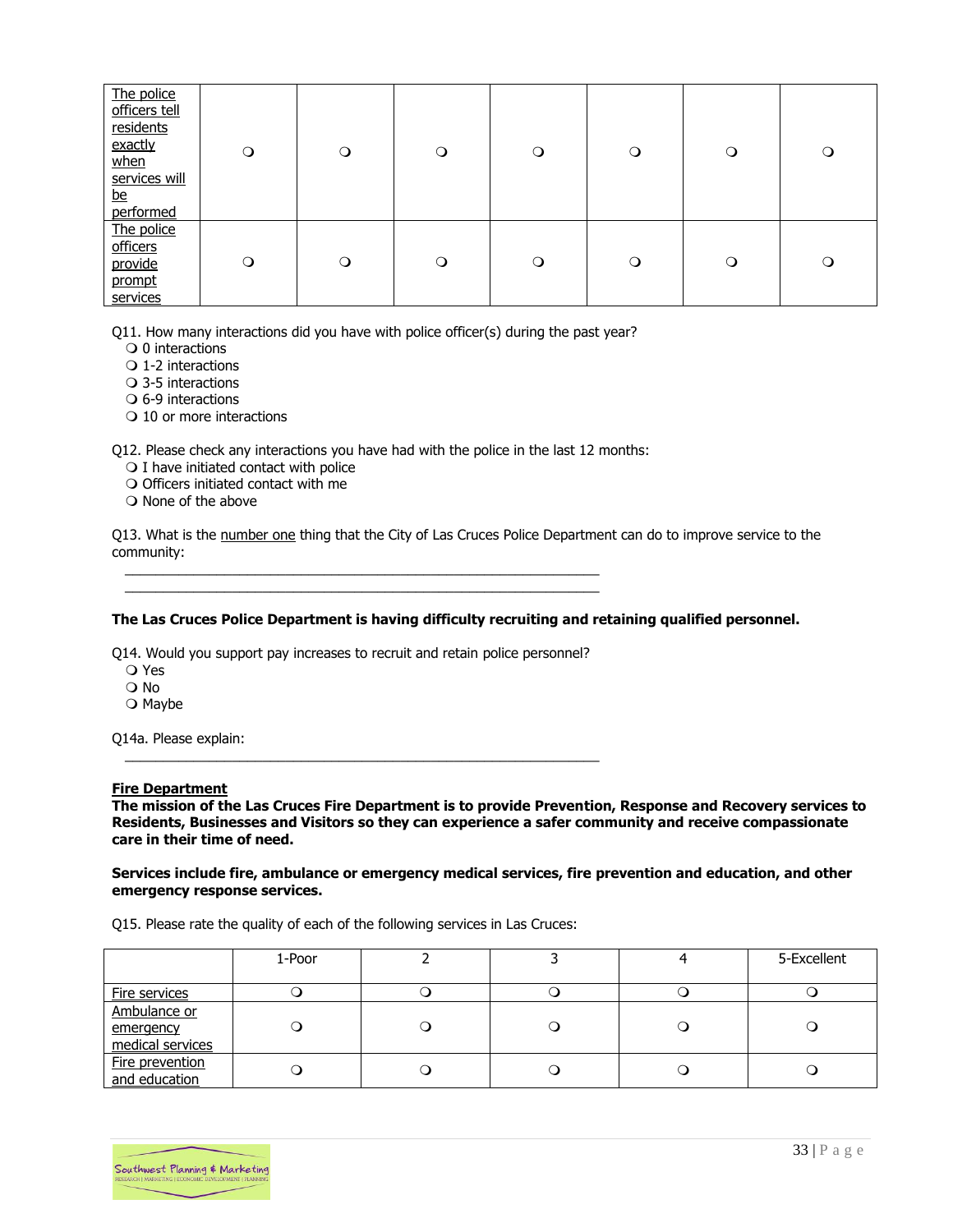| The police<br>officers tell<br>residents<br>exactly<br>when<br>services will<br><u>be</u><br>performed | $\circ$ | $\circ$ | $\circ$ | $\circ$ | $\circ$ | $\circ$ | $\circ$ |
|--------------------------------------------------------------------------------------------------------|---------|---------|---------|---------|---------|---------|---------|
| The police<br>officers<br>provide<br>prompt<br>services                                                | $\circ$ | $\circ$ | $\circ$ | $\circ$ | $\circ$ | $\circ$ | $\circ$ |

Q11. How many interactions did you have with police officer(s) during the past year?

- $\bigcirc$  0 interactions
- $\bigcirc$  1-2 interactions
- 3-5 interactions
- $\Omega$  6-9 interactions
- O 10 or more interactions

Q12. Please check any interactions you have had with the police in the last 12 months:

- $\bigcirc$  I have initiated contact with police
- $\bigcirc$  Officers initiated contact with me
- $\bigcirc$  None of the above

Q13. What is the number one thing that the City of Las Cruces Police Department can do to improve service to the community:

#### **The Las Cruces Police Department is having difficulty recruiting and retaining qualified personnel.**

Q14. Would you support pay increases to recruit and retain police personnel?

 $\frac{1}{2}$  ,  $\frac{1}{2}$  ,  $\frac{1}{2}$  ,  $\frac{1}{2}$  ,  $\frac{1}{2}$  ,  $\frac{1}{2}$  ,  $\frac{1}{2}$  ,  $\frac{1}{2}$  ,  $\frac{1}{2}$  ,  $\frac{1}{2}$  ,  $\frac{1}{2}$  ,  $\frac{1}{2}$  ,  $\frac{1}{2}$  ,  $\frac{1}{2}$  ,  $\frac{1}{2}$  ,  $\frac{1}{2}$  ,  $\frac{1}{2}$  ,  $\frac{1}{2}$  ,  $\frac{1$ 

 $\frac{1}{2}$  ,  $\frac{1}{2}$  ,  $\frac{1}{2}$  ,  $\frac{1}{2}$  ,  $\frac{1}{2}$  ,  $\frac{1}{2}$  ,  $\frac{1}{2}$  ,  $\frac{1}{2}$  ,  $\frac{1}{2}$  ,  $\frac{1}{2}$  ,  $\frac{1}{2}$  ,  $\frac{1}{2}$  ,  $\frac{1}{2}$  ,  $\frac{1}{2}$  ,  $\frac{1}{2}$  ,  $\frac{1}{2}$  ,  $\frac{1}{2}$  ,  $\frac{1}{2}$  ,  $\frac{1$  $\frac{1}{2}$  ,  $\frac{1}{2}$  ,  $\frac{1}{2}$  ,  $\frac{1}{2}$  ,  $\frac{1}{2}$  ,  $\frac{1}{2}$  ,  $\frac{1}{2}$  ,  $\frac{1}{2}$  ,  $\frac{1}{2}$  ,  $\frac{1}{2}$  ,  $\frac{1}{2}$  ,  $\frac{1}{2}$  ,  $\frac{1}{2}$  ,  $\frac{1}{2}$  ,  $\frac{1}{2}$  ,  $\frac{1}{2}$  ,  $\frac{1}{2}$  ,  $\frac{1}{2}$  ,  $\frac{1$ 

- Yes
- No
- $\bigcirc$  Maybe

Q14a. Please explain:

#### **Fire Department**

**The mission of the Las Cruces Fire Department is to provide Prevention, Response and Recovery services to Residents, Businesses and Visitors so they can experience a safer community and receive compassionate care in their time of need.**

#### **Services include fire, ambulance or emergency medical services, fire prevention and education, and other emergency response services.**

Q15. Please rate the quality of each of the following services in Las Cruces:

|                                               | 1-Poor |  | 5-Excellent |
|-----------------------------------------------|--------|--|-------------|
| <b>Fire services</b>                          |        |  |             |
| Ambulance or<br>emergency<br>medical services |        |  |             |
| Fire prevention<br>and education              |        |  |             |

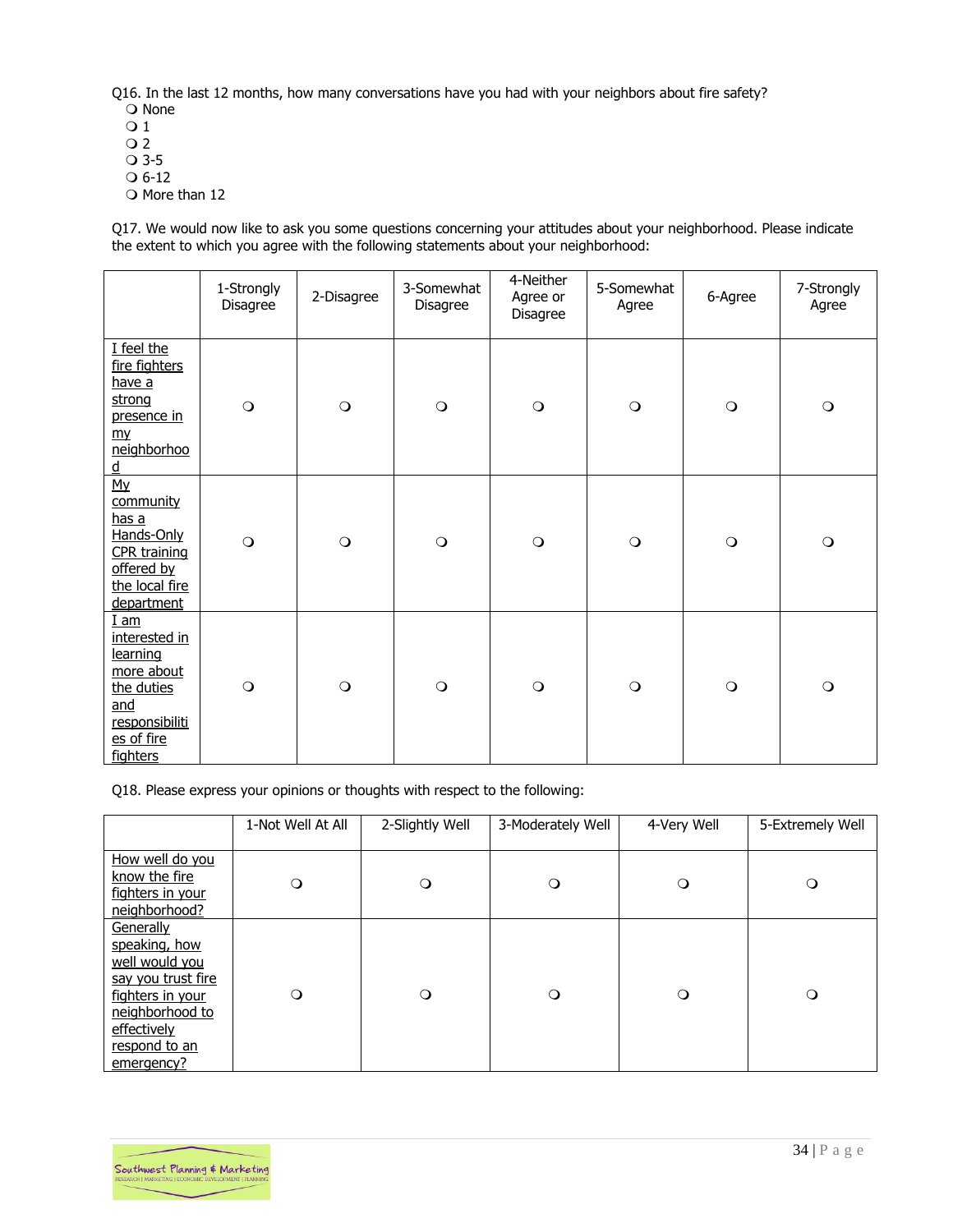Q16. In the last 12 months, how many conversations have you had with your neighbors about fire safety? O None

- $\overline{O}1$
- $\overline{O}2$
- 3-5
- $O$  6-12
- O More than 12

Q17. We would now like to ask you some questions concerning your attitudes about your neighborhood. Please indicate the extent to which you agree with the following statements about your neighborhood:

|                                                                                                                             | 1-Strongly<br>Disagree | 2-Disagree | 3-Somewhat<br>Disagree | 4-Neither<br>Agree or<br>Disagree | 5-Somewhat<br>Agree | 6-Agree | 7-Strongly<br>Agree |
|-----------------------------------------------------------------------------------------------------------------------------|------------------------|------------|------------------------|-----------------------------------|---------------------|---------|---------------------|
| I feel the<br>fire fighters<br>have a<br>strong<br>presence in<br>m <sub>y</sub><br>neighborhoo<br>$\underline{\mathtt{d}}$ | $\bigcirc$             | $\circ$    | $\bigcirc$             | $\bigcirc$                        | $\circ$             | $\circ$ | $\circ$             |
| My<br>community<br><u>has a</u><br>Hands-Only<br><b>CPR</b> training<br>offered by<br>the local fire<br>department          | $\circ$                | $\circ$    | $\circ$                | $\circ$                           | $\circ$             | $\circ$ | $\circ$             |
| $I$ am<br>interested in<br>learning<br>more about<br>the duties<br>and<br>responsibiliti<br>es of fire<br>fighters          | $\circ$                | $\circ$    | $\circ$                | $\circ$                           | $\circ$             | $\circ$ | $\circ$             |

Q18. Please express your opinions or thoughts with respect to the following:

|                                                                                                                                                         | 1-Not Well At All | 2-Slightly Well | 3-Moderately Well | 4-Very Well | 5-Extremely Well |
|---------------------------------------------------------------------------------------------------------------------------------------------------------|-------------------|-----------------|-------------------|-------------|------------------|
| How well do you<br>know the fire<br>fighters in your<br>neighborhood?                                                                                   | $\circ$           | $\circ$         | $\circ$           | $\circ$     | $\circ$          |
| Generally<br>speaking, how<br>well would you<br>say you trust fire<br>fighters in your<br>neighborhood to<br>effectively<br>respond to an<br>emergency? | $\circ$           | $\Omega$        | $\circ$           | $\circ$     | $\circ$          |

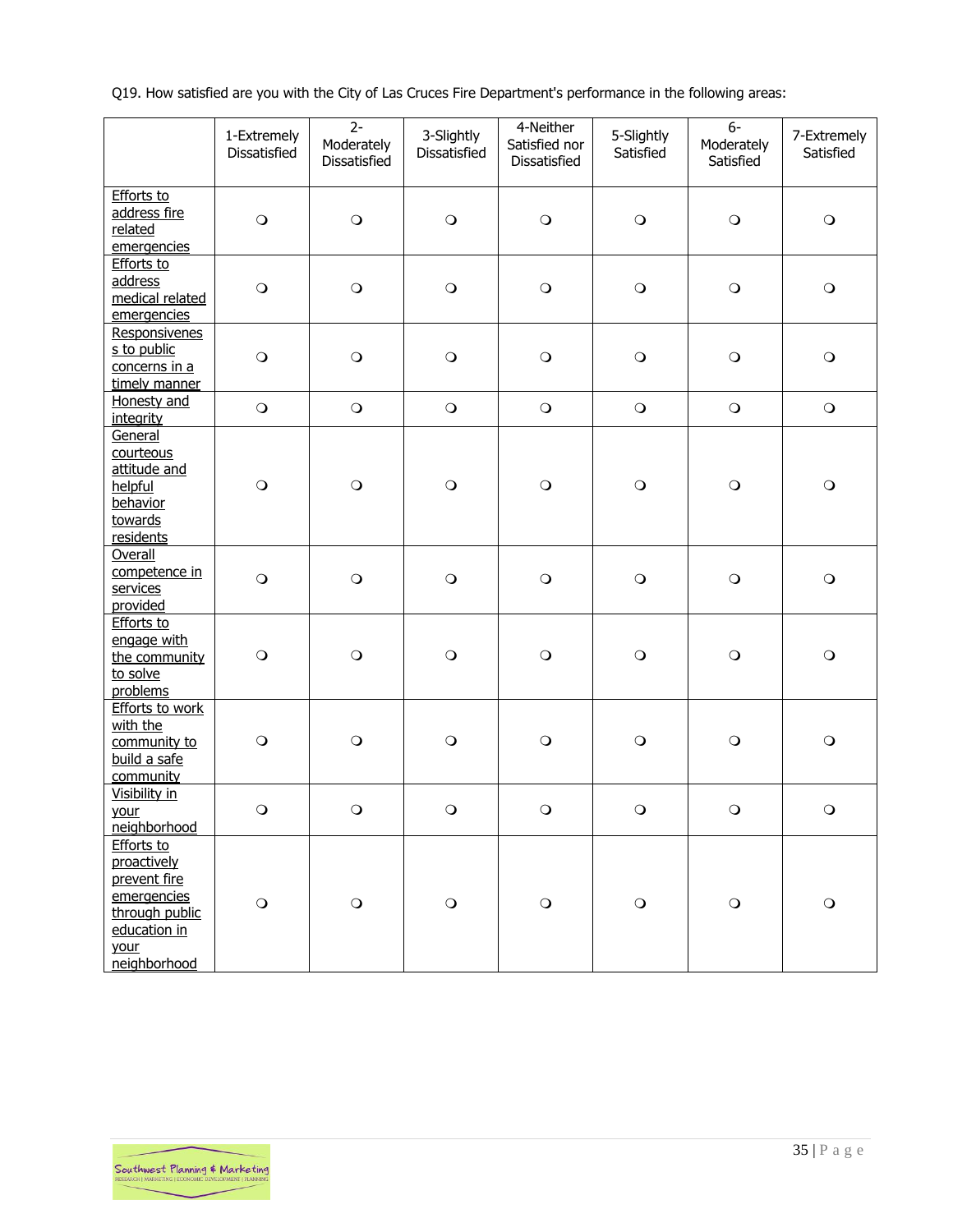Q19. How satisfied are you with the City of Las Cruces Fire Department's performance in the following areas:

|                                                                                                                           | 1-Extremely<br>Dissatisfied | $2-$<br>Moderately<br>Dissatisfied | 3-Slightly<br>Dissatisfied | 4-Neither<br>Satisfied nor<br>Dissatisfied | 5-Slightly<br>Satisfied | $6-$<br>Moderately<br>Satisfied | 7-Extremely<br>Satisfied |
|---------------------------------------------------------------------------------------------------------------------------|-----------------------------|------------------------------------|----------------------------|--------------------------------------------|-------------------------|---------------------------------|--------------------------|
| <b>Efforts to</b><br>address fire<br>related<br>emergencies                                                               | $\circ$                     | $\bigcirc$                         | $\bigcirc$                 | $\bigcirc$                                 | $\circ$                 | $\bigcirc$                      | $\bigcirc$               |
| <b>Efforts to</b><br>address<br>medical related<br>emergencies                                                            | $\bigcirc$                  | $\mathbf O$                        | $\bigcirc$                 | $\bigcirc$                                 | $\circ$                 | $\bigcirc$                      | $\bigcirc$               |
| Responsivenes<br>s to public<br>concerns in a<br>timely manner                                                            | $\bigcirc$                  | $\bigcirc$                         | $\bigcirc$                 | $\bigcirc$                                 | $\bigcirc$              | $\bigcirc$                      | $\bigcirc$               |
| Honesty and<br><i>integrity</i>                                                                                           | $\bigcirc$                  | $\bigcirc$                         | $\bigcirc$                 | $\bigcirc$                                 | $\bigcirc$              | $\bigcirc$                      | $\bigcirc$               |
| General<br>courteous<br>attitude and<br>helpful<br>behavior<br>towards<br>residents                                       | $\bigcirc$                  | $\bigcirc$                         | $\bigcirc$                 | $\bigcirc$                                 | $\circ$                 | $\bigcirc$                      | $\mathbf O$              |
| Overall<br>competence in<br>services<br>provided                                                                          | $\circ$                     | $\bigcirc$                         | $\bigcirc$                 | $\bigcirc$                                 | $\circ$                 | $\bigcirc$                      | $\bigcirc$               |
| <b>Efforts to</b><br>engage with<br>the community<br>to solve<br>problems                                                 | $\bigcirc$                  | $\bigcirc$                         | $\mathbf O$                | $\mathbf O$                                | $\bigcirc$              | $\bigcirc$                      | $\bigcirc$               |
| <b>Efforts to work</b><br>with the<br>community to<br>build a safe<br>community                                           | $\bigcirc$                  | $\bigcirc$                         | $\mathbf O$                | $\bigcirc$                                 | $\bigcirc$              | $\bigcirc$                      | $\bigcirc$               |
| Visibility in<br>your<br>neighborhood                                                                                     | $\circ$                     | $\circ$                            | $\circ$                    | $\circ$                                    | $\circ$                 | $\circ$                         | $\circ$                  |
| <b>Efforts to</b><br>proactively<br>prevent fire<br>emergencies<br>through public<br>education in<br>your<br>neighborhood | $\mathsf{O}$                | $\bigcirc$                         | $\mathbf O$                | $\mathbf O$                                | $\bigcirc$              | $\bigcirc$                      | $\bigcirc$               |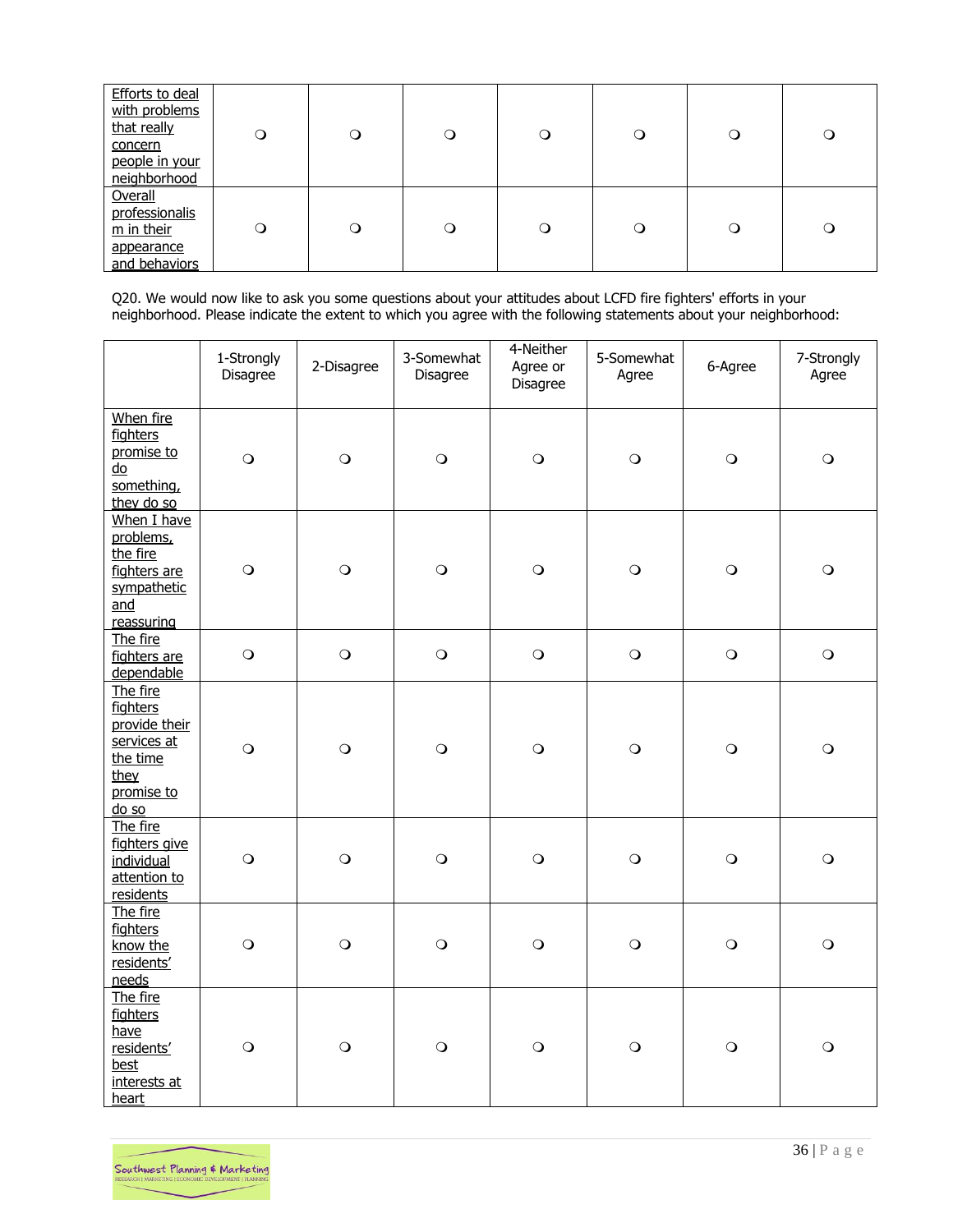| <b>Efforts to deal</b><br>with problems<br>that really<br>concern<br>people in your<br>neighborhood | Q            | $\circ$ | ∩        | O       | O        | Q        | O       |
|-----------------------------------------------------------------------------------------------------|--------------|---------|----------|---------|----------|----------|---------|
| Overall<br>professionalis<br>m in their<br>appearance<br>and behaviors                              | $\mathsf{O}$ | $\circ$ | $\Omega$ | $\circ$ | $\Omega$ | $\Omega$ | $\circ$ |

Q20. We would now like to ask you some questions about your attitudes about LCFD fire fighters' efforts in your neighborhood. Please indicate the extent to which you agree with the following statements about your neighborhood:

|                                                                                                 | 1-Strongly<br>Disagree | 2-Disagree | 3-Somewhat<br>Disagree | 4-Neither<br>Agree or<br>Disagree | 5-Somewhat<br>Agree | 6-Agree    | 7-Strongly<br>Agree |
|-------------------------------------------------------------------------------------------------|------------------------|------------|------------------------|-----------------------------------|---------------------|------------|---------------------|
| When fire<br>fighters<br>promise to<br>do<br>something,<br>they do so                           | $\bigcirc$             | $\bigcirc$ | $\bigcirc$             | $\mathbf O$                       | $\bigcirc$          | $\bigcirc$ | $\bigcirc$          |
| When I have<br>problems,<br>the fire<br>fighters are<br>sympathetic<br>and<br>reassuring        | $\bigcirc$             | $\bigcirc$ | $\bigcirc$             | $\bigcirc$                        | $\bigcirc$          | $\bigcirc$ | $\bigcirc$          |
| The fire<br>fighters are<br>dependable                                                          | $\bigcirc$             | $\bigcirc$ | $\bigcirc$             | $\bigcirc$                        | $\bigcirc$          | $\bigcirc$ | $\bigcirc$          |
| The fire<br>fighters<br>provide their<br>services at<br>the time<br>they<br>promise to<br>do so | $\bigcirc$             | $\bigcirc$ | $\bigcirc$             | $\bigcirc$                        | $\bigcirc$          | $\bigcirc$ | $\bigcirc$          |
| The fire<br>fighters give<br>individual<br>attention to<br>residents                            | $\bigcirc$             | $\bigcirc$ | $\bigcirc$             | $\bigcirc$                        | $\bigcirc$          | $\bigcirc$ | $\mathbf O$         |
| The fire<br>fighters<br>know the<br>residents'<br>needs                                         | $\circ$                | $\circ$    | $\circ$                | $\bigcirc$                        | $\circ$             | $\bigcirc$ | $\circ$             |
| The fire<br>fighters<br>have<br>residents'<br>best<br>interests at<br>heart                     | $\circ$                | $\bigcirc$ | $\circ$                | $\bigcirc$                        | $\circ$             | $\circ$    | $\bigcirc$          |

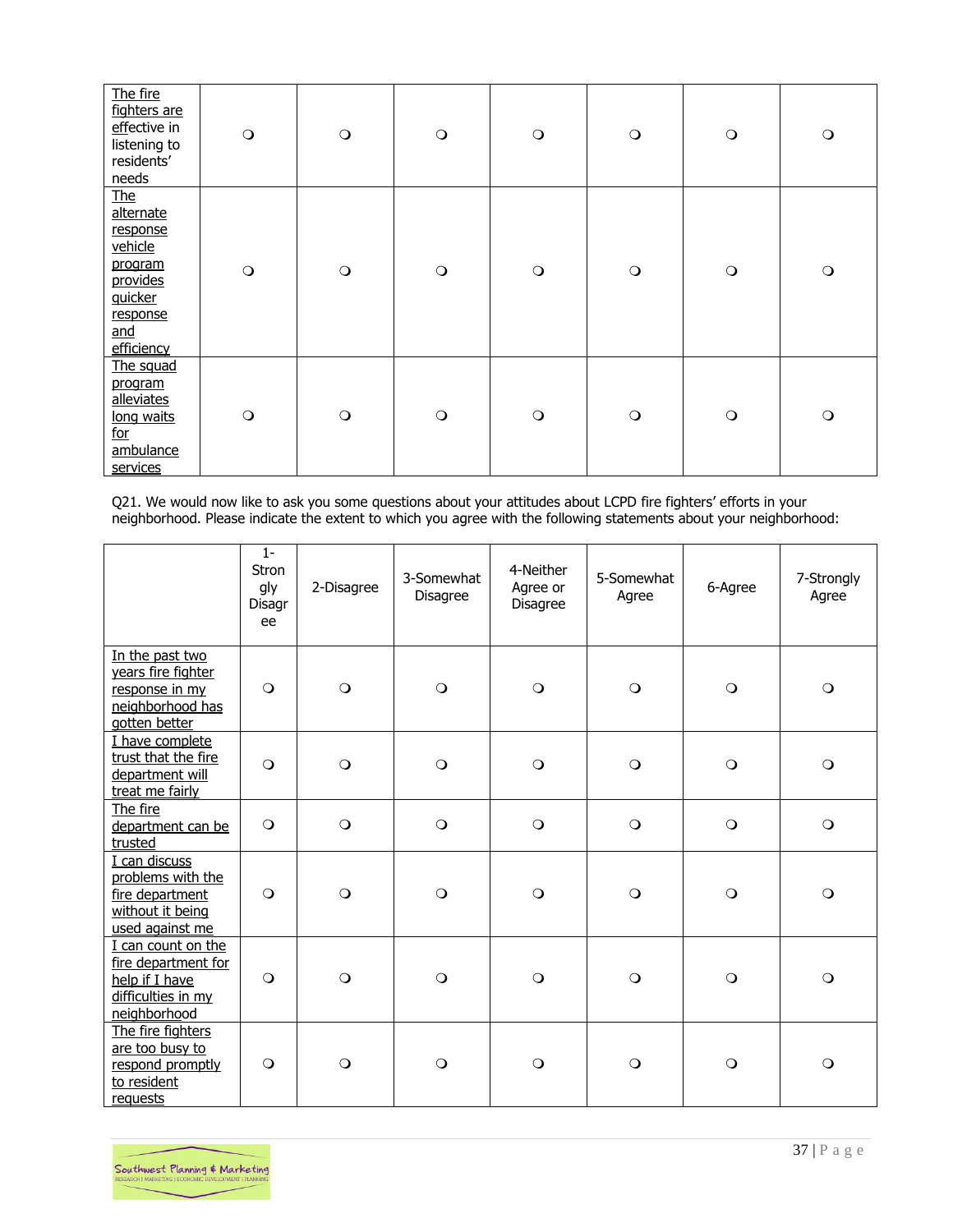| The fire<br>fighters are<br>effective in<br>listening to<br>residents'<br>needs                                          | $\circ$ | $\bigcirc$ | $\circ$    | $\bigcirc$ | $\bigcirc$ | $\circ$ | $\bigcirc$ |
|--------------------------------------------------------------------------------------------------------------------------|---------|------------|------------|------------|------------|---------|------------|
| <b>The</b><br>alternate<br>response<br>vehicle<br>program<br>provides<br>quicker<br>response<br><u>and</u><br>efficiency | $\circ$ | $\circ$    | $\bigcirc$ | $\bigcirc$ | $\bigcirc$ | $\circ$ | $\circ$    |
| The squad<br>program<br>alleviates<br>long waits<br>for<br>ambulance<br>services                                         | $\circ$ | $\circ$    | $\circ$    | $\bigcirc$ | $\circ$    | $\circ$ | $\circ$    |

Q21. We would now like to ask you some questions about your attitudes about LCPD fire fighters' efforts in your neighborhood. Please indicate the extent to which you agree with the following statements about your neighborhood:

|                                                                                                   | $1 -$<br><b>Stron</b><br>gly<br>Disagr<br>ee | 2-Disagree     | 3-Somewhat<br>Disagree | 4-Neither<br>Agree or<br><b>Disagree</b> | 5-Somewhat<br>Agree | 6-Agree | 7-Strongly<br>Agree |
|---------------------------------------------------------------------------------------------------|----------------------------------------------|----------------|------------------------|------------------------------------------|---------------------|---------|---------------------|
| In the past two<br>years fire fighter<br>response in my<br>neighborhood has<br>gotten better      | $\circ$                                      | $\circ$        | $\circ$                | $\circ$                                  | $\circ$             | $\circ$ | $\circ$             |
| I have complete<br>trust that the fire<br>department will<br>treat me fairly                      | $\circ$                                      | $\circ$        | $\circ$                | $\circ$                                  | $\circ$             | $\circ$ | $\circ$             |
| The fire<br>department can be<br>trusted                                                          | $\circ$                                      | $\circ$        | $\circ$                | $\circ$                                  | $\circ$             | $\circ$ | $\circ$             |
| I can discuss<br>problems with the<br>fire department<br>without it being<br>used against me      | $\circ$                                      | $\overline{O}$ | $\circ$                | $\circ$                                  | $\circ$             | $\circ$ | $\circ$             |
| I can count on the<br>fire department for<br>help if I have<br>difficulties in my<br>neighborhood | $\circ$                                      | $\circ$        | $\circ$                | $\circ$                                  | $\circ$             | $\circ$ | $\circ$             |
| The fire fighters<br>are too busy to<br>respond promptly<br>to resident<br>requests               | $\circ$                                      | $\circ$        | $\circ$                | $\circ$                                  | $\circ$             | $\circ$ | $\circ$             |

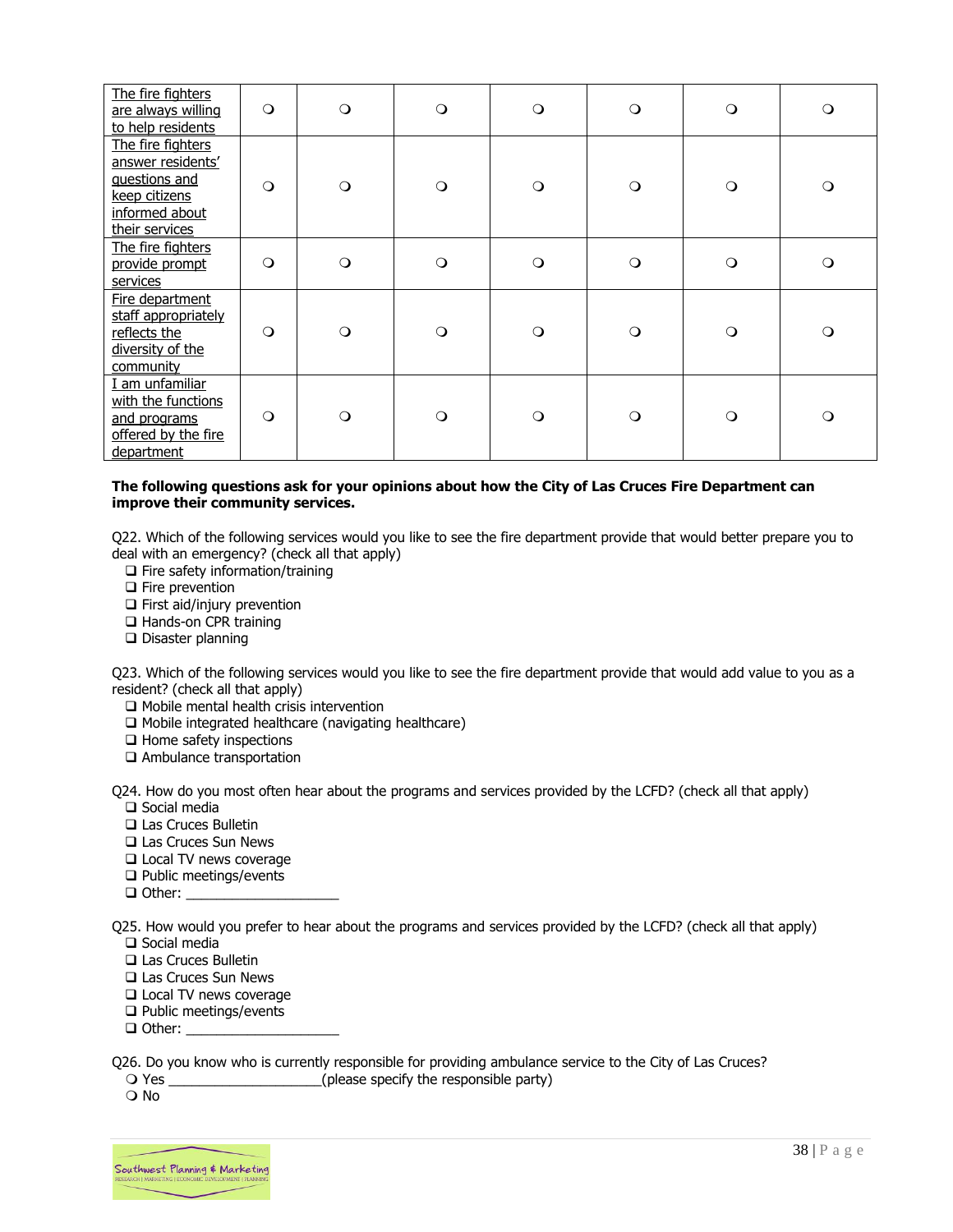| The fire fighters<br>are always willing<br>to help residents                                                 | $\circ$  | $\circ$  | $\circ$ | $\circ$  | $\circ$  | $\circ$ | $\circ$ |
|--------------------------------------------------------------------------------------------------------------|----------|----------|---------|----------|----------|---------|---------|
| The fire fighters<br>answer residents'<br>guestions and<br>keep citizens<br>informed about<br>their services | $\Omega$ | $\Omega$ | $\circ$ | $\Omega$ | $\circ$  | $\circ$ | $\circ$ |
| The fire fighters<br>provide prompt<br>services                                                              | $\circ$  | $\circ$  | $\circ$ | $\circ$  | $\circ$  | $\circ$ | $\circ$ |
| Fire department<br>staff appropriately<br>reflects the<br>diversity of the<br>community                      | $\circ$  | $\Omega$ | $\circ$ | $\Omega$ | $\Omega$ | $\circ$ | $\circ$ |
| I am unfamiliar<br>with the functions<br>and programs<br>offered by the fire<br>department                   | $\circ$  | $\circ$  | $\circ$ | $\circ$  | $\circ$  | $\circ$ | $\circ$ |

#### **The following questions ask for your opinions about how the City of Las Cruces Fire Department can improve their community services.**

Q22. Which of the following services would you like to see the fire department provide that would better prepare you to deal with an emergency? (check all that apply)

- ❑ Fire safety information/training
- ❑ Fire prevention
- ❑ First aid/injury prevention
- ❑ Hands-on CPR training
- ❑ Disaster planning

Q23. Which of the following services would you like to see the fire department provide that would add value to you as a resident? (check all that apply)

- ❑ Mobile mental health crisis intervention
- ❑ Mobile integrated healthcare (navigating healthcare)
- ❑ Home safety inspections
- ❑ Ambulance transportation

Q24. How do you most often hear about the programs and services provided by the LCFD? (check all that apply)

- ❑ Social media ❑ Las Cruces Bulletin
- ❑ Las Cruces Sun News
- ❑ Local TV news coverage
- ❑ Public meetings/events
- ❑ Other: \_\_\_\_\_\_\_\_\_\_\_\_\_\_\_\_\_\_\_\_
- Q25. How would you prefer to hear about the programs and services provided by the LCFD? (check all that apply) ❑ Social media
	- ❑ Las Cruces Bulletin
	- ❑ Las Cruces Sun News
	- ❑ Local TV news coverage
	- ❑ Public meetings/events
	- ❑ Other: \_\_\_\_\_\_\_\_\_\_\_\_\_\_\_\_\_\_\_\_

Q26. Do you know who is currently responsible for providing ambulance service to the City of Las Cruces?<br>  $\bigcirc$  Yes (please specify the responsible party)

(please specify the responsible party)

O No

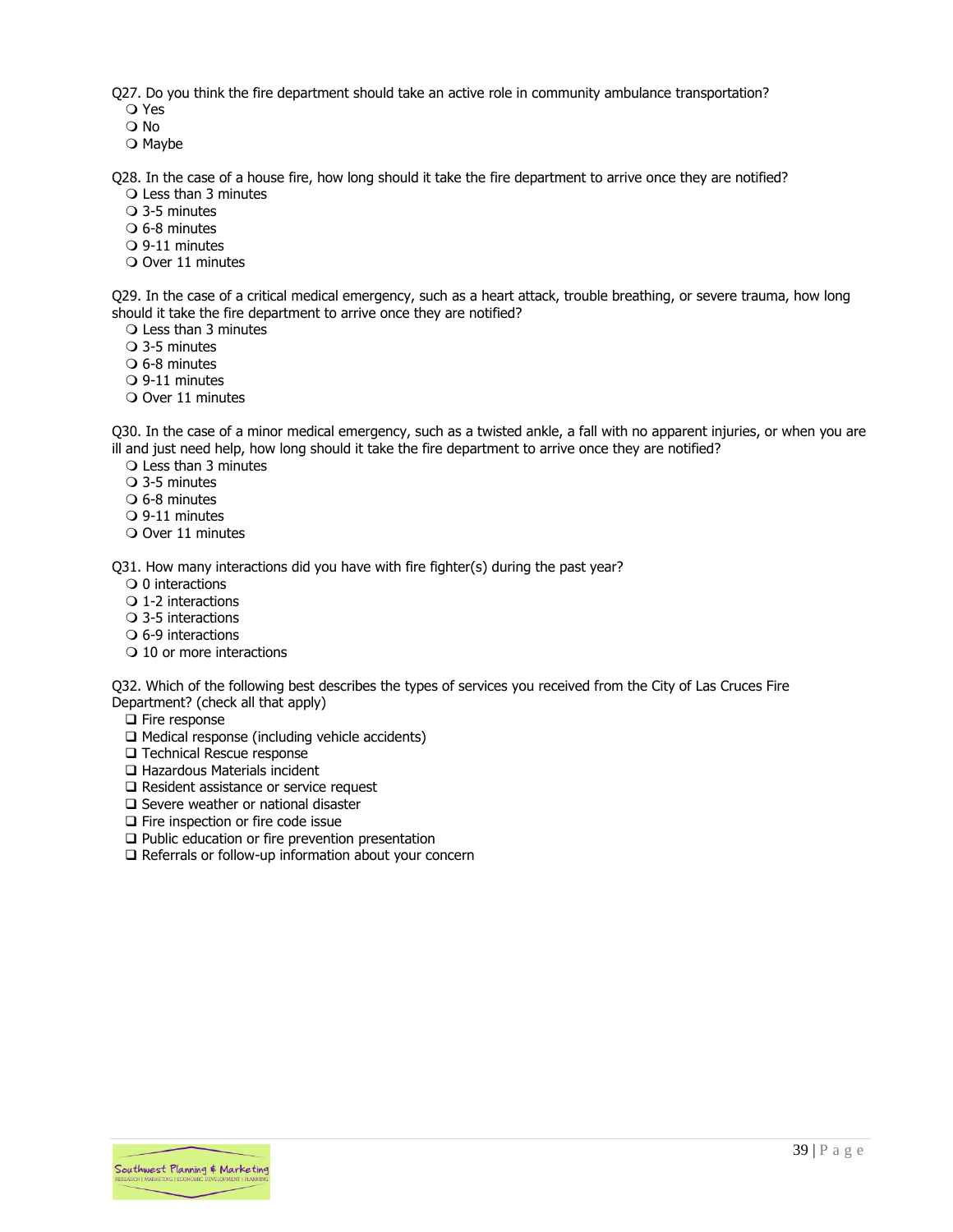Q27. Do you think the fire department should take an active role in community ambulance transportation?

- Yes
- No
- $\bigcirc$  Maybe

Q28. In the case of a house fire, how long should it take the fire department to arrive once they are notified? Less than 3 minutes

- 3-5 minutes
- 6-8 minutes
- 9-11 minutes
- O Over 11 minutes

Q29. In the case of a critical medical emergency, such as a heart attack, trouble breathing, or severe trauma, how long should it take the fire department to arrive once they are notified?

- Less than 3 minutes
- 3-5 minutes
- 6-8 minutes
- 9-11 minutes
- Over 11 minutes

Q30. In the case of a minor medical emergency, such as a twisted ankle, a fall with no apparent injuries, or when you are ill and just need help, how long should it take the fire department to arrive once they are notified?

- Less than 3 minutes
- 3-5 minutes
- 6-8 minutes
- 9-11 minutes
- O Over 11 minutes

Q31. How many interactions did you have with fire fighter(s) during the past year?

- $\bigcirc$  0 interactions
- $\bigcirc$  1-2 interactions
- 3-5 interactions
- $\circ$  6-9 interactions
- O 10 or more interactions

Q32. Which of the following best describes the types of services you received from the City of Las Cruces Fire Department? (check all that apply)

- ❑ Fire response
- ❑ Medical response (including vehicle accidents)
- ❑ Technical Rescue response
- ❑ Hazardous Materials incident
- ❑ Resident assistance or service request
- ❑ Severe weather or national disaster
- ❑ Fire inspection or fire code issue
- ❑ Public education or fire prevention presentation
- ❑ Referrals or follow-up information about your concern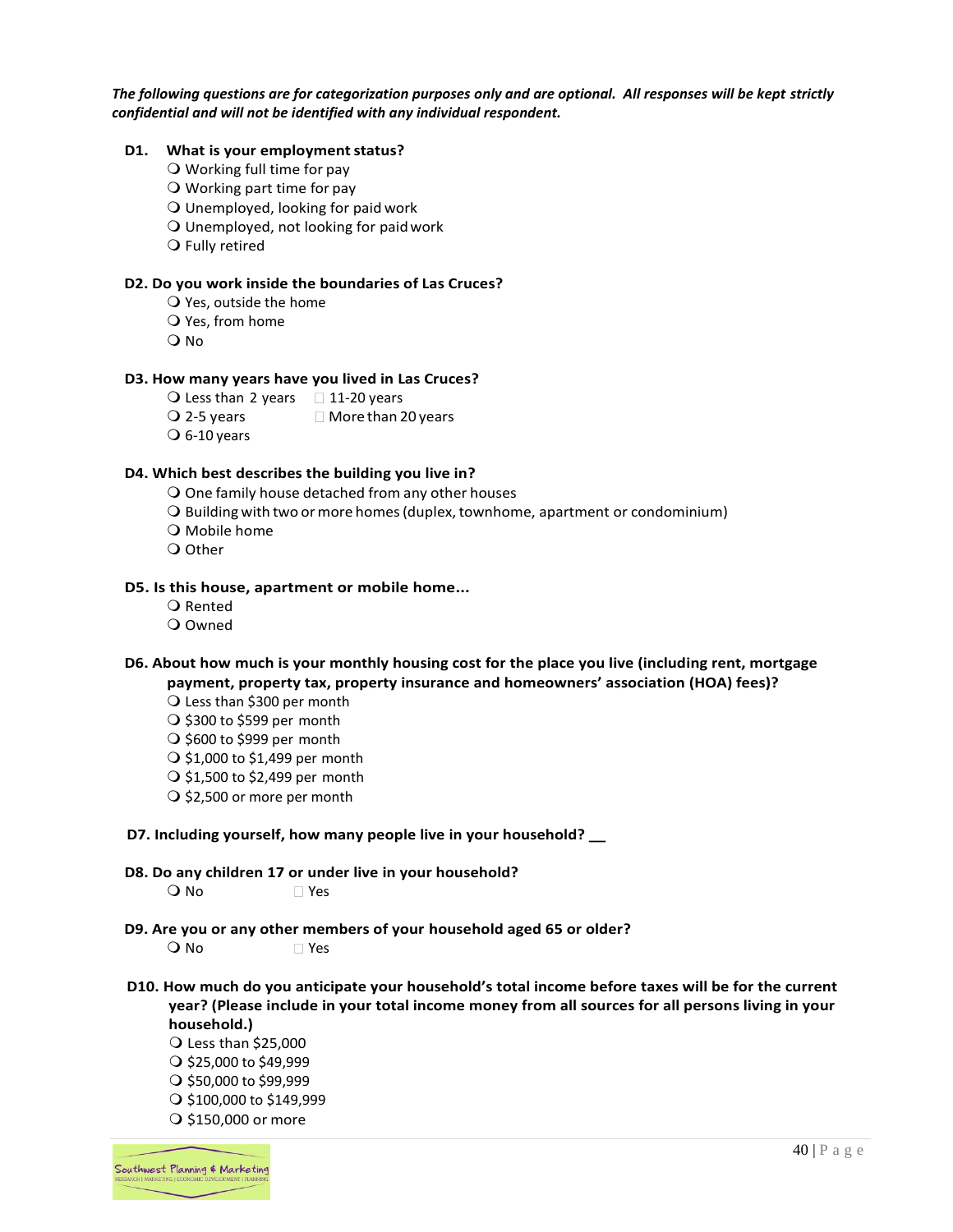*The following questions are for categorization purposes only and are optional. All responses will be kept strictly confidential and will not be identified with any individual respondent.* 

#### **D1.** What is your employment status?

- O Working full time for pay
- O Working part time for pay
- $\overline{Q}$  Unemployed, looking for paid work
- Unemployed, not looking for paidwork
- O Fully retired

#### **D2. Do you work inside the boundaries of Las Cruces?**

- $\overline{Q}$  Yes, outside the home
- $\bigcirc$  Yes, from home
- O No

#### **D3. How many years have you lived in Las Cruces?**

- $\bigcirc$  Less than 2 years  $\bigcirc$  11-20 years
- $Q$  2-5 years  $Q$  More than 20 years
- $\overline{O}$  6-10 years

#### **D4. Which best describes the building you live in?**

- One family house detached from any other houses
- O Building with two or more homes (duplex, townhome, apartment or condominium)
- O Mobile home
- O Other

#### **D5. Is this house, apartment or mobile home...**

- O Rented
- Owned

#### **D6. About how much is your monthly housing cost for the place you live (including rent, mortgage payment, property tax, property insurance and homeowners' association (HOA) fees)?**

- Less than \$300 per month
- $\bigcirc$  \$300 to \$599 per month
- $\bigcirc$  \$600 to \$999 per month
- $\bigcirc$  \$1,000 to \$1,499 per month
- $\bigcirc$  \$1,500 to \$2,499 per month
- $\bigcirc$  \$2,500 or more per month

#### **D7. Including yourself, how many people live in your household? \_\_**

**D8. Do any children 17 or under live in your household?**

O No ∏Yes

**D9. Are you or any other members of your household aged 65 or older?**

○ No Yes

**D10. How much do you anticipate your household's total income before taxes will be for the current year? (Please include in your total income money from all sources for all persons living in your household.)**

 Less than \$25,000  $\bigcirc$  \$25,000 to \$49,999

- $\bigcirc$  \$50,000 to \$99,999
- $\bigcirc$  \$100,000 to \$149,999
- O \$150,000 or more

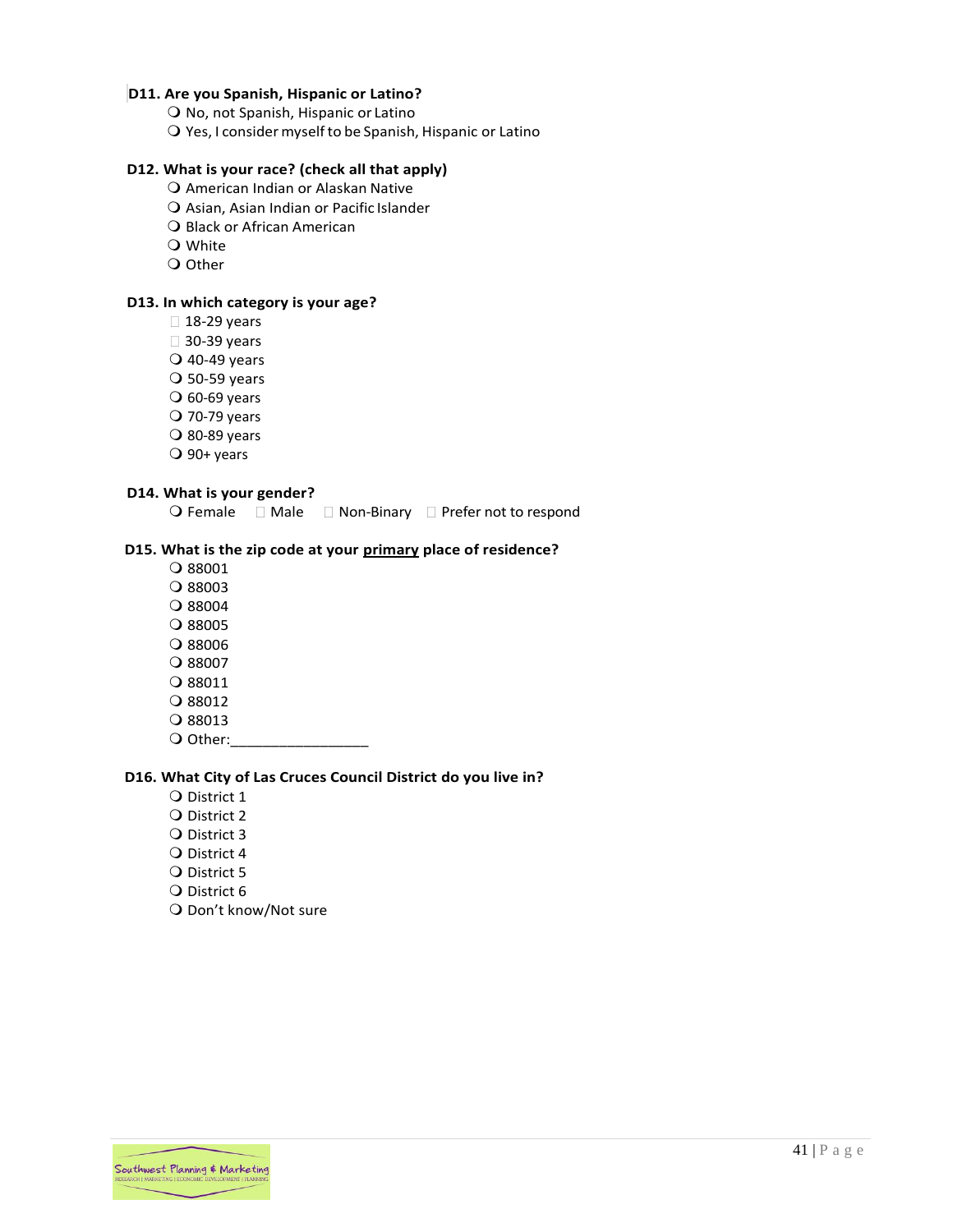#### **D11. Are you Spanish, Hispanic or Latino?**

- O No, not Spanish, Hispanic or Latino
- Yes, I considermyself to be Spanish, Hispanic or Latino

#### **D12. What is your race? (check all that apply)**

- American Indian or Alaskan Native
- Asian, Asian Indian or Pacific Islander
- O Black or African American
- White
- O Other

#### **D13. In which category is your age?**

- $\Box$  18-29 years
- □ 30-39 years
- 40-49 years
- $O$  50-59 years
- $\overline{O}$  60-69 years
- 70-79 years
- $\overline{O}$  80-89 years
- $\overline{O}$  90+ years

#### **D14. What is your gender?**

 $\bigcirc$  Female  $\Box$  Male  $\Box$  Non-Binary  $\Box$  Prefer not to respond

#### **D15. What is the zip code at your primary place of residence?**

- 88001
- 88003
- 88004
- 88005
- 88006
- 88007
- 88011
- O 88012
- 88013
- O Other:

#### **D16. What City of Las Cruces Council District do you live in?**

- Q District 1
- Q District 2
- Q District 3
- Q District 4
- Q District 5
- Q District 6
- O Don't know/Not sure